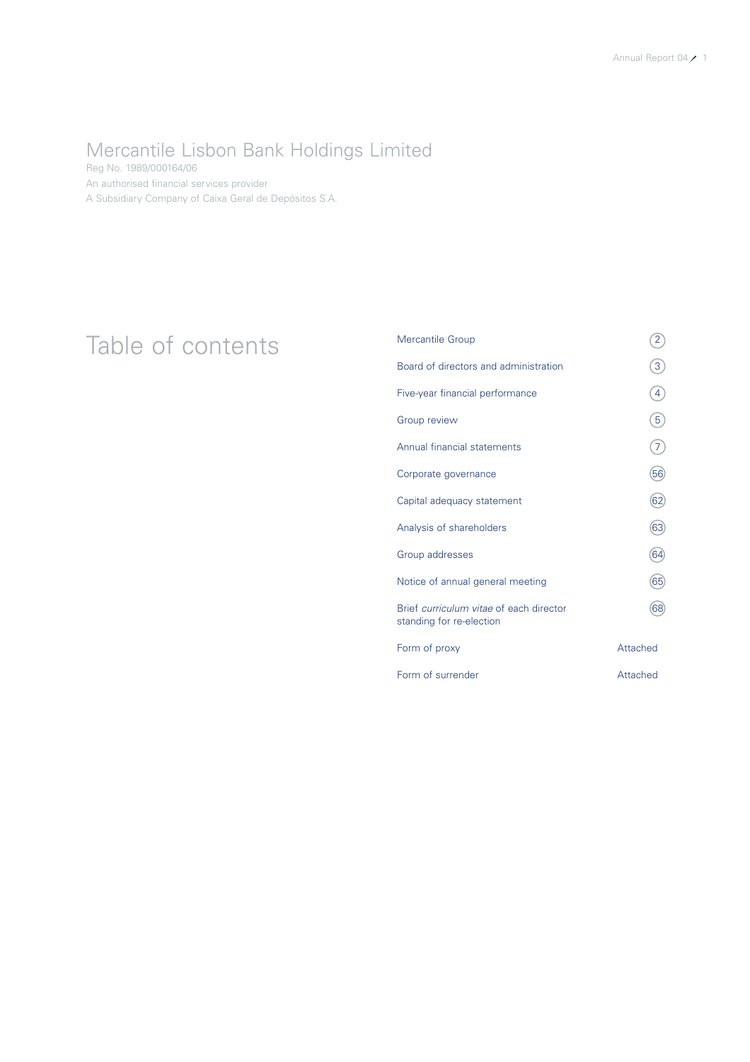### Mercantile Lisbon Bank Holdings Limited

Reg No. 1989/000164/06 An authorised financial services provider A Subsidiary Company of Caixa Geral de Depósitos S.A.

### Table of contents<br>
<sup>Mercantile Group</sup><br>
Board of directors and administration (3) Board of directors and administration 3 Five-year financial performance  $\qquad \qquad \qquad (4)$ Group review  $\qquad \qquad (5)$ Annual financial statements  $(7)$ Corporate governance 66 Capital adequacy statement 62 Analysis of shareholders (63) Group addresses 64 Notice of annual general meeting 65 Brief *curriculum vitae* of each director 68 standing for re-election Form of proxy and a settlement of proxy and a settlement of  $\lambda$ Form of surrender Attached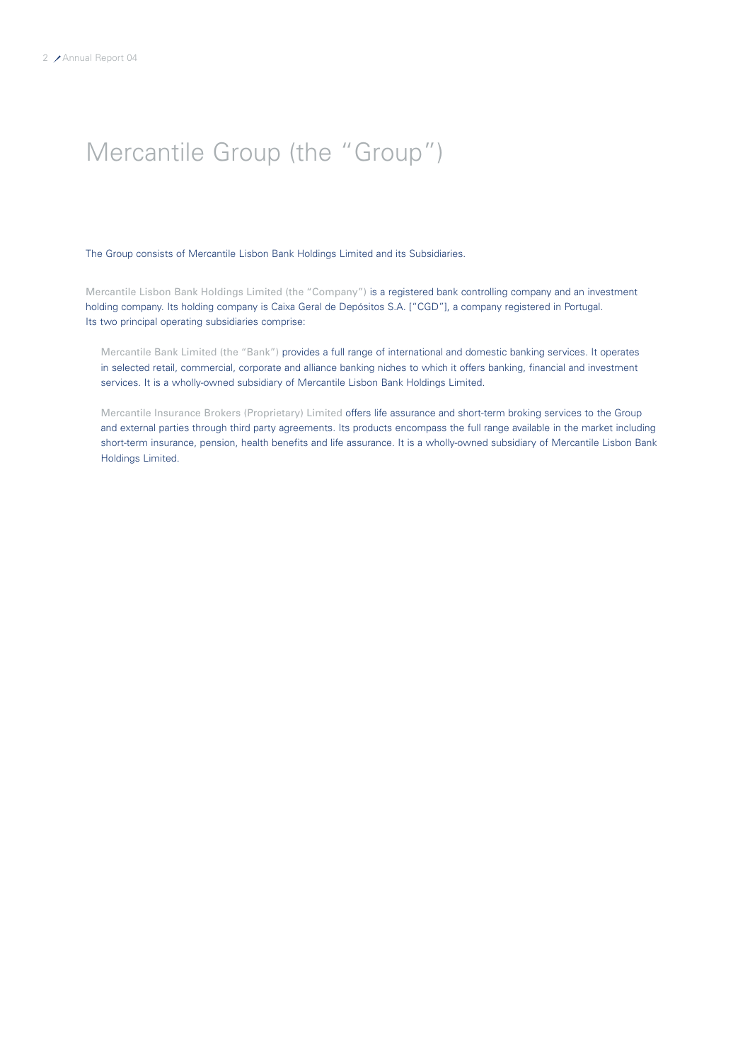# Mercantile Group (the "Group")

The Group consists of Mercantile Lisbon Bank Holdings Limited and its Subsidiaries.

Mercantile Lisbon Bank Holdings Limited (the "Company") is a registered bank controlling company and an investment holding company. Its holding company is Caixa Geral de Depósitos S.A. ["CGD"], a company registered in Portugal. Its two principal operating subsidiaries comprise:

Mercantile Bank Limited (the "Bank") provides a full range of international and domestic banking services. It operates in selected retail, commercial, corporate and alliance banking niches to which it offers banking, financial and investment services. It is a wholly-owned subsidiary of Mercantile Lisbon Bank Holdings Limited.

Mercantile Insurance Brokers (Proprietary) Limited offers life assurance and short-term broking services to the Group and external parties through third party agreements. Its products encompass the full range available in the market including short-term insurance, pension, health benefits and life assurance. It is a wholly-owned subsidiary of Mercantile Lisbon Bank Holdings Limited.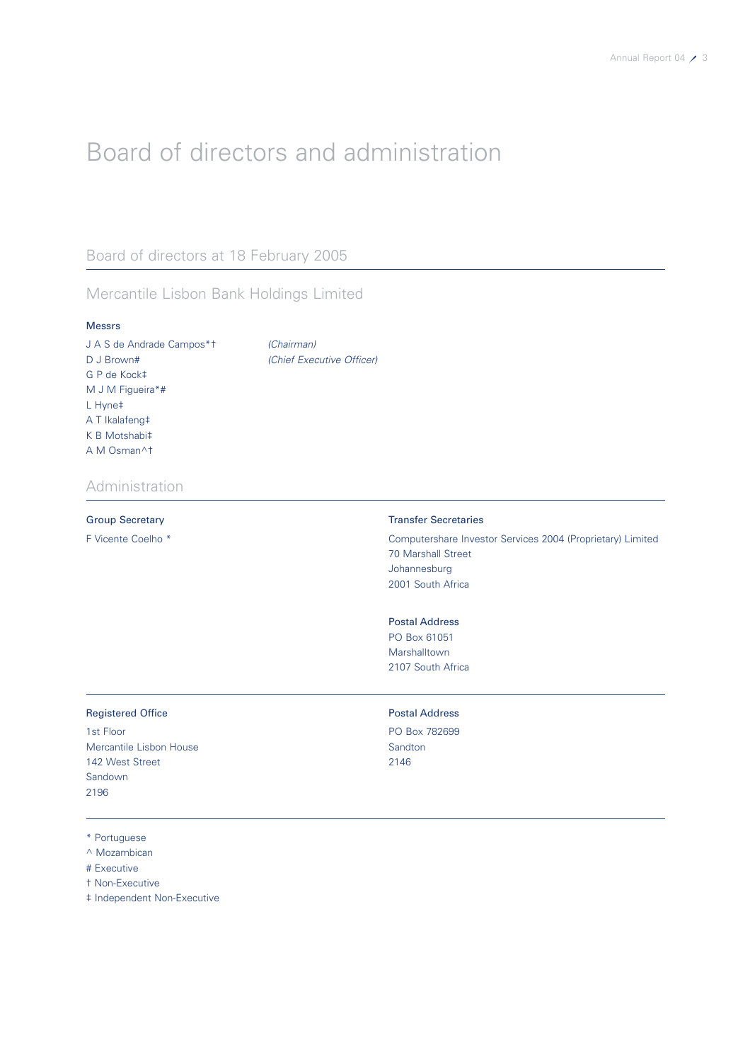# Board of directors and administration

### Board of directors at 18 February 2005

### Mercantile Lisbon Bank Holdings Limited

#### Messrs

J A S de Andrade Campos\*† *(Chairman)* D J Brown# *(Chief Executive Officer)* G P de Kock‡ M J M Figueira\*# L Hyne‡ A T Ikalafeng‡ K B Motshabi‡ A M Osman^†

### Administration

#### Group Secretary **Transfer Secretaries**

F Vicente Coelho \* Computershare Investor Services 2004 (Proprietary) Limited 70 Marshall Street Johannesburg 2001 South Africa

#### Postal Address

PO Box 61051 Marshalltown 2107 South Africa

### Registered Office **Postal Address**

1st Floor PO Box 782699 Mercantile Lisbon House Sandton 142 West Street 2146 Sandown 2196

\* Portuguese

- ^ Mozambican
- # Executive
- † Non-Executive
- ‡ Independent Non-Executive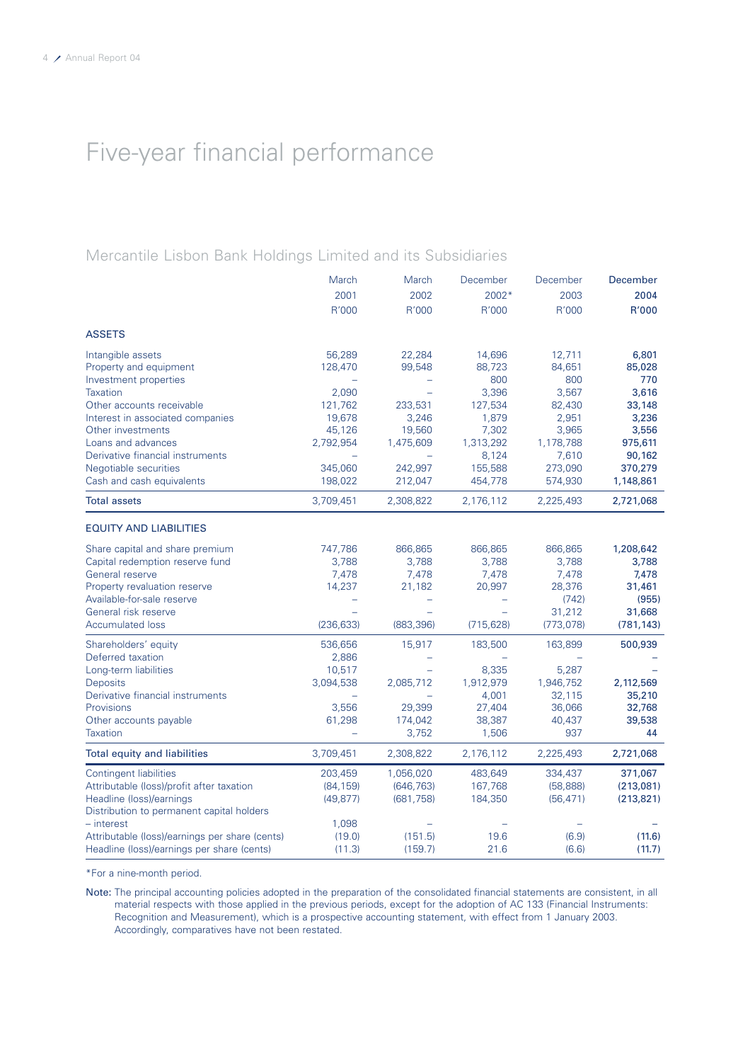# Five-year financial performance

### Mercantile Lisbon Bank Holdings Limited and its Subsidiaries

|                                                | March      | March      | December   | December   | December   |
|------------------------------------------------|------------|------------|------------|------------|------------|
|                                                | 2001       | 2002       | 2002*      | 2003       | 2004       |
|                                                | R'000      | R'000      | R'000      | R'000      | R'000      |
| <b>ASSETS</b>                                  |            |            |            |            |            |
| Intangible assets                              | 56,289     | 22,284     | 14,696     | 12,711     | 6,801      |
| Property and equipment                         | 128,470    | 99,548     | 88,723     | 84,651     | 85,028     |
| Investment properties                          |            |            | 800        | 800        | 770        |
| <b>Taxation</b>                                | 2,090      |            | 3,396      | 3,567      | 3,616      |
| Other accounts receivable                      | 121,762    | 233,531    | 127,534    | 82,430     | 33,148     |
| Interest in associated companies               | 19,678     | 3,246      | 1,879      | 2,951      | 3,236      |
| Other investments                              | 45,126     | 19,560     | 7,302      | 3,965      | 3,556      |
| Loans and advances                             | 2,792,954  | 1,475,609  | 1,313,292  | 1,178,788  | 975,611    |
| Derivative financial instruments               |            |            | 8,124      | 7,610      | 90,162     |
| Negotiable securities                          | 345,060    | 242,997    | 155,588    | 273,090    | 370,279    |
| Cash and cash equivalents                      | 198,022    | 212,047    | 454,778    | 574,930    | 1,148,861  |
| <b>Total assets</b>                            | 3,709,451  | 2,308,822  | 2,176,112  | 2,225,493  | 2,721,068  |
| <b>EQUITY AND LIABILITIES</b>                  |            |            |            |            |            |
| Share capital and share premium                | 747,786    | 866,865    | 866,865    | 866,865    | 1,208,642  |
| Capital redemption reserve fund                | 3,788      | 3,788      | 3,788      | 3,788      | 3,788      |
| General reserve                                | 7,478      | 7,478      | 7,478      | 7,478      | 7,478      |
| Property revaluation reserve                   | 14,237     | 21,182     | 20,997     | 28,376     | 31,461     |
| Available-for-sale reserve                     |            |            |            | (742)      | (955)      |
| General risk reserve                           |            |            |            | 31,212     | 31,668     |
| <b>Accumulated loss</b>                        | (236, 633) | (883, 396) | (715, 628) | (773, 078) | (781, 143) |
| Shareholders' equity                           | 536,656    | 15,917     | 183,500    | 163,899    | 500,939    |
| Deferred taxation                              | 2,886      |            |            |            |            |
| Long-term liabilities                          | 10,517     |            | 8,335      | 5,287      |            |
| <b>Deposits</b>                                | 3,094,538  | 2,085,712  | 1,912,979  | 1,946,752  | 2,112,569  |
| Derivative financial instruments               |            |            | 4,001      | 32,115     | 35,210     |
| Provisions                                     | 3,556      | 29,399     | 27,404     | 36,066     | 32,768     |
| Other accounts payable                         | 61,298     | 174,042    | 38,387     | 40,437     | 39,538     |
| <b>Taxation</b>                                |            | 3,752      | 1,506      | 937        | 44         |
| Total equity and liabilities                   | 3,709,451  | 2,308,822  | 2,176,112  | 2,225,493  | 2,721,068  |
| <b>Contingent liabilities</b>                  | 203,459    | 1,056,020  | 483,649    | 334,437    | 371,067    |
| Attributable (loss)/profit after taxation      | (84, 159)  | (646, 763) | 167,768    | (58, 888)  | (213,081)  |
| Headline (loss)/earnings                       | (49, 877)  | (681, 758) | 184,350    | (56, 471)  | (213, 821) |
| Distribution to permanent capital holders      |            |            |            |            |            |
| - interest                                     | 1,098      |            |            |            |            |
| Attributable (loss)/earnings per share (cents) | (19.0)     | (151.5)    | 19.6       | (6.9)      | (11.6)     |
| Headline (loss)/earnings per share (cents)     | (11.3)     | (159.7)    | 21.6       | (6.6)      | (11.7)     |

\*For a nine-month period.

Note: The principal accounting policies adopted in the preparation of the consolidated financial statements are consistent, in all material respects with those applied in the previous periods, except for the adoption of AC 133 (Financial Instruments: Recognition and Measurement), which is a prospective accounting statement, with effect from 1 January 2003. Accordingly, comparatives have not been restated.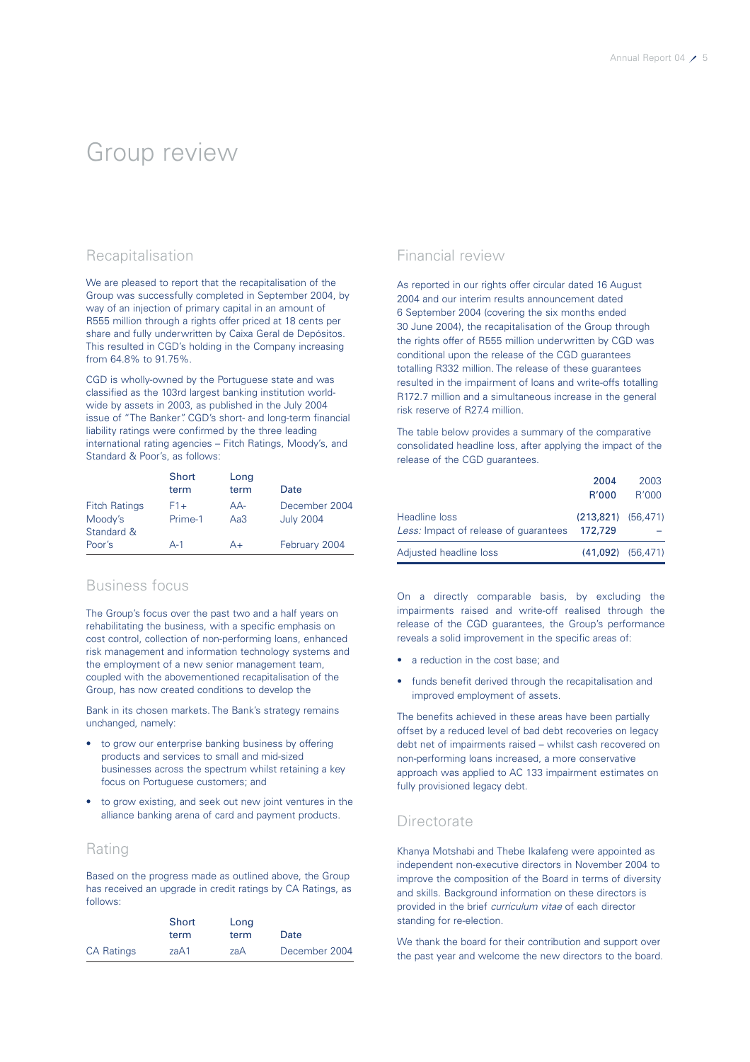### Group review

### Recapitalisation

We are pleased to report that the recapitalisation of the Group was successfully completed in September 2004, by way of an injection of primary capital in an amount of R555 million through a rights offer priced at 18 cents per share and fully underwritten by Caixa Geral de Depósitos. This resulted in CGD's holding in the Company increasing from 64.8% to 91.75%.

CGD is wholly-owned by the Portuguese state and was classified as the 103rd largest banking institution worldwide by assets in 2003, as published in the July 2004 issue of "The Banker". CGD's short- and long-term financial liability ratings were confirmed by the three leading international rating agencies – Fitch Ratings, Moody's, and Standard & Poor's, as follows:

|                                 | Short<br>term    | Long<br>term | Date                              |
|---------------------------------|------------------|--------------|-----------------------------------|
| <b>Fitch Ratings</b><br>Moody's | $F1+$<br>Prime-1 | $AA-$<br>Aa3 | December 2004<br><b>July 2004</b> |
| Standard &                      |                  |              |                                   |
| Poor's                          | $A-1$            | A+           | February 2004                     |

### Business focus

The Group's focus over the past two and a half years on rehabilitating the business, with a specific emphasis on cost control, collection of non-performing loans, enhanced risk management and information technology systems and the employment of a new senior management team, coupled with the abovementioned recapitalisation of the Group, has now created conditions to develop the

Bank in its chosen markets. The Bank's strategy remains unchanged, namely:

- to grow our enterprise banking business by offering products and services to small and mid-sized businesses across the spectrum whilst retaining a key focus on Portuguese customers; and
- to grow existing, and seek out new joint ventures in the alliance banking arena of card and payment products.

### Rating

Based on the progress made as outlined above, the Group has received an upgrade in credit ratings by CA Ratings, as follows:

|                   | Short<br>term | Long<br>term | Date          |
|-------------------|---------------|--------------|---------------|
| <b>CA Ratings</b> | zaA1          | zaA          | December 2004 |

### Financial review

As reported in our rights offer circular dated 16 August 2004 and our interim results announcement dated 6 September 2004 (covering the six months ended 30 June 2004), the recapitalisation of the Group through the rights offer of R555 million underwritten by CGD was conditional upon the release of the CGD guarantees totalling R332 million. The release of these guarantees resulted in the impairment of loans and write-offs totalling R172.7 million and a simultaneous increase in the general risk reserve of R27.4 million.

The table below provides a summary of the comparative consolidated headline loss, after applying the impact of the release of the CGD guarantees.

|                                                        | 2004<br>R'000                     | 2003<br>R'000 |
|--------------------------------------------------------|-----------------------------------|---------------|
| Headline loss<br>Less: Impact of release of quarantees | $(213,821)$ $(56,471)$<br>172,729 |               |
| Adjusted headline loss                                 | $(41.092)$ $(56.471)$             |               |

On a directly comparable basis, by excluding the impairments raised and write-off realised through the release of the CGD guarantees, the Group's performance reveals a solid improvement in the specific areas of:

- a reduction in the cost base; and
- funds benefit derived through the recapitalisation and improved employment of assets.

The benefits achieved in these areas have been partially offset by a reduced level of bad debt recoveries on legacy debt net of impairments raised – whilst cash recovered on non-performing loans increased, a more conservative approach was applied to AC 133 impairment estimates on fully provisioned legacy debt.

### **Directorate**

Khanya Motshabi and Thebe Ikalafeng were appointed as independent non-executive directors in November 2004 to improve the composition of the Board in terms of diversity and skills. Background information on these directors is provided in the brief *curriculum vitae* of each director standing for re-election.

We thank the board for their contribution and support over the past year and welcome the new directors to the board.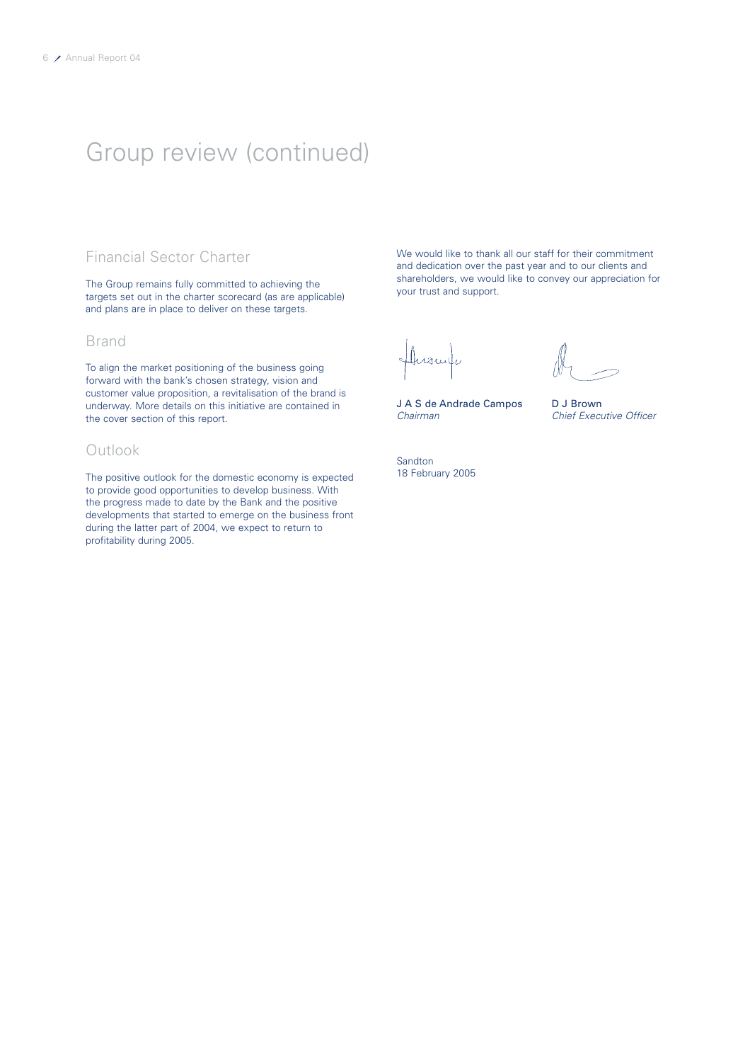### Group review (continued)

### Financial Sector Charter

The Group remains fully committed to achieving the targets set out in the charter scorecard (as are applicable) and plans are in place to deliver on these targets.

### Brand

To align the market positioning of the business going forward with the bank's chosen strategy, vision and customer value proposition, a revitalisation of the brand is underway. More details on this initiative are contained in the cover section of this report.

### Outlook

The positive outlook for the domestic economy is expected to provide good opportunities to develop business. With the progress made to date by the Bank and the positive developments that started to emerge on the business front during the latter part of 2004, we expect to return to profitability during 2005.

We would like to thank all our staff for their commitment and dedication over the past year and to our clients and shareholders, we would like to convey our appreciation for your trust and support.

Husulu

J A S de Andrade Campos D J Brown *Chairman Chief Executive Officer*

Sandton 18 February 2005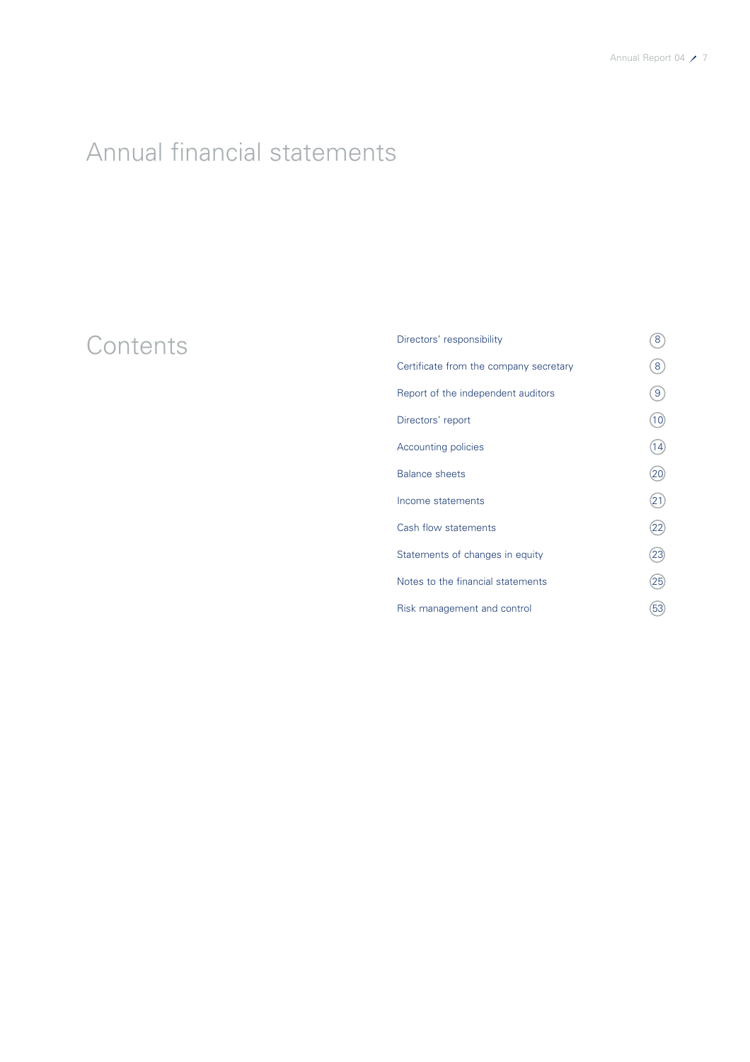# Annual financial statements

# Contents

| Directors' responsibility              | 8               |
|----------------------------------------|-----------------|
| Certificate from the company secretary | 8               |
| Report of the independent auditors     | 9               |
| Directors' report                      | 10)             |
| <b>Accounting policies</b>             | (14)            |
| <b>Balance sheets</b>                  | 20              |
| Income statements                      | 21              |
| Cash flow statements                   | $\overline{22}$ |
| Statements of changes in equity        | 23)             |
| Notes to the financial statements      | 25              |
| Risk management and control            | 53              |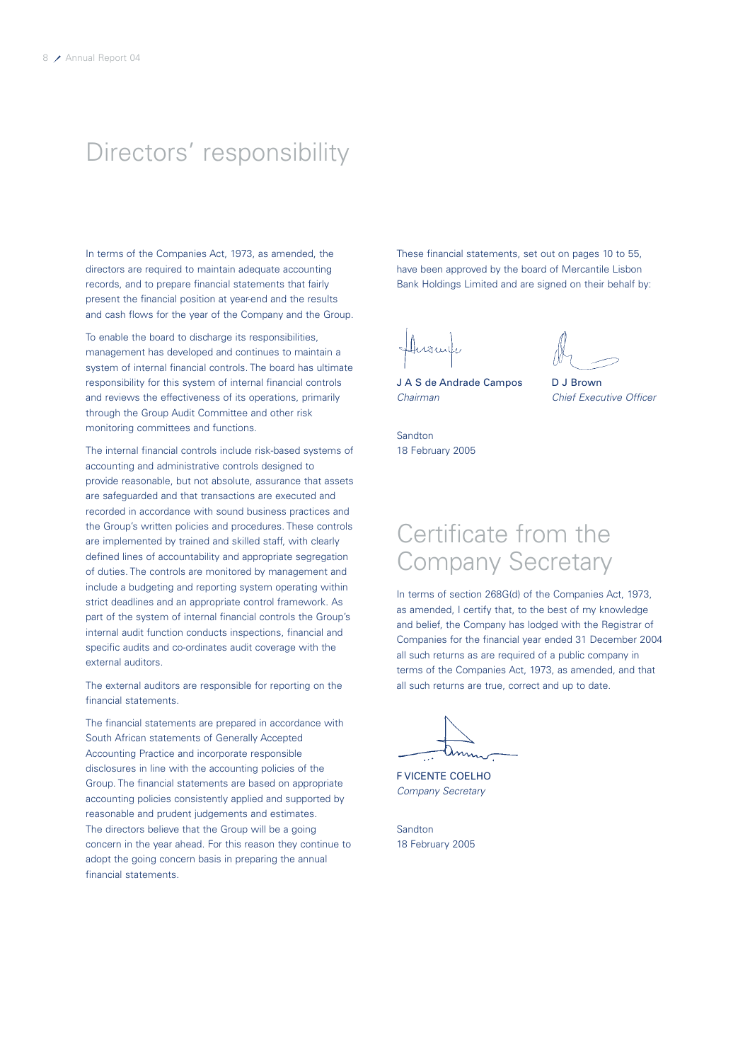### Directors' responsibility

In terms of the Companies Act, 1973, as amended, the directors are required to maintain adequate accounting records, and to prepare financial statements that fairly present the financial position at year-end and the results and cash flows for the year of the Company and the Group.

To enable the board to discharge its responsibilities, management has developed and continues to maintain a system of internal financial controls. The board has ultimate responsibility for this system of internal financial controls and reviews the effectiveness of its operations, primarily through the Group Audit Committee and other risk monitoring committees and functions.

The internal financial controls include risk-based systems of accounting and administrative controls designed to provide reasonable, but not absolute, assurance that assets are safeguarded and that transactions are executed and recorded in accordance with sound business practices and the Group's written policies and procedures. These controls are implemented by trained and skilled staff, with clearly defined lines of accountability and appropriate segregation of duties. The controls are monitored by management and include a budgeting and reporting system operating within strict deadlines and an appropriate control framework. As part of the system of internal financial controls the Group's internal audit function conducts inspections, financial and specific audits and co-ordinates audit coverage with the external auditors.

The external auditors are responsible for reporting on the financial statements.

The financial statements are prepared in accordance with South African statements of Generally Accepted Accounting Practice and incorporate responsible disclosures in line with the accounting policies of the Group. The financial statements are based on appropriate accounting policies consistently applied and supported by reasonable and prudent judgements and estimates. The directors believe that the Group will be a going concern in the year ahead. For this reason they continue to adopt the going concern basis in preparing the annual financial statements.

These financial statements, set out on pages 10 to 55, have been approved by the board of Mercantile Lisbon Bank Holdings Limited and are signed on their behalf by:

J A S de Andrade Campos D J Brown *Chairman Chief Executive Officer*

Sandton 18 February 2005

### Certificate from the Company Secretary

In terms of section 268G(d) of the Companies Act, 1973, as amended, I certify that, to the best of my knowledge and belief, the Company has lodged with the Registrar of Companies for the financial year ended 31 December 2004 all such returns as are required of a public company in terms of the Companies Act, 1973, as amended, and that all such returns are true, correct and up to date.

F VICENTE COELHO *Company Secretary*

**Sandton** 18 February 2005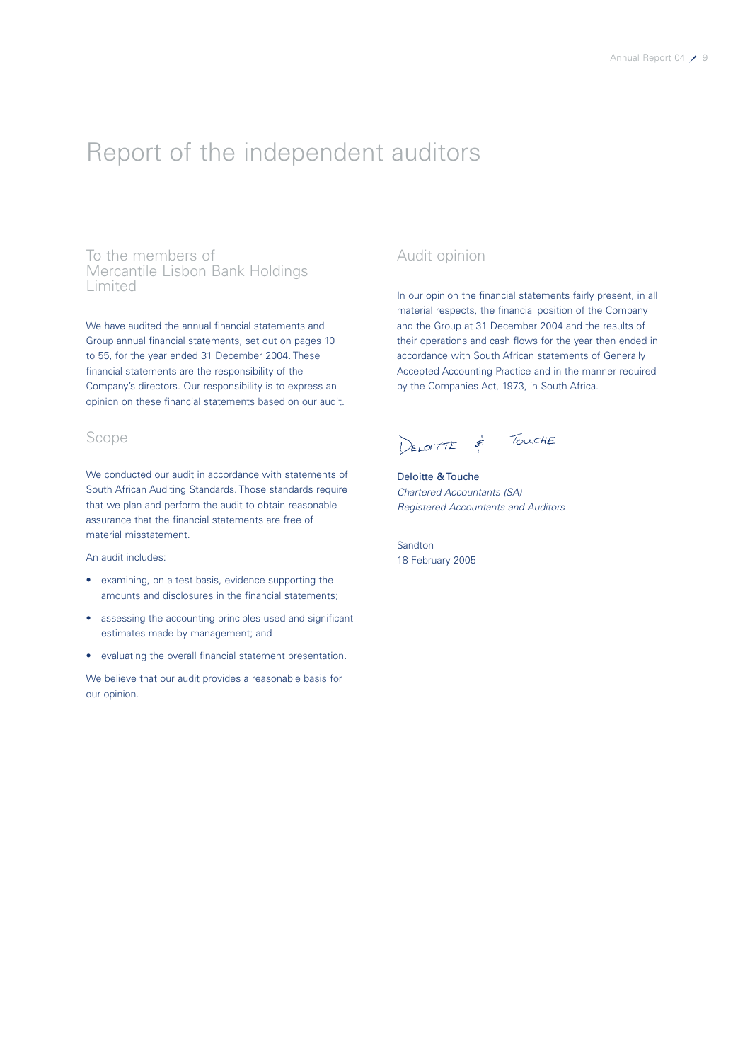### Report of the independent auditors

To the members of Mercantile Lisbon Bank Holdings Limited

We have audited the annual financial statements and Group annual financial statements, set out on pages 10 to 55, for the year ended 31 December 2004. These financial statements are the responsibility of the Company's directors. Our responsibility is to express an opinion on these financial statements based on our audit.

### Scope

We conducted our audit in accordance with statements of South African Auditing Standards. Those standards require that we plan and perform the audit to obtain reasonable assurance that the financial statements are free of material misstatement.

An audit includes:

- examining, on a test basis, evidence supporting the amounts and disclosures in the financial statements;
- assessing the accounting principles used and significant estimates made by management; and
- evaluating the overall financial statement presentation.

We believe that our audit provides a reasonable basis for our opinion.

### Audit opinion

In our opinion the financial statements fairly present, in all material respects, the financial position of the Company and the Group at 31 December 2004 and the results of their operations and cash flows for the year then ended in accordance with South African statements of Generally Accepted Accounting Practice and in the manner required by the Companies Act, 1973, in South Africa.

DELOTTE & TOUCHE

Deloitte & Touche *Chartered Accountants (SA) Registered Accountants and Auditors*

Sandton 18 February 2005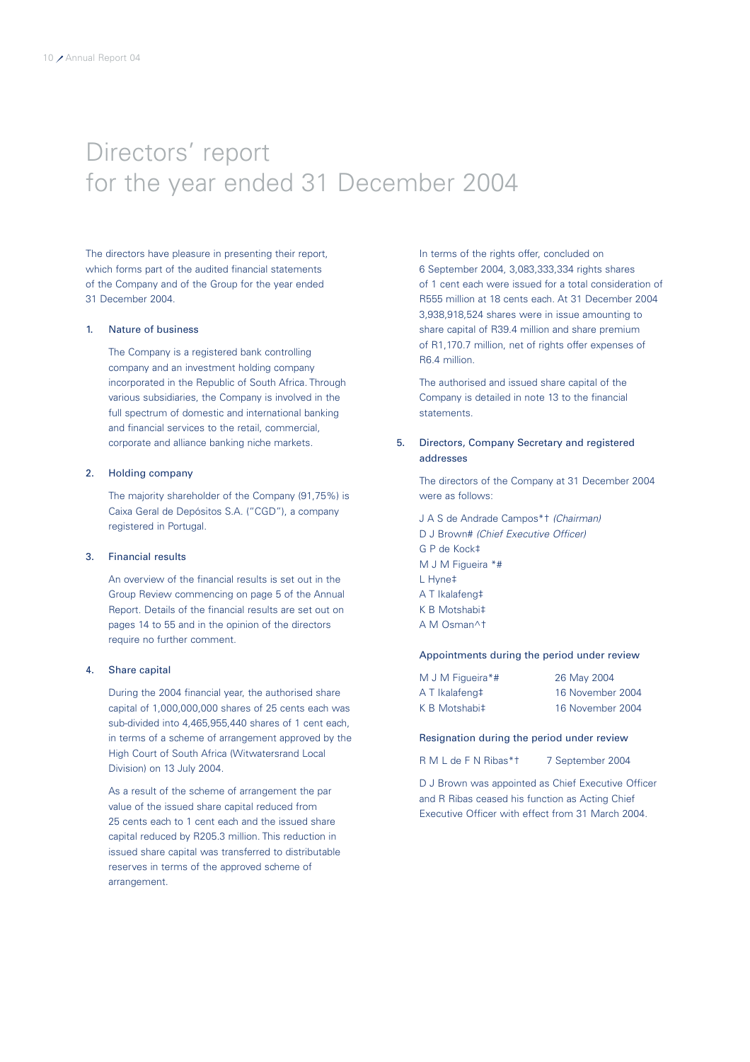## Directors' report for the year ended 31 December 2004

The directors have pleasure in presenting their report, which forms part of the audited financial statements of the Company and of the Group for the year ended 31 December 2004.

#### 1. Nature of business

The Company is a registered bank controlling company and an investment holding company incorporated in the Republic of South Africa. Through various subsidiaries, the Company is involved in the full spectrum of domestic and international banking and financial services to the retail, commercial, corporate and alliance banking niche markets.

#### 2. Holding company

The majority shareholder of the Company (91,75%) is Caixa Geral de Depósitos S.A. ("CGD"), a company registered in Portugal.

#### 3. Financial results

An overview of the financial results is set out in the Group Review commencing on page 5 of the Annual Report. Details of the financial results are set out on pages 14 to 55 and in the opinion of the directors require no further comment.

#### 4. Share capital

During the 2004 financial year, the authorised share capital of 1,000,000,000 shares of 25 cents each was sub-divided into 4,465,955,440 shares of 1 cent each, in terms of a scheme of arrangement approved by the High Court of South Africa (Witwatersrand Local Division) on 13 July 2004.

As a result of the scheme of arrangement the par value of the issued share capital reduced from 25 cents each to 1 cent each and the issued share capital reduced by R205.3 million. This reduction in issued share capital was transferred to distributable reserves in terms of the approved scheme of arrangement.

In terms of the rights offer, concluded on 6 September 2004, 3,083,333,334 rights shares of 1 cent each were issued for a total consideration of R555 million at 18 cents each. At 31 December 2004 3,938,918,524 shares were in issue amounting to share capital of R39.4 million and share premium of R1,170.7 million, net of rights offer expenses of R6.4 million.

The authorised and issued share capital of the Company is detailed in note 13 to the financial statements.

### 5. Directors, Company Secretary and registered addresses

The directors of the Company at 31 December 2004 were as follows:

J A S de Andrade Campos\*† *(Chairman)* D J Brown# *(Chief Executive Officer)* G P de Kock‡ M J M Figueira \*# L Hyne‡ A T Ikalafeng‡ K B Motshabi‡ A M Osman^†

#### Appointments during the period under review

| M J M Figueira*# | 26 May 2004      |
|------------------|------------------|
| A T Ikalafeng‡   | 16 November 2004 |
| K B Motshabi‡    | 16 November 2004 |

#### Resignation during the period under review

R M L de F N Ribas\*t 7 September 2004

D J Brown was appointed as Chief Executive Officer and R Ribas ceased his function as Acting Chief Executive Officer with effect from 31 March 2004.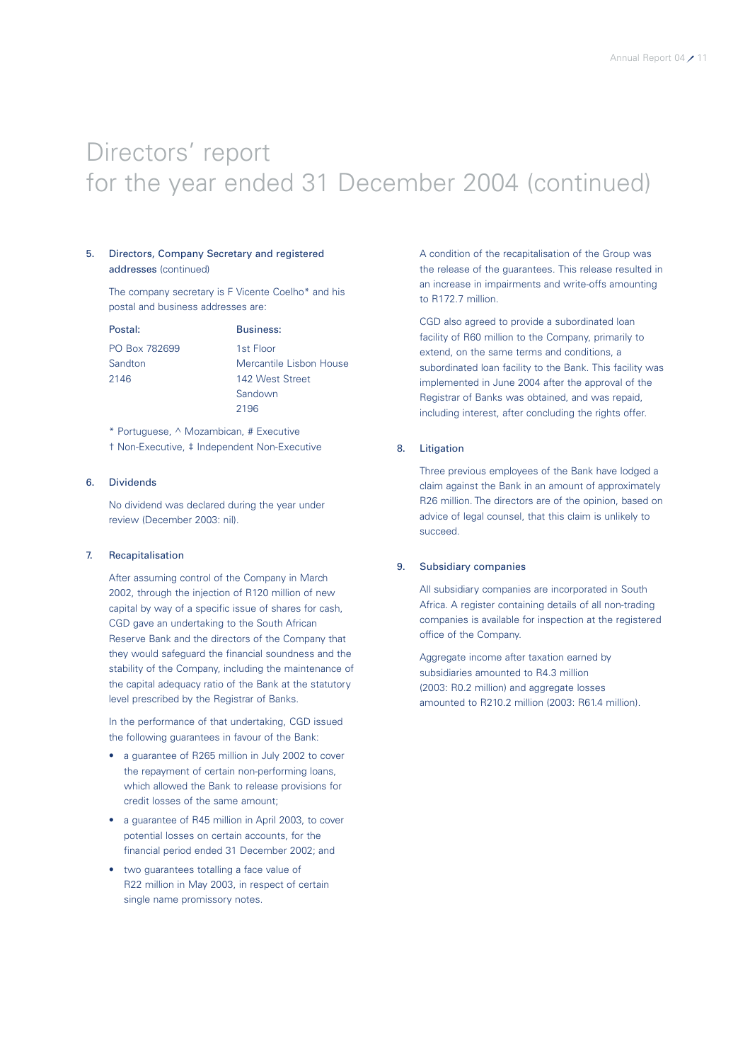# Directors' report for the year ended 31 December 2004 (continued)

#### 5. Directors, Company Secretary and registered addresses (continued)

The company secretary is F Vicente Coelho\* and his postal and business addresses are:

Postal: Business: PO Box 782699 1st Floor

Sandton Mercantile Lisbon House 2146 142 West Street Sandown 2196

\* Portuguese, ^ Mozambican, # Executive † Non-Executive, ‡ Independent Non-Executive

#### 6. Dividends

No dividend was declared during the year under review (December 2003: nil).

#### 7. Recapitalisation

After assuming control of the Company in March 2002, through the injection of R120 million of new capital by way of a specific issue of shares for cash, CGD gave an undertaking to the South African Reserve Bank and the directors of the Company that they would safeguard the financial soundness and the stability of the Company, including the maintenance of the capital adequacy ratio of the Bank at the statutory level prescribed by the Registrar of Banks.

In the performance of that undertaking, CGD issued the following guarantees in favour of the Bank:

- a guarantee of R265 million in July 2002 to cover the repayment of certain non-performing loans, which allowed the Bank to release provisions for credit losses of the same amount;
- a guarantee of R45 million in April 2003, to cover potential losses on certain accounts, for the financial period ended 31 December 2002; and
- two guarantees totalling a face value of R22 million in May 2003, in respect of certain single name promissory notes.

A condition of the recapitalisation of the Group was the release of the guarantees. This release resulted in an increase in impairments and write-offs amounting to R172.7 million

CGD also agreed to provide a subordinated loan facility of R60 million to the Company, primarily to extend, on the same terms and conditions, a subordinated loan facility to the Bank. This facility was implemented in June 2004 after the approval of the Registrar of Banks was obtained, and was repaid, including interest, after concluding the rights offer.

#### 8. Litigation

Three previous employees of the Bank have lodged a claim against the Bank in an amount of approximately R26 million. The directors are of the opinion, based on advice of legal counsel, that this claim is unlikely to succeed.

#### 9. Subsidiary companies

All subsidiary companies are incorporated in South Africa. A register containing details of all non-trading companies is available for inspection at the registered office of the Company.

Aggregate income after taxation earned by subsidiaries amounted to R4.3 million (2003: R0.2 million) and aggregate losses amounted to R210.2 million (2003: R61.4 million).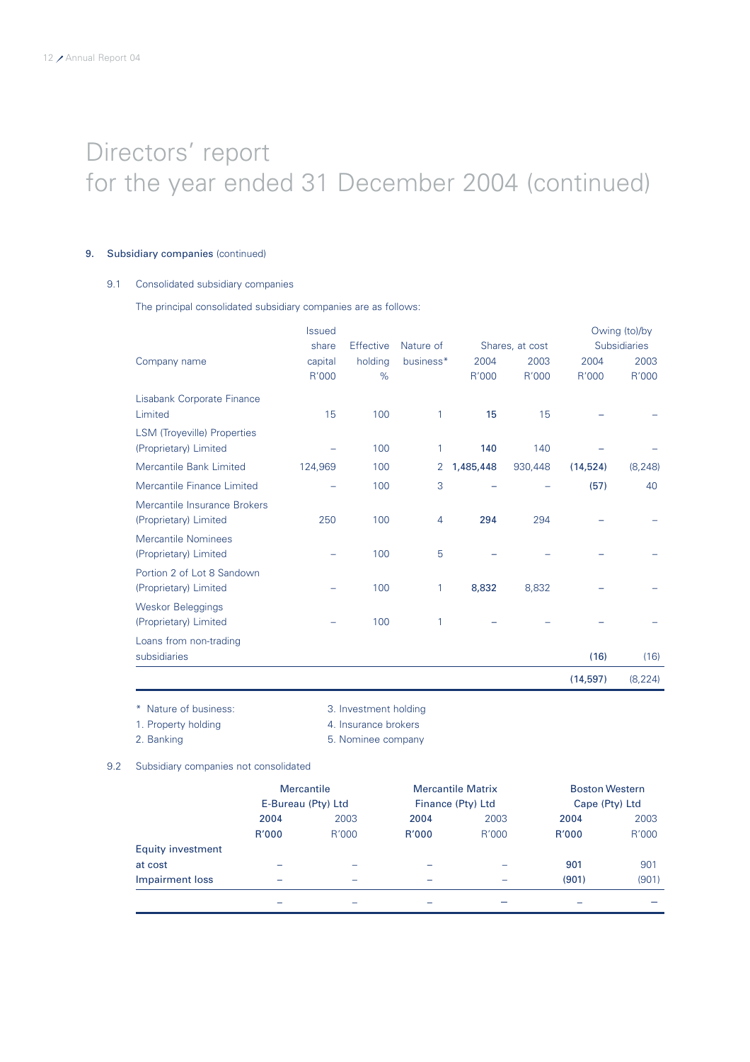# Directors' report for the year ended 31 December 2004 (continued)

#### 9. Subsidiary companies (continued)

### 9.1 Consolidated subsidiary companies

The principal consolidated subsidiary companies are as follows:

|                                    | <b>Issued</b> |           |                |           |                 |           | Owing (to)/by       |
|------------------------------------|---------------|-----------|----------------|-----------|-----------------|-----------|---------------------|
|                                    | share         | Effective | Nature of      |           | Shares, at cost |           | <b>Subsidiaries</b> |
| Company name                       | capital       | holding   | business*      | 2004      | 2003            | 2004      | 2003                |
|                                    | R'000         | %         |                | R'000     | R'000           | R'000     | R'000               |
| Lisabank Corporate Finance         |               |           |                |           |                 |           |                     |
| Limited                            | 15            | 100       | 1              | 15        | 15              |           |                     |
| <b>LSM (Troyeville) Properties</b> |               |           |                |           |                 |           |                     |
| (Proprietary) Limited              |               | 100       | 1              | 140       | 140             |           |                     |
| <b>Mercantile Bank Limited</b>     | 124,969       | 100       | 2              | 1,485,448 | 930,448         | (14, 524) | (8, 248)            |
| Mercantile Finance Limited         |               | 100       | 3              |           |                 | (57)      | 40                  |
| Mercantile Insurance Brokers       |               |           |                |           |                 |           |                     |
| (Proprietary) Limited              | 250           | 100       | $\overline{4}$ | 294       | 294             |           |                     |
| Mercantile Nominees                |               |           |                |           |                 |           |                     |
| (Proprietary) Limited              |               | 100       | 5              |           |                 |           |                     |
| Portion 2 of Lot 8 Sandown         |               |           |                |           |                 |           |                     |
| (Proprietary) Limited              |               | 100       | 1              | 8,832     | 8,832           |           |                     |
| Weskor Beleggings                  |               |           |                |           |                 |           |                     |
| (Proprietary) Limited              |               | 100       | 1              |           |                 |           |                     |
| Loans from non-trading             |               |           |                |           |                 |           |                     |
| subsidiaries                       |               |           |                |           |                 | (16)      | (16)                |
|                                    |               |           |                |           |                 | (14, 597) | (8, 224)            |

\* Nature of business: 3. Investment holding

1. Property holding and the state of the 4. Insurance brokers

2. Banking **5. Nominee company** 

9.2 Subsidiary companies not consolidated

|                          | <b>Mercantile</b><br>E-Bureau (Pty) Ltd |       |       | <b>Mercantile Matrix</b><br>Finance (Pty) Ltd |       | <b>Boston Western</b><br>Cape (Pty) Ltd |  |
|--------------------------|-----------------------------------------|-------|-------|-----------------------------------------------|-------|-----------------------------------------|--|
|                          | 2004                                    | 2003  | 2004  | 2003                                          | 2004  | 2003                                    |  |
|                          | R'000                                   | R'000 | R'000 | R'000                                         | R'000 | R'000                                   |  |
| <b>Equity investment</b> |                                         |       |       |                                               |       |                                         |  |
| at cost                  | -                                       |       |       |                                               | 901   | 901                                     |  |
| Impairment loss          | -                                       | -     |       |                                               | (901) | (901)                                   |  |
|                          |                                         |       |       |                                               |       |                                         |  |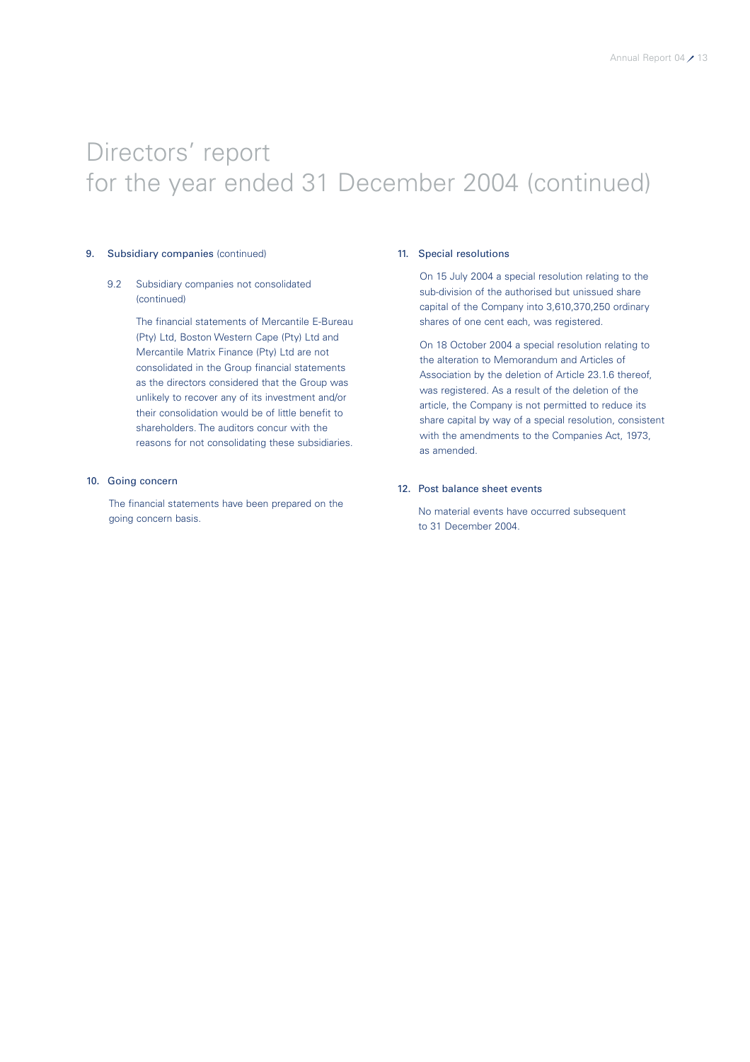# Directors' report for the year ended 31 December 2004 (continued)

#### 9. Subsidiary companies (continued)

#### 9.2 Subsidiary companies not consolidated (continued)

The financial statements of Mercantile E-Bureau (Pty) Ltd, Boston Western Cape (Pty) Ltd and Mercantile Matrix Finance (Pty) Ltd are not consolidated in the Group financial statements as the directors considered that the Group was unlikely to recover any of its investment and/or their consolidation would be of little benefit to shareholders. The auditors concur with the reasons for not consolidating these subsidiaries.

#### 10. Going concern

The financial statements have been prepared on the going concern basis.

#### 11. Special resolutions

On 15 July 2004 a special resolution relating to the sub-division of the authorised but unissued share capital of the Company into 3,610,370,250 ordinary shares of one cent each, was registered.

On 18 October 2004 a special resolution relating to the alteration to Memorandum and Articles of Association by the deletion of Article 23.1.6 thereof, was registered. As a result of the deletion of the article, the Company is not permitted to reduce its share capital by way of a special resolution, consistent with the amendments to the Companies Act, 1973, as amended.

#### 12. Post balance sheet events

No material events have occurred subsequent to 31 December 2004.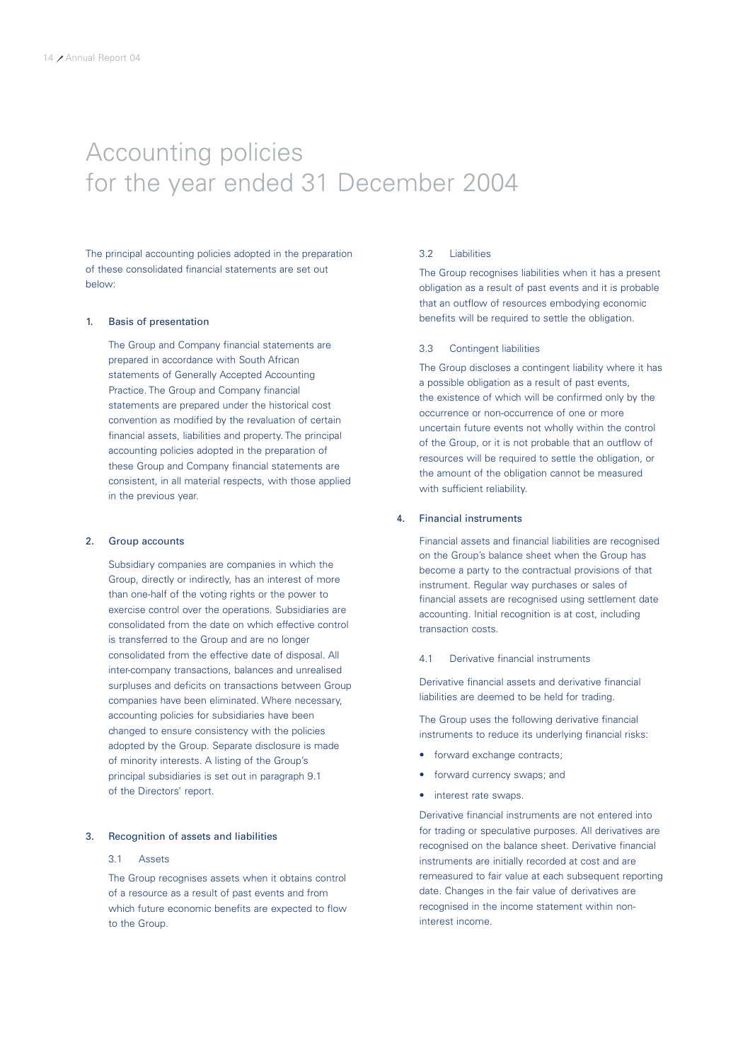### Accounting policies for the year ended 31 December 2004

The principal accounting policies adopted in the preparation of these consolidated financial statements are set out below:

#### 1. Basis of presentation

The Group and Company financial statements are prepared in accordance with South African statements of Generally Accepted Accounting Practice. The Group and Company financial statements are prepared under the historical cost convention as modified by the revaluation of certain financial assets, liabilities and property. The principal accounting policies adopted in the preparation of these Group and Company financial statements are consistent, in all material respects, with those applied in the previous year.

#### 2. Group accounts

Subsidiary companies are companies in which the Group, directly or indirectly, has an interest of more than one-half of the voting rights or the power to exercise control over the operations. Subsidiaries are consolidated from the date on which effective control is transferred to the Group and are no longer consolidated from the effective date of disposal. All inter-company transactions, balances and unrealised surpluses and deficits on transactions between Group companies have been eliminated. Where necessary, accounting policies for subsidiaries have been changed to ensure consistency with the policies adopted by the Group. Separate disclosure is made of minority interests. A listing of the Group's principal subsidiaries is set out in paragraph 9.1 of the Directors' report.

#### 3. Recognition of assets and liabilities

#### 3.1 Assets

The Group recognises assets when it obtains control of a resource as a result of past events and from which future economic benefits are expected to flow to the Group.

#### 3.2 Liabilities

The Group recognises liabilities when it has a present obligation as a result of past events and it is probable that an outflow of resources embodying economic benefits will be required to settle the obligation.

#### 3.3 Contingent liabilities

The Group discloses a contingent liability where it has a possible obligation as a result of past events, the existence of which will be confirmed only by the occurrence or non-occurrence of one or more uncertain future events not wholly within the control of the Group, or it is not probable that an outflow of resources will be required to settle the obligation, or the amount of the obligation cannot be measured with sufficient reliability.

### 4. Financial instruments

Financial assets and financial liabilities are recognised on the Group's balance sheet when the Group has become a party to the contractual provisions of that instrument. Regular way purchases or sales of financial assets are recognised using settlement date accounting. Initial recognition is at cost, including transaction costs.

#### 4.1 Derivative financial instruments

Derivative financial assets and derivative financial liabilities are deemed to be held for trading.

The Group uses the following derivative financial instruments to reduce its underlying financial risks:

- forward exchange contracts:
- forward currency swaps; and
- interest rate swaps.

Derivative financial instruments are not entered into for trading or speculative purposes. All derivatives are recognised on the balance sheet. Derivative financial instruments are initially recorded at cost and are remeasured to fair value at each subsequent reporting date. Changes in the fair value of derivatives are recognised in the income statement within noninterest income.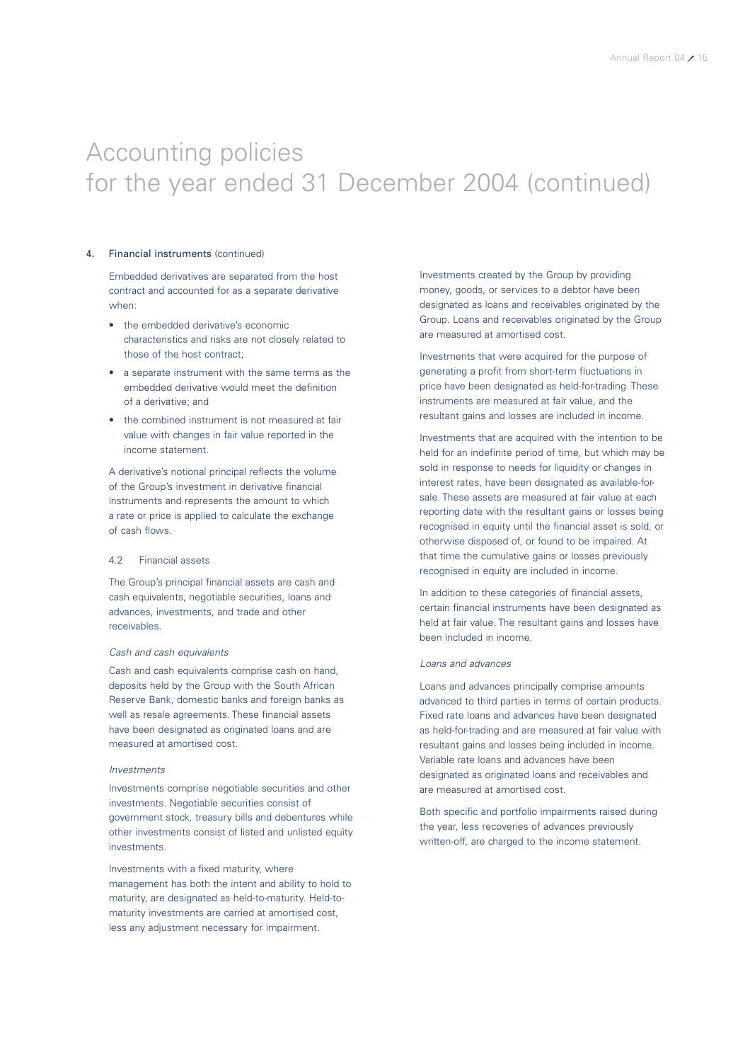#### 4. Financial instruments (continued)

Embedded derivatives are separated from the host contract and accounted for as a separate derivative when:

- the embedded derivative's economic characteristics and risks are not closely related to those of the host contract;
- a separate instrument with the same terms as the embedded derivative would meet the definition of a derivative; and
- the combined instrument is not measured at fair value with changes in fair value reported in the income statement.

A derivative's notional principal reflects the volume of the Group's investment in derivative financial instruments and represents the amount to which a rate or price is applied to calculate the exchange of cash flows.

#### 4.2 Financial assets

The Group's principal financial assets are cash and cash equivalents, negotiable securities, loans and advances, investments, and trade and other receivables.

#### *Cash and cash equivalents*

Cash and cash equivalents comprise cash on hand, deposits held by the Group with the South African Reserve Bank, domestic banks and foreign banks as well as resale agreements. These financial assets have been designated as originated loans and are measured at amortised cost.

#### *Investments*

Investments comprise negotiable securities and other investments. Negotiable securities consist of government stock, treasury bills and debentures while other investments consist of listed and unlisted equity investments.

Investments with a fixed maturity, where management has both the intent and ability to hold to maturity, are designated as held-to-maturity. Held-tomaturity investments are carried at amortised cost, less any adjustment necessary for impairment.

Investments created by the Group by providing money, goods, or services to a debtor have been designated as loans and receivables originated by the Group. Loans and receivables originated by the Group are measured at amortised cost.

Investments that were acquired for the purpose of generating a profit from short-term fluctuations in price have been designated as held-for-trading. These instruments are measured at fair value, and the resultant gains and losses are included in income.

Investments that are acquired with the intention to be held for an indefinite period of time, but which may be sold in response to needs for liquidity or changes in interest rates, have been designated as available-forsale. These assets are measured at fair value at each reporting date with the resultant gains or losses being recognised in equity until the financial asset is sold, or otherwise disposed of, or found to be impaired. At that time the cumulative gains or losses previously recognised in equity are included in income.

In addition to these categories of financial assets, certain financial instruments have been designated as held at fair value. The resultant gains and losses have been included in income.

#### *Loans and advances*

Loans and advances principally comprise amounts advanced to third parties in terms of certain products. Fixed rate loans and advances have been designated as held-for-trading and are measured at fair value with resultant gains and losses being included in income. Variable rate loans and advances have been designated as originated loans and receivables and are measured at amortised cost.

Both specific and portfolio impairments raised during the year, less recoveries of advances previously written-off, are charged to the income statement.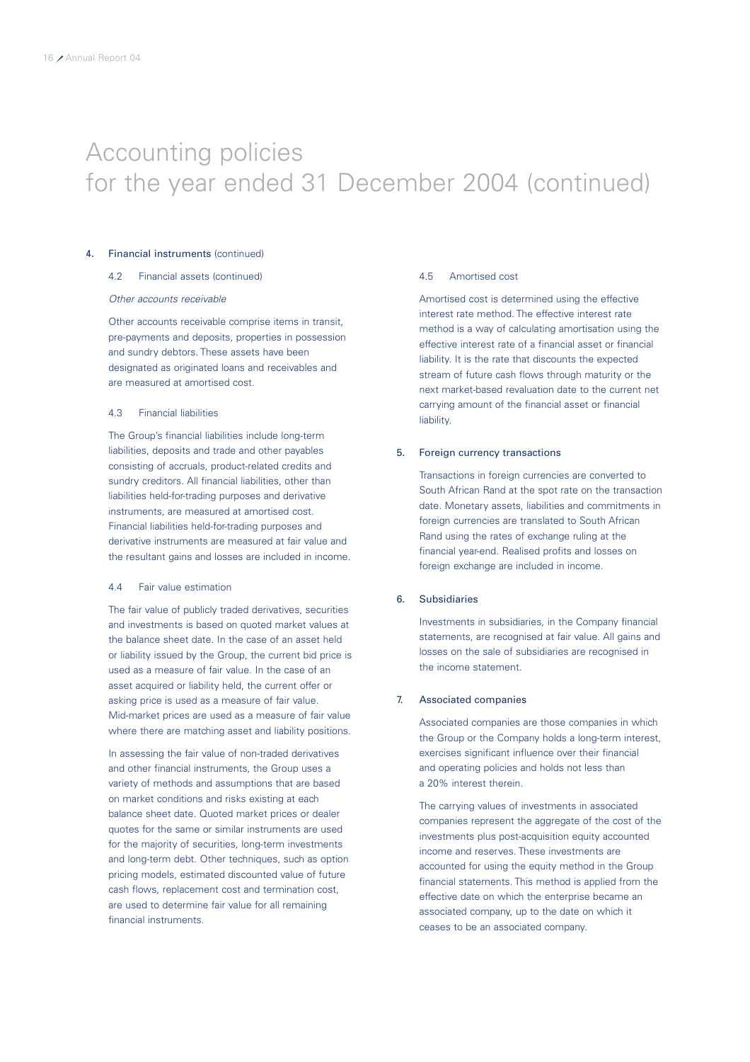#### 4. Financial instruments (continued)

#### 4.2 Financial assets (continued)

#### *Other accounts receivable*

Other accounts receivable comprise items in transit, pre-payments and deposits, properties in possession and sundry debtors. These assets have been designated as originated loans and receivables and are measured at amortised cost.

#### 4.3 Financial liabilities

The Group's financial liabilities include long-term liabilities, deposits and trade and other payables consisting of accruals, product-related credits and sundry creditors. All financial liabilities, other than liabilities held-for-trading purposes and derivative instruments, are measured at amortised cost. Financial liabilities held-for-trading purposes and derivative instruments are measured at fair value and the resultant gains and losses are included in income.

#### 4.4 Fair value estimation

The fair value of publicly traded derivatives, securities and investments is based on quoted market values at the balance sheet date. In the case of an asset held or liability issued by the Group, the current bid price is used as a measure of fair value. In the case of an asset acquired or liability held, the current offer or asking price is used as a measure of fair value. Mid-market prices are used as a measure of fair value where there are matching asset and liability positions.

In assessing the fair value of non-traded derivatives and other financial instruments, the Group uses a variety of methods and assumptions that are based on market conditions and risks existing at each balance sheet date. Quoted market prices or dealer quotes for the same or similar instruments are used for the majority of securities, long-term investments and long-term debt. Other techniques, such as option pricing models, estimated discounted value of future cash flows, replacement cost and termination cost, are used to determine fair value for all remaining financial instruments.

#### 4.5 Amortised cost

Amortised cost is determined using the effective interest rate method. The effective interest rate method is a way of calculating amortisation using the effective interest rate of a financial asset or financial liability. It is the rate that discounts the expected stream of future cash flows through maturity or the next market-based revaluation date to the current net carrying amount of the financial asset or financial liability.

#### 5. Foreign currency transactions

Transactions in foreign currencies are converted to South African Rand at the spot rate on the transaction date. Monetary assets, liabilities and commitments in foreign currencies are translated to South African Rand using the rates of exchange ruling at the financial year-end. Realised profits and losses on foreign exchange are included in income.

#### 6. Subsidiaries

Investments in subsidiaries, in the Company financial statements, are recognised at fair value. All gains and losses on the sale of subsidiaries are recognised in the income statement.

#### 7. Associated companies

Associated companies are those companies in which the Group or the Company holds a long-term interest, exercises significant influence over their financial and operating policies and holds not less than a 20% interest therein.

The carrying values of investments in associated companies represent the aggregate of the cost of the investments plus post-acquisition equity accounted income and reserves. These investments are accounted for using the equity method in the Group financial statements. This method is applied from the effective date on which the enterprise became an associated company, up to the date on which it ceases to be an associated company.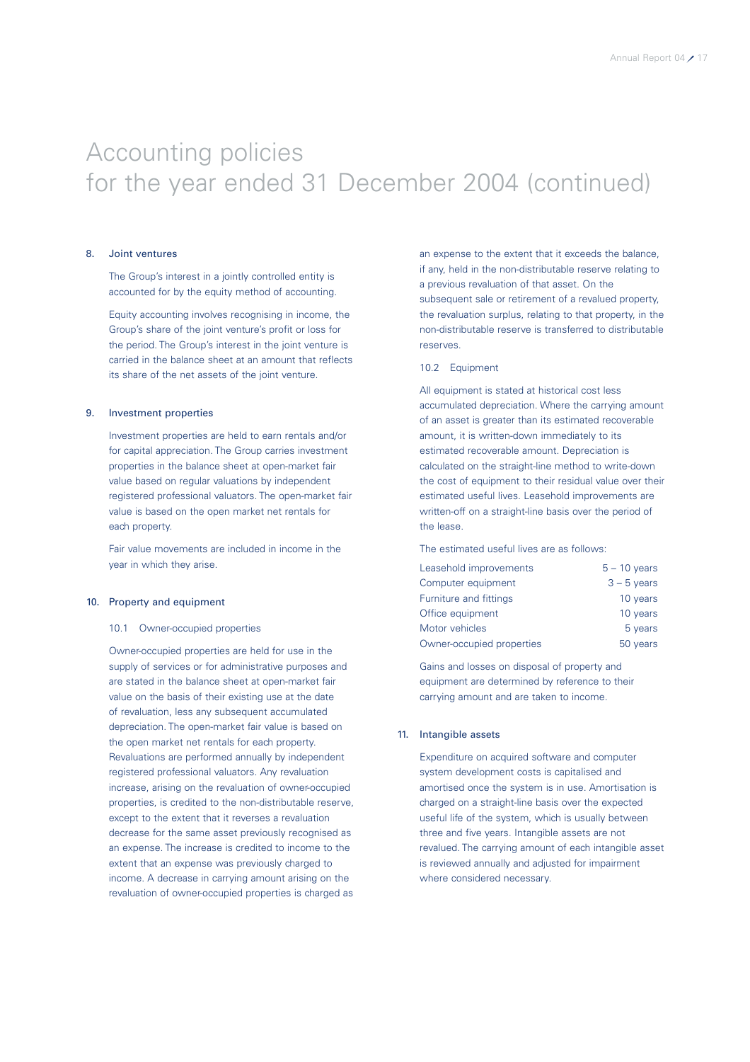#### 8. Joint ventures

The Group's interest in a jointly controlled entity is accounted for by the equity method of accounting.

Equity accounting involves recognising in income, the Group's share of the joint venture's profit or loss for the period. The Group's interest in the joint venture is carried in the balance sheet at an amount that reflects its share of the net assets of the joint venture.

#### 9. Investment properties

Investment properties are held to earn rentals and/or for capital appreciation. The Group carries investment properties in the balance sheet at open-market fair value based on regular valuations by independent registered professional valuators. The open-market fair value is based on the open market net rentals for each property.

Fair value movements are included in income in the year in which they arise.

#### 10. Property and equipment

#### 10.1 Owner-occupied properties

Owner-occupied properties are held for use in the supply of services or for administrative purposes and are stated in the balance sheet at open-market fair value on the basis of their existing use at the date of revaluation, less any subsequent accumulated depreciation. The open-market fair value is based on the open market net rentals for each property. Revaluations are performed annually by independent registered professional valuators. Any revaluation increase, arising on the revaluation of owner-occupied properties, is credited to the non-distributable reserve, except to the extent that it reverses a revaluation decrease for the same asset previously recognised as an expense. The increase is credited to income to the extent that an expense was previously charged to income. A decrease in carrying amount arising on the revaluation of owner-occupied properties is charged as an expense to the extent that it exceeds the balance, if any, held in the non-distributable reserve relating to a previous revaluation of that asset. On the subsequent sale or retirement of a revalued property. the revaluation surplus, relating to that property, in the non-distributable reserve is transferred to distributable reserves.

#### 10.2 Equipment

All equipment is stated at historical cost less accumulated depreciation. Where the carrying amount of an asset is greater than its estimated recoverable amount, it is written-down immediately to its estimated recoverable amount. Depreciation is calculated on the straight-line method to write-down the cost of equipment to their residual value over their estimated useful lives. Leasehold improvements are written-off on a straight-line basis over the period of the lease.

The estimated useful lives are as follows:

| Leasehold improvements    | $5 - 10$ years |
|---------------------------|----------------|
| Computer equipment        | $3 - 5$ years  |
| Furniture and fittings    | 10 years       |
| Office equipment          | 10 years       |
| Motor vehicles            | 5 years        |
| Owner-occupied properties | 50 years       |

Gains and losses on disposal of property and equipment are determined by reference to their carrying amount and are taken to income.

#### 11. Intangible assets

Expenditure on acquired software and computer system development costs is capitalised and amortised once the system is in use. Amortisation is charged on a straight-line basis over the expected useful life of the system, which is usually between three and five years. Intangible assets are not revalued. The carrying amount of each intangible asset is reviewed annually and adjusted for impairment where considered necessary.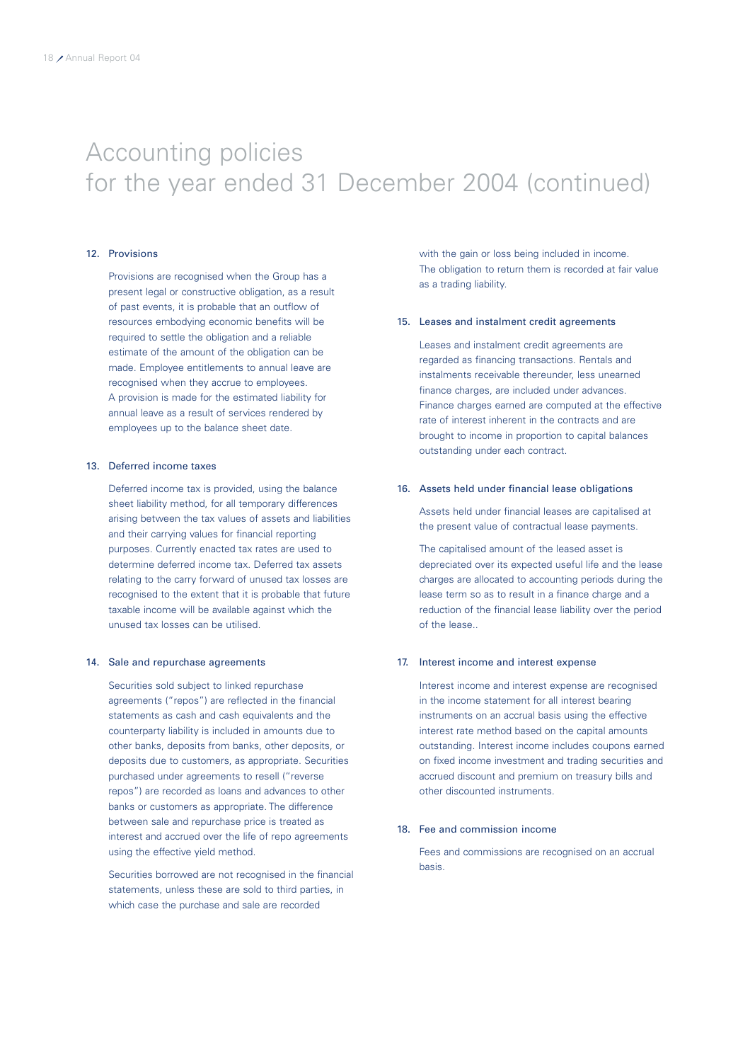#### 12. Provisions

Provisions are recognised when the Group has a present legal or constructive obligation, as a result of past events, it is probable that an outflow of resources embodying economic benefits will be required to settle the obligation and a reliable estimate of the amount of the obligation can be made. Employee entitlements to annual leave are recognised when they accrue to employees. A provision is made for the estimated liability for annual leave as a result of services rendered by employees up to the balance sheet date.

#### 13. Deferred income taxes

Deferred income tax is provided, using the balance sheet liability method, for all temporary differences arising between the tax values of assets and liabilities and their carrying values for financial reporting purposes. Currently enacted tax rates are used to determine deferred income tax. Deferred tax assets relating to the carry forward of unused tax losses are recognised to the extent that it is probable that future taxable income will be available against which the unused tax losses can be utilised.

#### 14. Sale and repurchase agreements

Securities sold subject to linked repurchase agreements ("repos") are reflected in the financial statements as cash and cash equivalents and the counterparty liability is included in amounts due to other banks, deposits from banks, other deposits, or deposits due to customers, as appropriate. Securities purchased under agreements to resell ("reverse repos") are recorded as loans and advances to other banks or customers as appropriate. The difference between sale and repurchase price is treated as interest and accrued over the life of repo agreements using the effective yield method.

Securities borrowed are not recognised in the financial statements, unless these are sold to third parties, in which case the purchase and sale are recorded

with the gain or loss being included in income. The obligation to return them is recorded at fair value as a trading liability.

#### 15. Leases and instalment credit agreements

Leases and instalment credit agreements are regarded as financing transactions. Rentals and instalments receivable thereunder, less unearned finance charges, are included under advances. Finance charges earned are computed at the effective rate of interest inherent in the contracts and are brought to income in proportion to capital balances outstanding under each contract.

#### 16. Assets held under financial lease obligations

Assets held under financial leases are capitalised at the present value of contractual lease payments.

The capitalised amount of the leased asset is depreciated over its expected useful life and the lease charges are allocated to accounting periods during the lease term so as to result in a finance charge and a reduction of the financial lease liability over the period of the lease..

#### 17. Interest income and interest expense

Interest income and interest expense are recognised in the income statement for all interest bearing instruments on an accrual basis using the effective interest rate method based on the capital amounts outstanding. Interest income includes coupons earned on fixed income investment and trading securities and accrued discount and premium on treasury bills and other discounted instruments.

#### 18. Fee and commission income

Fees and commissions are recognised on an accrual basis.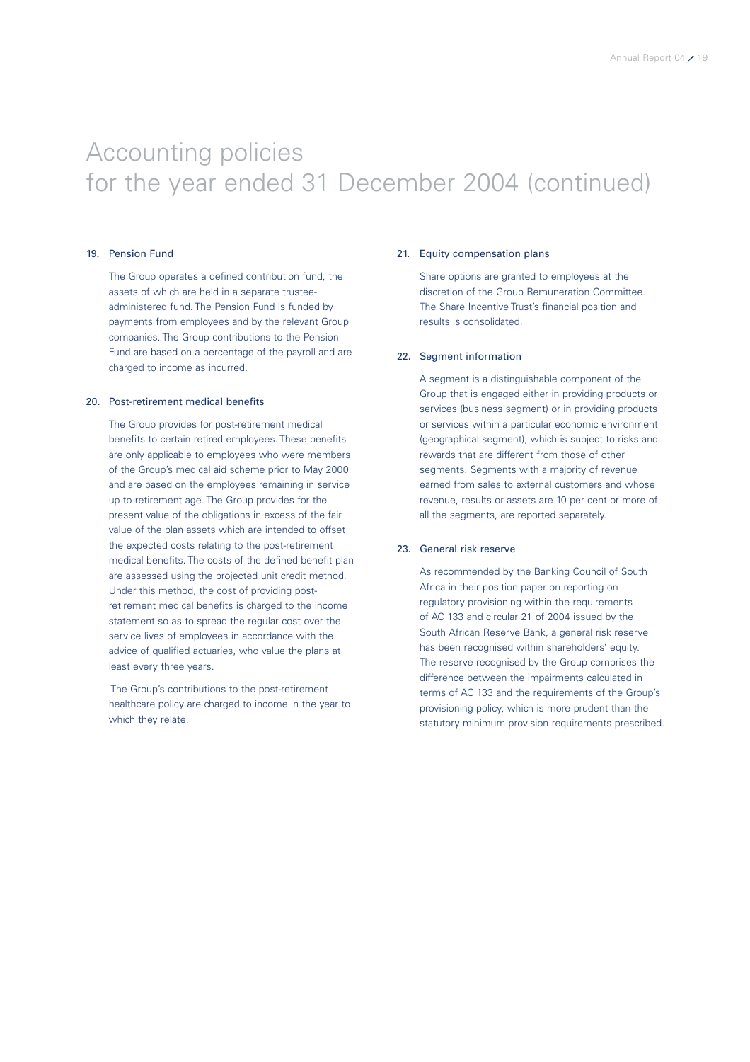#### 19. Pension Fund

The Group operates a defined contribution fund, the assets of which are held in a separate trusteeadministered fund. The Pension Fund is funded by payments from employees and by the relevant Group companies. The Group contributions to the Pension Fund are based on a percentage of the payroll and are charged to income as incurred.

#### 20. Post-retirement medical benefits

The Group provides for post-retirement medical benefits to certain retired employees. These benefits are only applicable to employees who were members of the Group's medical aid scheme prior to May 2000 and are based on the employees remaining in service up to retirement age. The Group provides for the present value of the obligations in excess of the fair value of the plan assets which are intended to offset the expected costs relating to the post-retirement medical benefits. The costs of the defined benefit plan are assessed using the projected unit credit method. Under this method, the cost of providing postretirement medical benefits is charged to the income statement so as to spread the regular cost over the service lives of employees in accordance with the advice of qualified actuaries, who value the plans at least every three years.

The Group's contributions to the post-retirement healthcare policy are charged to income in the year to which they relate.

#### 21. Equity compensation plans

Share options are granted to employees at the discretion of the Group Remuneration Committee. The Share Incentive Trust's financial position and results is consolidated.

#### 22. Segment information

A segment is a distinguishable component of the Group that is engaged either in providing products or services (business segment) or in providing products or services within a particular economic environment (geographical segment), which is subject to risks and rewards that are different from those of other segments. Segments with a majority of revenue earned from sales to external customers and whose revenue, results or assets are 10 per cent or more of all the segments, are reported separately.

#### 23. General risk reserve

As recommended by the Banking Council of South Africa in their position paper on reporting on regulatory provisioning within the requirements of AC 133 and circular 21 of 2004 issued by the South African Reserve Bank, a general risk reserve has been recognised within shareholders' equity. The reserve recognised by the Group comprises the difference between the impairments calculated in terms of AC 133 and the requirements of the Group's provisioning policy, which is more prudent than the statutory minimum provision requirements prescribed.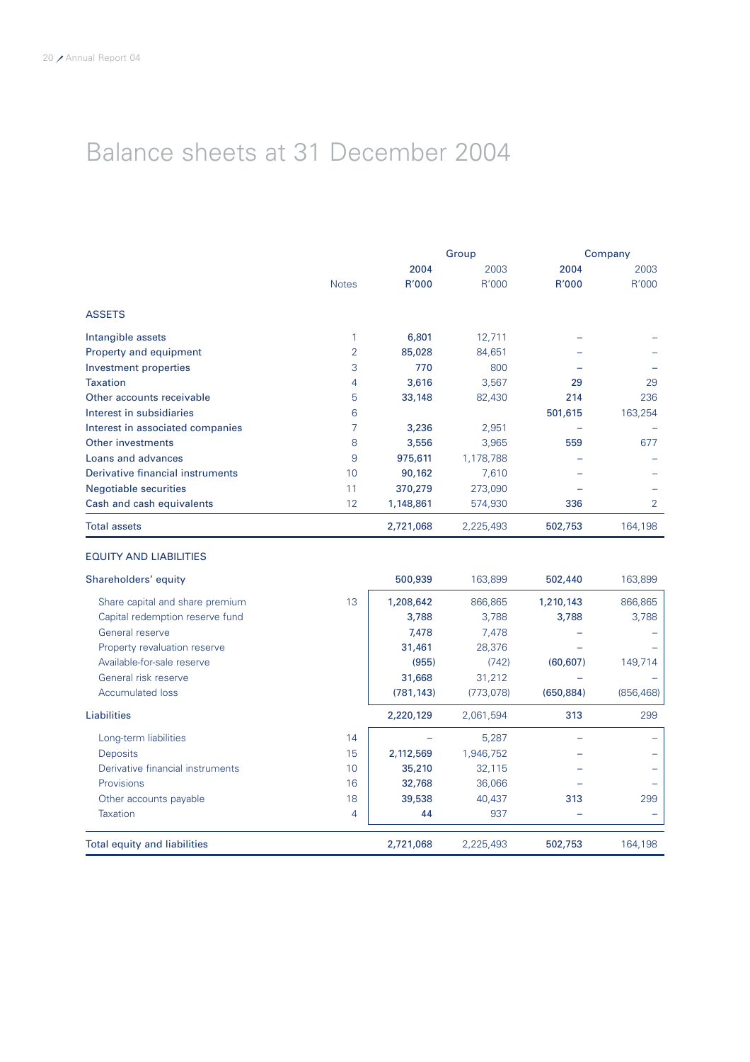# Balance sheets at 31 December 2004

|                                  |              | Group     |           |         | Company |  |
|----------------------------------|--------------|-----------|-----------|---------|---------|--|
|                                  |              | 2004      | 2003      | 2004    | 2003    |  |
|                                  | <b>Notes</b> | R'000     | R'000     | R'000   | R'000   |  |
| <b>ASSETS</b>                    |              |           |           |         |         |  |
| Intangible assets                |              | 6,801     | 12,711    |         |         |  |
| Property and equipment           | 2            | 85,028    | 84,651    |         |         |  |
| Investment properties            | 3            | 770       | 800       |         |         |  |
| <b>Taxation</b>                  | 4            | 3,616     | 3,567     | 29      | 29      |  |
| Other accounts receivable        | 5            | 33,148    | 82,430    | 214     | 236     |  |
| Interest in subsidiaries         | 6            |           |           | 501,615 | 163,254 |  |
| Interest in associated companies |              | 3,236     | 2,951     |         |         |  |
| Other investments                | 8            | 3,556     | 3,965     | 559     | 677     |  |
| Loans and advances               | 9            | 975,611   | 1,178,788 |         |         |  |
| Derivative financial instruments | 10           | 90,162    | 7,610     |         |         |  |
| <b>Negotiable securities</b>     | 11           | 370,279   | 273,090   |         |         |  |
| Cash and cash equivalents        | 12           | 1,148,861 | 574,930   | 336     | 2       |  |
| <b>Total assets</b>              |              | 2,721,068 | 2,225,493 | 502,753 | 164,198 |  |

#### EQUITY AND LIABILITIES

| Shareholders' equity                |    | 500,939    | 163,899   | 502,440    | 163,899    |
|-------------------------------------|----|------------|-----------|------------|------------|
| Share capital and share premium     | 13 | 1,208,642  | 866,865   | 1,210,143  | 866,865    |
| Capital redemption reserve fund     |    | 3,788      | 3,788     | 3,788      | 3,788      |
| General reserve                     |    | 7,478      | 7,478     |            |            |
| Property revaluation reserve        |    | 31,461     | 28,376    |            |            |
| Available-for-sale reserve          |    | (955)      | (742)     | (60, 607)  | 149,714    |
| General risk reserve                |    | 31,668     | 31,212    |            |            |
| <b>Accumulated loss</b>             |    | (781, 143) | (773,078) | (650, 884) | (856, 468) |
| Liabilities                         |    | 2,220,129  | 2,061,594 | 313        | 299        |
| Long-term liabilities               | 14 |            | 5,287     |            |            |
| <b>Deposits</b>                     | 15 | 2,112,569  | 1,946,752 |            |            |
| Derivative financial instruments    | 10 | 35,210     | 32,115    |            |            |
| <b>Provisions</b>                   | 16 | 32,768     | 36,066    |            |            |
| Other accounts payable              | 18 | 39,538     | 40,437    | 313        | 299        |
| <b>Taxation</b>                     | 4  | 44         | 937       |            |            |
| <b>Total equity and liabilities</b> |    | 2,721,068  | 2,225,493 | 502,753    | 164,198    |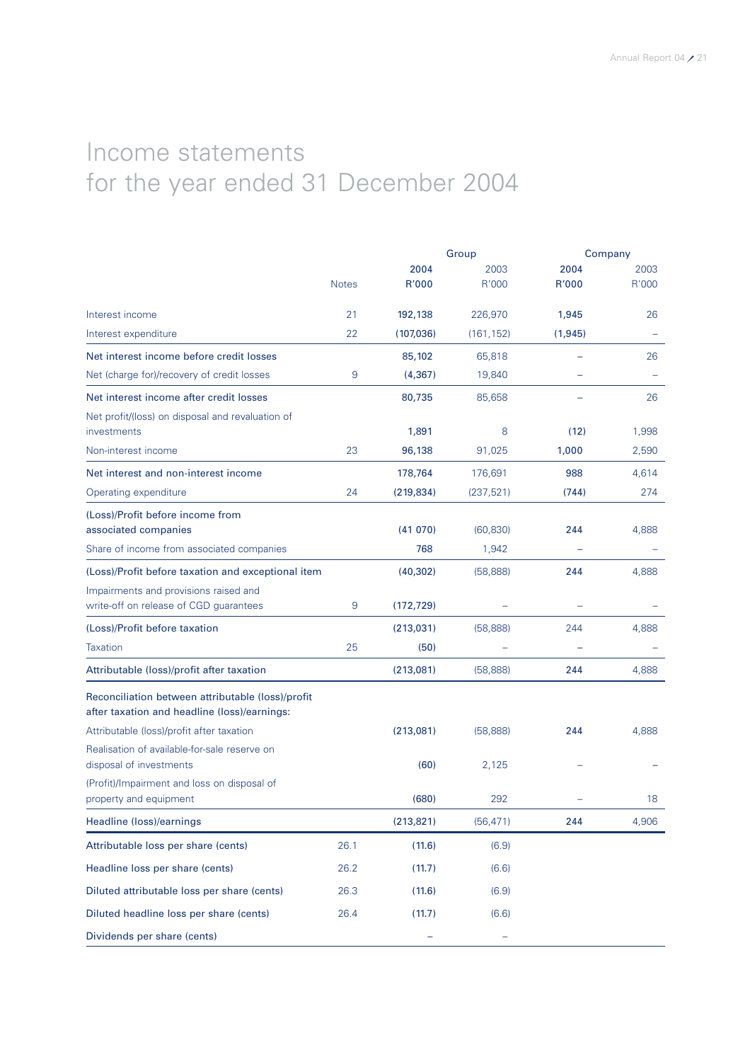# Income statements for the year ended 31 December 2004

|                                                    |              |            | Group      | Company  |       |
|----------------------------------------------------|--------------|------------|------------|----------|-------|
|                                                    |              | 2004       | 2003       | 2004     | 2003  |
|                                                    | <b>Notes</b> | R'000      | R'000      | R'000    | R'000 |
| Interest income                                    | 21           | 192,138    | 226,970    | 1,945    | 26    |
| Interest expenditure                               | 22           | (107,036)  | (161, 152) | (1, 945) |       |
| Net interest income before credit losses           |              | 85,102     | 65,818     |          | 26    |
| Net (charge for)/recovery of credit losses         | 9            | (4, 367)   | 19,840     |          |       |
| Net interest income after credit losses            |              | 80,735     | 85,658     |          | 26    |
| Net profit/(loss) on disposal and revaluation of   |              |            |            |          |       |
| investments                                        |              | 1,891      | 8          | (12)     | 1,998 |
| Non-interest income                                | 23           | 96,138     | 91,025     | 1,000    | 2,590 |
| Net interest and non-interest income               |              | 178,764    | 176,691    | 988      | 4,614 |
| Operating expenditure                              | 24           | (219, 834) | (237, 521) | (744)    | 274   |
| (Loss)/Profit before income from                   |              |            |            |          |       |
| associated companies                               |              | (41070)    | (60, 830)  | 244      | 4,888 |
| Share of income from associated companies          |              | 768        | 1,942      |          |       |
| (Loss)/Profit before taxation and exceptional item |              | (40, 302)  | (58, 888)  | 244      | 4,888 |
| Impairments and provisions raised and              |              |            |            |          |       |
| write-off on release of CGD guarantees             | 9            | (172, 729) |            |          |       |
| (Loss)/Profit before taxation                      |              | (213,031)  | (58, 888)  | 244      | 4,888 |
| <b>Taxation</b>                                    | 25           | (50)       |            |          |       |
| Attributable (loss)/profit after taxation          |              | (213,081)  | (58, 888)  | 244      | 4,888 |
| Reconciliation between attributable (loss)/profit  |              |            |            |          |       |
| after taxation and headline (loss)/earnings:       |              |            |            |          |       |
| Attributable (loss)/profit after taxation          |              | (213,081)  | (58, 888)  | 244      | 4,888 |
| Realisation of available-for-sale reserve on       |              |            |            |          |       |
| disposal of investments                            |              | (60)       | 2,125      |          |       |
| (Profit)/Impairment and loss on disposal of        |              |            |            |          |       |
| property and equipment                             |              | (680)      | 292        |          | 18    |
| Headline (loss)/earnings                           |              | (213, 821) | (56, 471)  | 244      | 4,906 |
| Attributable loss per share (cents)                | 26.1         | (11.6)     | (6.9)      |          |       |
| Headline loss per share (cents)                    | 26.2         | (11.7)     | (6.6)      |          |       |
| Diluted attributable loss per share (cents)        | 26.3         | (11.6)     | (6.9)      |          |       |
| Diluted headline loss per share (cents)            | 26.4         | (11.7)     | (6.6)      |          |       |
| Dividends per share (cents)                        |              |            |            |          |       |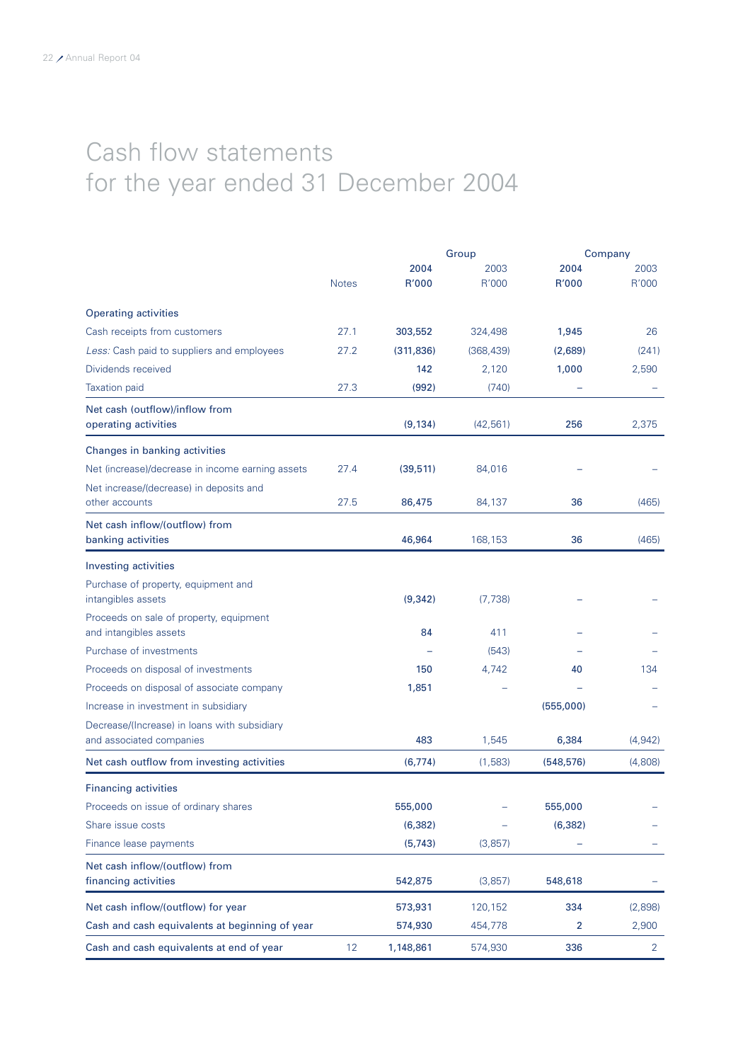# Cash flow statements for the year ended 31 December 2004

|                                                                          |              |            | Group      | Company    |                |
|--------------------------------------------------------------------------|--------------|------------|------------|------------|----------------|
|                                                                          |              | 2004       | 2003       | 2004       | 2003           |
|                                                                          | <b>Notes</b> | R'000      | R'000      | R'000      | R'000          |
| <b>Operating activities</b>                                              |              |            |            |            |                |
| Cash receipts from customers                                             | 27.1         | 303,552    | 324,498    | 1,945      | 26             |
| Less: Cash paid to suppliers and employees                               | 27.2         | (311, 836) | (368, 439) | (2,689)    | (241)          |
| Dividends received                                                       |              | 142        | 2,120      | 1,000      | 2,590          |
| <b>Taxation paid</b>                                                     | 27.3         | (992)      | (740)      |            |                |
| Net cash (outflow)/inflow from<br>operating activities                   |              | (9, 134)   | (42, 561)  | 256        | 2,375          |
| Changes in banking activities                                            |              |            |            |            |                |
| Net (increase)/decrease in income earning assets                         | 27.4         | (39, 511)  | 84,016     |            |                |
| Net increase/(decrease) in deposits and<br>other accounts                | 27.5         | 86,475     | 84,137     | 36         | (465)          |
| Net cash inflow/(outflow) from<br>banking activities                     |              | 46,964     | 168,153    | 36         | (465)          |
| Investing activities                                                     |              |            |            |            |                |
| Purchase of property, equipment and<br>intangibles assets                |              | (9, 342)   | (7, 738)   |            |                |
| Proceeds on sale of property, equipment<br>and intangibles assets        |              | 84         | 411        |            |                |
| Purchase of investments                                                  |              |            | (543)      |            |                |
| Proceeds on disposal of investments                                      |              | 150        | 4,742      | 40         | 134            |
| Proceeds on disposal of associate company                                |              | 1,851      |            |            |                |
| Increase in investment in subsidiary                                     |              |            |            | (555,000)  |                |
| Decrease/(Increase) in loans with subsidiary<br>and associated companies |              | 483        | 1,545      | 6,384      | (4, 942)       |
| Net cash outflow from investing activities                               |              | (6, 774)   | (1,583)    | (548, 576) | (4,808)        |
| <b>Financing activities</b>                                              |              |            |            |            |                |
| Proceeds on issue of ordinary shares                                     |              | 555,000    |            | 555,000    |                |
| Share issue costs                                                        |              | (6, 382)   |            | (6, 382)   |                |
| Finance lease payments                                                   |              | (5, 743)   | (3,857)    |            |                |
| Net cash inflow/(outflow) from<br>financing activities                   |              | 542,875    | (3,857)    | 548,618    |                |
| Net cash inflow/(outflow) for year                                       |              | 573,931    | 120,152    | 334        | (2,898)        |
| Cash and cash equivalents at beginning of year                           |              | 574,930    | 454,778    | 2          | 2,900          |
| Cash and cash equivalents at end of year                                 | 12           | 1,148,861  | 574,930    | 336        | $\overline{2}$ |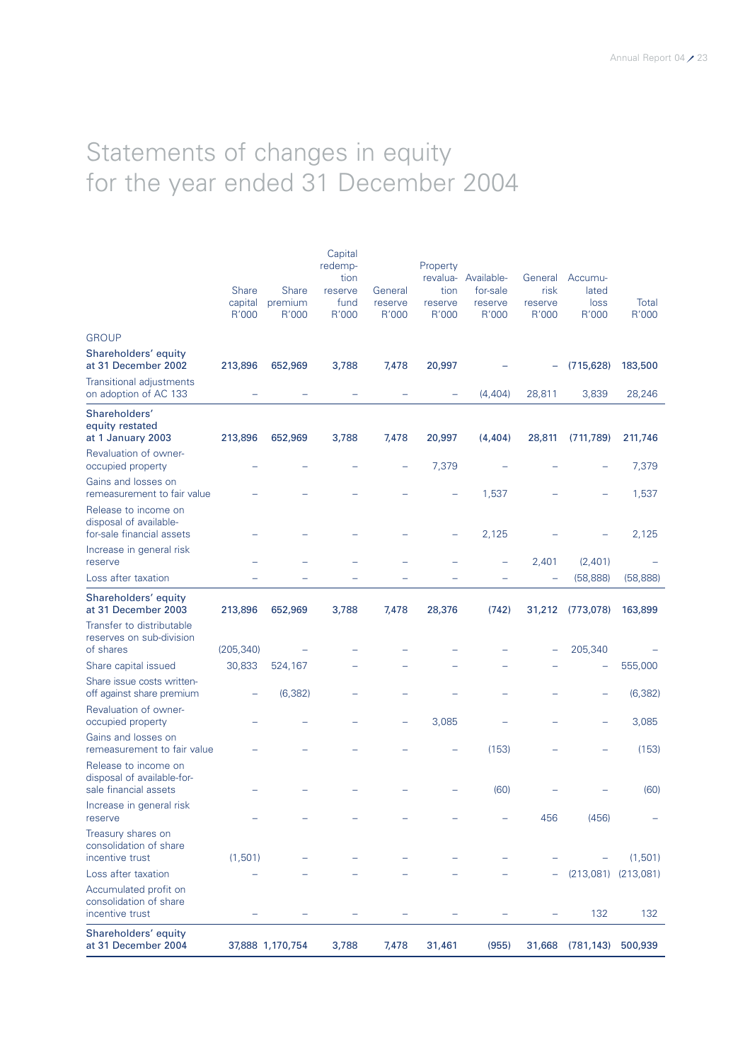# Statements of changes in equity for the year ended 31 December 2004

| Shareholders' equity<br>at 31 December 2004                                 |                                  | 37,888 1,170,754                 | 3,788                                                  | 7,478                       | 31,461                               | (955)                                               |                                     | 31,668 (781,143)                  | 500,939                 |
|-----------------------------------------------------------------------------|----------------------------------|----------------------------------|--------------------------------------------------------|-----------------------------|--------------------------------------|-----------------------------------------------------|-------------------------------------|-----------------------------------|-------------------------|
| Accumulated profit on<br>consolidation of share<br>incentive trust          |                                  |                                  |                                                        |                             |                                      |                                                     |                                     | 132                               | 132                     |
| Loss after taxation                                                         |                                  |                                  |                                                        |                             |                                      |                                                     |                                     |                                   | $(213,081)$ $(213,081)$ |
| Treasury shares on<br>consolidation of share<br>incentive trust             | (1,501)                          |                                  |                                                        |                             |                                      |                                                     |                                     |                                   | (1,501)                 |
| Increase in general risk<br>reserve                                         |                                  |                                  |                                                        |                             |                                      |                                                     | 456                                 | (456)                             |                         |
| Release to income on<br>disposal of available-for-<br>sale financial assets |                                  |                                  |                                                        |                             |                                      | (60)                                                |                                     |                                   | (60)                    |
| Gains and losses on<br>remeasurement to fair value                          |                                  |                                  |                                                        |                             |                                      | (153)                                               |                                     |                                   | (153)                   |
| Revaluation of owner-<br>occupied property                                  |                                  |                                  |                                                        |                             | 3,085                                |                                                     |                                     |                                   | 3,085                   |
| Share issue costs written-<br>off against share premium                     |                                  | (6, 382)                         |                                                        |                             |                                      |                                                     |                                     |                                   | (6, 382)                |
| Share capital issued                                                        | 30,833                           | 524,167                          |                                                        |                             |                                      |                                                     |                                     |                                   | 555,000                 |
| Transfer to distributable<br>reserves on sub-division<br>of shares          | (205, 340)                       |                                  |                                                        |                             |                                      |                                                     |                                     | 205,340                           |                         |
| Shareholders' equity<br>at 31 December 2003                                 | 213,896                          | 652,969                          | 3,788                                                  | 7,478                       | 28,376                               | (742)                                               | 31,212                              | (773,078)                         | 163,899                 |
| Loss after taxation                                                         |                                  |                                  |                                                        |                             |                                      |                                                     | ۳                                   | (58, 888)                         | (58, 888)               |
| Increase in general risk<br>reserve                                         |                                  |                                  |                                                        |                             |                                      |                                                     | 2,401                               | (2,401)                           |                         |
| Release to income on<br>disposal of available-<br>for-sale financial assets |                                  |                                  |                                                        |                             |                                      | 2,125                                               |                                     |                                   | 2,125                   |
| Gains and losses on<br>remeasurement to fair value                          |                                  |                                  |                                                        |                             |                                      | 1,537                                               |                                     |                                   | 1,537                   |
| Revaluation of owner-<br>occupied property                                  |                                  |                                  |                                                        |                             | 7,379                                |                                                     |                                     |                                   | 7,379                   |
| Shareholders'<br>equity restated<br>at 1 January 2003                       | 213,896                          | 652,969                          | 3,788                                                  | 7,478                       | 20,997                               | (4, 404)                                            | 28,811                              | (711, 789)                        | 211,746                 |
| <b>Transitional adjustments</b><br>on adoption of AC 133                    |                                  |                                  |                                                        |                             |                                      | (4,404)                                             | 28,811                              | 3,839                             | 28,246                  |
| Shareholders' equity<br>at 31 December 2002                                 | 213,896                          | 652,969                          | 3,788                                                  | 7,478                       | 20,997                               |                                                     |                                     | (715, 628)                        | 183,500                 |
| <b>GROUP</b>                                                                |                                  |                                  |                                                        |                             |                                      |                                                     |                                     |                                   |                         |
|                                                                             | <b>Share</b><br>capital<br>R'000 | <b>Share</b><br>premium<br>R'000 | Capital<br>redemp-<br>tion<br>reserve<br>fund<br>R'000 | General<br>reserve<br>R'000 | Property<br>tion<br>reserve<br>R'000 | revalua- Available-<br>for-sale<br>reserve<br>R'000 | General<br>risk<br>reserve<br>R'000 | Accumu-<br>lated<br>loss<br>R'000 | Total<br>R'000          |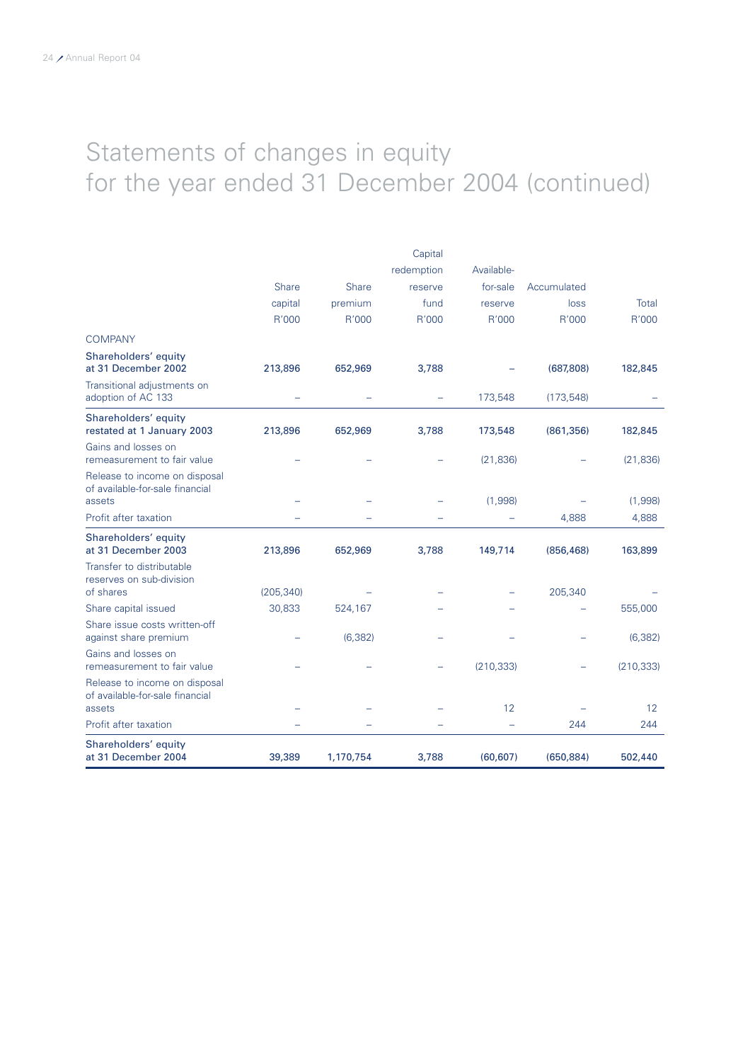# Statements of changes in equity for the year ended 31 December 2004 (continued)

|                                                                            |                      |           | Capital    |            |             |            |
|----------------------------------------------------------------------------|----------------------|-----------|------------|------------|-------------|------------|
|                                                                            |                      |           | redemption | Available- |             |            |
|                                                                            | <b>Share</b>         | Share     | reserve    | for-sale   | Accumulated |            |
|                                                                            | capital              | premium   | fund       | reserve    | loss        | Total      |
|                                                                            | R'000                | R'000     | R'000      | R'000      | R'000       | R'000      |
| <b>COMPANY</b>                                                             |                      |           |            |            |             |            |
| Shareholders' equity<br>at 31 December 2002                                | 213,896              | 652,969   | 3,788      |            | (687, 808)  | 182,845    |
| Transitional adjustments on<br>adoption of AC 133                          |                      |           |            | 173,548    | (173, 548)  |            |
| Shareholders' equity<br>restated at 1 January 2003                         | 213,896              | 652,969   | 3,788      | 173,548    | (861, 356)  | 182,845    |
| Gains and losses on<br>remeasurement to fair value                         |                      |           |            | (21, 836)  |             | (21, 836)  |
| Release to income on disposal<br>of available-for-sale financial<br>assets |                      |           |            | (1,998)    |             | (1,998)    |
| Profit after taxation                                                      |                      |           |            |            | 4,888       | 4,888      |
| Shareholders' equity<br>at 31 December 2003                                | 213,896              | 652,969   | 3,788      | 149,714    | (856, 468)  | 163,899    |
| Transfer to distributable<br>reserves on sub-division                      |                      |           |            |            |             |            |
| of shares                                                                  | (205, 340)<br>30,833 | 524,167   |            |            | 205,340     | 555,000    |
| Share capital issued<br>Share issue costs written-off                      |                      |           |            |            |             |            |
| against share premium                                                      |                      | (6, 382)  |            |            |             | (6, 382)   |
| Gains and losses on<br>remeasurement to fair value                         |                      |           |            | (210, 333) |             | (210, 333) |
| Release to income on disposal<br>of available-for-sale financial<br>assets |                      |           |            | 12         |             |            |
| Profit after taxation                                                      |                      |           |            |            | 244         | 12<br>244  |
| Shareholders' equity                                                       |                      |           |            |            |             |            |
| at 31 December 2004                                                        | 39,389               | 1,170,754 | 3,788      | (60, 607)  | (650, 884)  | 502,440    |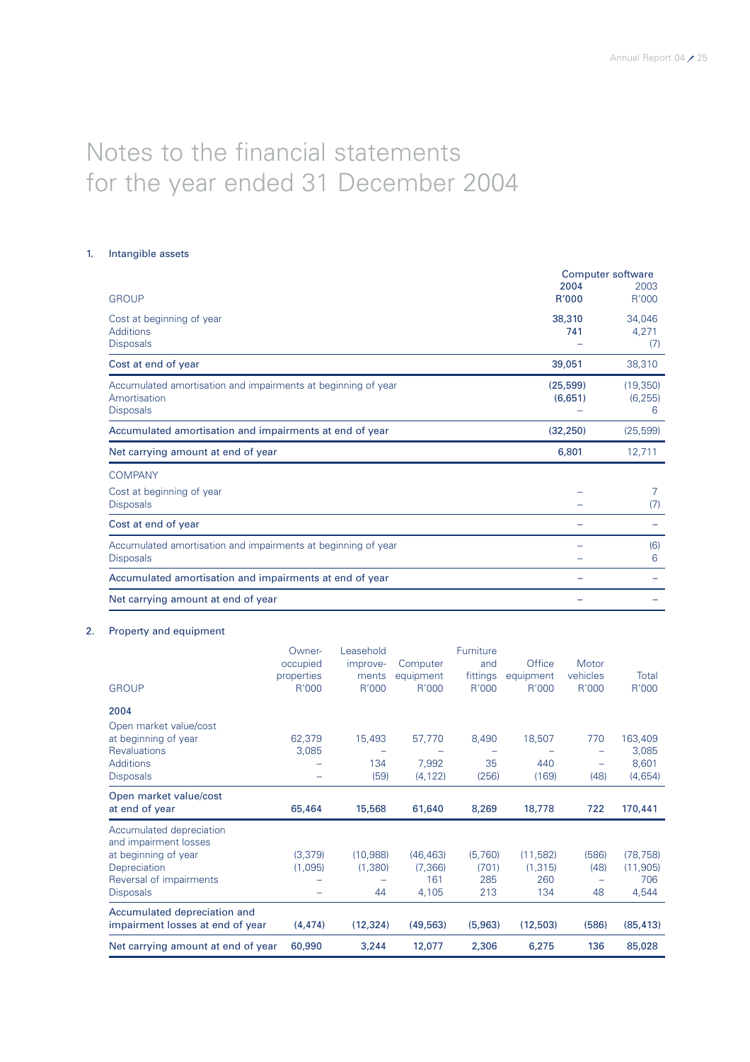# Notes to the financial statements for the year ended 31 December 2004

### 1. Intangible assets

|                                                                                                   |                      | <b>Computer software</b>   |
|---------------------------------------------------------------------------------------------------|----------------------|----------------------------|
| <b>GROUP</b>                                                                                      | 2004<br><b>R'000</b> | 2003<br>R'000              |
| Cost at beginning of year<br><b>Additions</b><br><b>Disposals</b>                                 | 38,310<br>741        | 34,046<br>4,271<br>(7)     |
| Cost at end of year                                                                               | 39,051               | 38,310                     |
| Accumulated amortisation and impairments at beginning of year<br>Amortisation<br><b>Disposals</b> | (25, 599)<br>(6,651) | (19, 350)<br>(6, 255)<br>6 |
| Accumulated amortisation and impairments at end of year                                           | (32, 250)            | (25, 599)                  |
| Net carrying amount at end of year                                                                | 6,801                | 12,711                     |
| <b>COMPANY</b>                                                                                    |                      |                            |
| Cost at beginning of year<br><b>Disposals</b>                                                     |                      | 7<br>(7)                   |
| Cost at end of year                                                                               |                      |                            |
| Accumulated amortisation and impairments at beginning of year<br><b>Disposals</b>                 |                      | (6)<br>6                   |
| Accumulated amortisation and impairments at end of year                                           |                      |                            |
| Net carrying amount at end of year                                                                |                      |                            |

### 2. Property and equipment

|                                  | Owner-     | Leasehold |           | Furniture |           |                          |           |
|----------------------------------|------------|-----------|-----------|-----------|-----------|--------------------------|-----------|
|                                  | occupied   | improve-  | Computer  | and       | Office    | Motor                    |           |
|                                  | properties | ments     | equipment | fittings  | equipment | vehicles                 | Total     |
| <b>GROUP</b>                     | R'000      | R'000     | R'000     | R'000     | R'000     | R'000                    | R'000     |
| 2004                             |            |           |           |           |           |                          |           |
| Open market value/cost           |            |           |           |           |           |                          |           |
| at beginning of year             | 62,379     | 15,493    | 57,770    | 8,490     | 18,507    | 770                      | 163,409   |
| <b>Revaluations</b>              | 3,085      |           |           |           |           |                          | 3,085     |
| <b>Additions</b>                 |            | 134       | 7,992     | 35        | 440       | $\overline{\phantom{0}}$ | 8,601     |
| <b>Disposals</b>                 |            | (59)      | (4, 122)  | (256)     | (169)     | (48)                     | (4,654)   |
| Open market value/cost           |            |           |           |           |           |                          |           |
| at end of year                   | 65,464     | 15,568    | 61,640    | 8,269     | 18,778    | 722                      | 170,441   |
|                                  |            |           |           |           |           |                          |           |
| Accumulated depreciation         |            |           |           |           |           |                          |           |
| and impairment losses            |            |           |           |           |           |                          |           |
| at beginning of year             | (3,379)    | (10,988)  | (46, 463) | (5,760)   | (11, 582) | (586)                    | (78, 758) |
| Depreciation                     | (1,095)    | (1,380)   | (7,366)   | (701)     | (1, 315)  | (48)                     | (11, 905) |
| Reversal of impairments          |            |           | 161       | 285       | 260       |                          | 706       |
| <b>Disposals</b>                 |            | 44        | 4,105     | 213       | 134       | 48                       | 4,544     |
| Accumulated depreciation and     |            |           |           |           |           |                          |           |
| impairment losses at end of year | (4, 474)   | (12, 324) | (49, 563) | (5,963)   | (12,503)  | (586)                    | (85, 413) |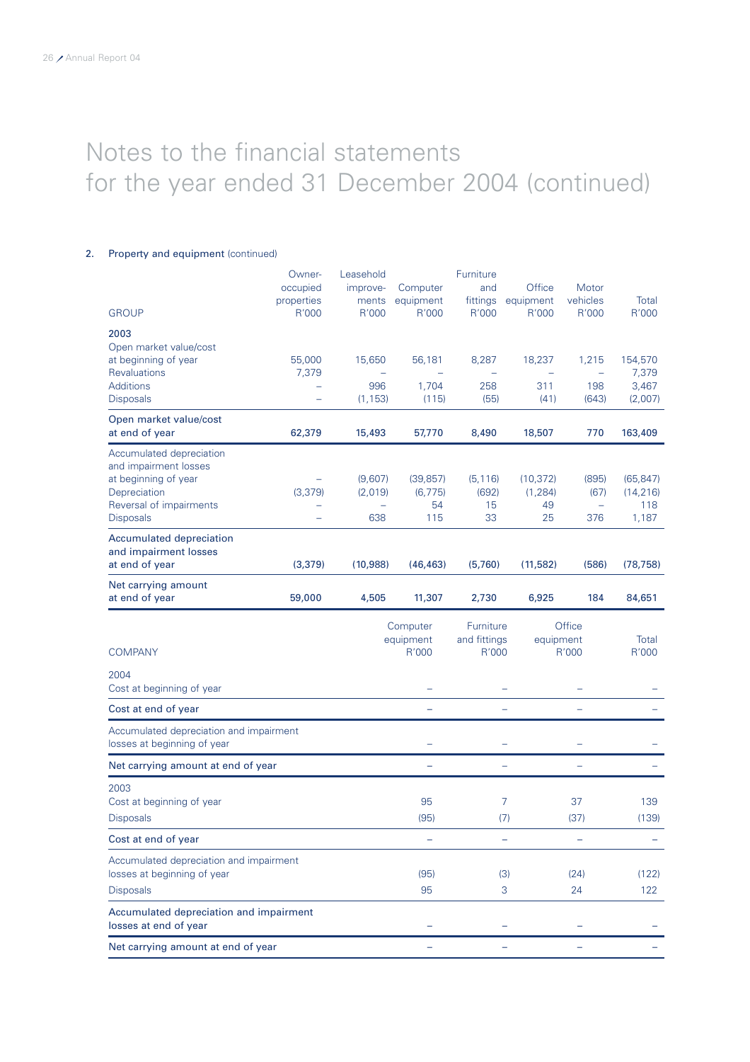### 2. Property and equipment (continued)

|                                                                        | Owner-          | Leasehold |                                | Furniture                          |                                    |                                   |                  |
|------------------------------------------------------------------------|-----------------|-----------|--------------------------------|------------------------------------|------------------------------------|-----------------------------------|------------------|
|                                                                        | occupied        | improve-  | Computer                       | and                                | Office                             | Motor                             |                  |
|                                                                        | properties      | ments     | equipment                      | fittings                           | equipment                          | vehicles                          | Total            |
| <b>GROUP</b>                                                           | R'000           | R'000     | R'000                          | R'000                              | R'000                              | R'000                             | R'000            |
| 2003<br>Open market value/cost                                         |                 |           |                                |                                    |                                    |                                   |                  |
| at beginning of year<br><b>Revaluations</b>                            | 55,000<br>7,379 | 15,650    | 56,181                         | 8,287                              | 18,237<br>$\overline{\phantom{0}}$ | 1,215<br>$\overline{\phantom{0}}$ | 154,570<br>7,379 |
| <b>Additions</b>                                                       |                 | 996       | 1,704                          | 258                                | 311                                | 198                               | 3,467            |
| <b>Disposals</b>                                                       |                 | (1, 153)  | (115)                          | (55)                               | (41)                               | (643)                             | (2,007)          |
| Open market value/cost<br>at end of year                               | 62,379          | 15,493    | 57,770                         | 8,490                              | 18,507                             | 770                               | 163,409          |
| Accumulated depreciation<br>and impairment losses                      |                 |           |                                |                                    |                                    |                                   |                  |
| at beginning of year                                                   |                 | (9,607)   | (39, 857)                      | (5, 116)                           | (10, 372)                          | (895)                             | (65, 847)        |
| Depreciation                                                           | (3, 379)        | (2,019)   | (6, 775)                       | (692)                              | (1, 284)                           | (67)                              | (14, 216)        |
| Reversal of impairments                                                |                 |           | 54                             | 15<br>33                           | 49                                 | $\qquad \qquad -$                 | 118              |
| <b>Disposals</b>                                                       |                 | 638       | 115                            |                                    | 25                                 | 376                               | 1,187            |
| Accumulated depreciation                                               |                 |           |                                |                                    |                                    |                                   |                  |
| and impairment losses<br>at end of year                                | (3,379)         | (10,988)  | (46, 463)                      | (5,760)                            | (11,582)                           | (586)                             | (78, 758)        |
| Net carrying amount<br>at end of year                                  | 59,000          | 4,505     | 11,307                         | 2,730                              | 6,925                              | 184                               | 84,651           |
| <b>COMPANY</b>                                                         |                 |           | Computer<br>equipment<br>R'000 | Furniture<br>and fittings<br>R'000 | equipment                          | Office<br>R'000                   | Total<br>R'000   |
| 2004<br>Cost at beginning of year                                      |                 |           |                                |                                    |                                    |                                   |                  |
| Cost at end of year                                                    |                 |           |                                |                                    |                                    |                                   |                  |
| Accumulated depreciation and impairment<br>losses at beginning of year |                 |           | $\overline{\phantom{0}}$       |                                    | $\overline{\phantom{0}}$           | $\overline{\phantom{0}}$          |                  |
| Net carrying amount at end of year                                     |                 |           | ÷,                             |                                    | $\equiv$                           | $\overline{\phantom{0}}$          |                  |
| 2003                                                                   |                 |           |                                |                                    |                                    |                                   |                  |
| Cost at beginning of year                                              |                 |           | 95                             |                                    | 7                                  | 37                                | 139              |
| <b>Disposals</b>                                                       |                 |           | (95)                           |                                    | (7)                                | (37)                              | (139)            |
| Cost at end of year                                                    |                 |           |                                |                                    |                                    |                                   |                  |
| Accumulated depreciation and impairment<br>losses at beginning of year |                 |           | (95)                           |                                    | (3)                                | (24)                              | (122)            |
| <b>Disposals</b>                                                       |                 |           | 95                             |                                    | 3                                  | 24                                | 122              |
| Accumulated depreciation and impairment<br>losses at end of year       |                 |           |                                |                                    |                                    |                                   |                  |
| Net carrying amount at end of year                                     |                 |           |                                |                                    |                                    |                                   |                  |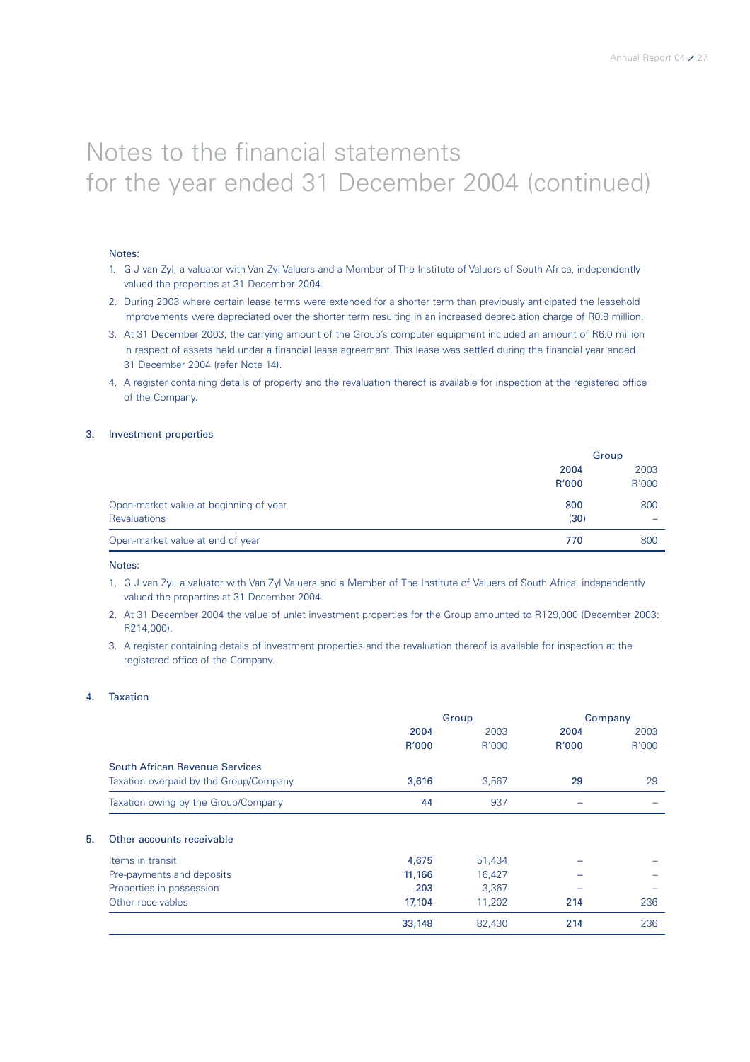#### Notes:

- 1. G J van Zyl, a valuator with Van Zyl Valuers and a Member of The Institute of Valuers of South Africa, independently valued the properties at 31 December 2004.
- 2. During 2003 where certain lease terms were extended for a shorter term than previously anticipated the leasehold improvements were depreciated over the shorter term resulting in an increased depreciation charge of R0.8 million.
- 3. At 31 December 2003, the carrying amount of the Group's computer equipment included an amount of R6.0 million in respect of assets held under a financial lease agreement. This lease was settled during the financial year ended 31 December 2004 (refer Note 14).
- 4. A register containing details of property and the revaluation thereof is available for inspection at the registered office of the Company.

#### 3. Investment properties

|                                        |       | Group |
|----------------------------------------|-------|-------|
|                                        | 2004  | 2003  |
|                                        | R'000 | R'000 |
| Open-market value at beginning of year | 800   | 800   |
| <b>Revaluations</b>                    | (30)  | -     |
| Open-market value at end of year       | 770   | 800   |

#### Notes:

- 1. G J van Zyl, a valuator with Van Zyl Valuers and a Member of The Institute of Valuers of South Africa, independently valued the properties at 31 December 2004.
- 2. At 31 December 2004 the value of unlet investment properties for the Group amounted to R129,000 (December 2003: R214,000).
- 3. A register containing details of investment properties and the revaluation thereof is available for inspection at the registered office of the Company.

#### 4. Taxation

| 2004<br>R'000 | 2003   | 2004  | 2003  |
|---------------|--------|-------|-------|
|               |        |       |       |
|               |        | R'000 | R'000 |
|               |        |       |       |
| 3,616         | 3,567  | 29    | 29    |
| 44            | 937    |       |       |
|               |        |       |       |
| 4,675         | 51,434 |       |       |
| 11,166        | 16,427 |       |       |
| 203           | 3,367  |       |       |
| 17,104        | 11,202 | 214   | 236   |
| 33,148        | 82,430 | 214   | 236   |
|               |        | R'000 |       |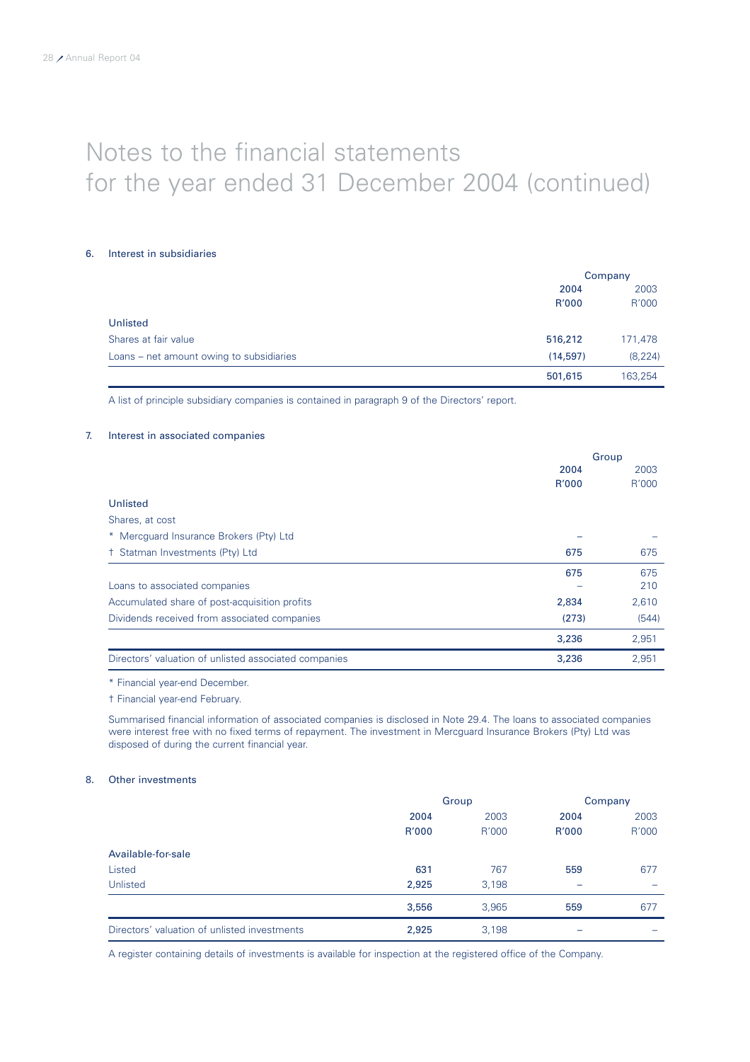#### 6. Interest in subsidiaries

|                                          | Company  |          |  |
|------------------------------------------|----------|----------|--|
|                                          | 2004     | 2003     |  |
|                                          | R'000    | R'000    |  |
| Unlisted                                 |          |          |  |
| Shares at fair value                     | 516,212  | 171,478  |  |
| Loans – net amount owing to subsidiaries | (14,597) | (8, 224) |  |
|                                          | 501,615  | 163,254  |  |

A list of principle subsidiary companies is contained in paragraph 9 of the Directors' report.

#### 7. Interest in associated companies

|                                                       | Group |       |
|-------------------------------------------------------|-------|-------|
|                                                       | 2004  | 2003  |
|                                                       | R'000 | R'000 |
| Unlisted                                              |       |       |
| Shares, at cost                                       |       |       |
| * Mercquard Insurance Brokers (Pty) Ltd               |       |       |
| + Statman Investments (Pty) Ltd                       | 675   | 675   |
|                                                       | 675   | 675   |
| Loans to associated companies                         |       | 210   |
| Accumulated share of post-acquisition profits         | 2,834 | 2,610 |
| Dividends received from associated companies          | (273) | (544) |
|                                                       | 3,236 | 2,951 |
| Directors' valuation of unlisted associated companies | 3,236 | 2,951 |

\* Financial year-end December.

† Financial year-end February.

Summarised financial information of associated companies is disclosed in Note 29.4. The loans to associated companies were interest free with no fixed terms of repayment. The investment in Mercguard Insurance Brokers (Pty) Ltd was disposed of during the current financial year.

#### 8. Other investments

|                                              | Group |       | Company |       |
|----------------------------------------------|-------|-------|---------|-------|
|                                              | 2004  | 2003  | 2004    | 2003  |
|                                              | R'000 | R'000 | R'000   | R'000 |
| Available-for-sale                           |       |       |         |       |
| Listed                                       | 631   | 767   | 559     | 677   |
| Unlisted                                     | 2,925 | 3,198 | -       |       |
|                                              | 3,556 | 3,965 | 559     | 677   |
| Directors' valuation of unlisted investments | 2,925 | 3,198 | -       |       |

A register containing details of investments is available for inspection at the registered office of the Company.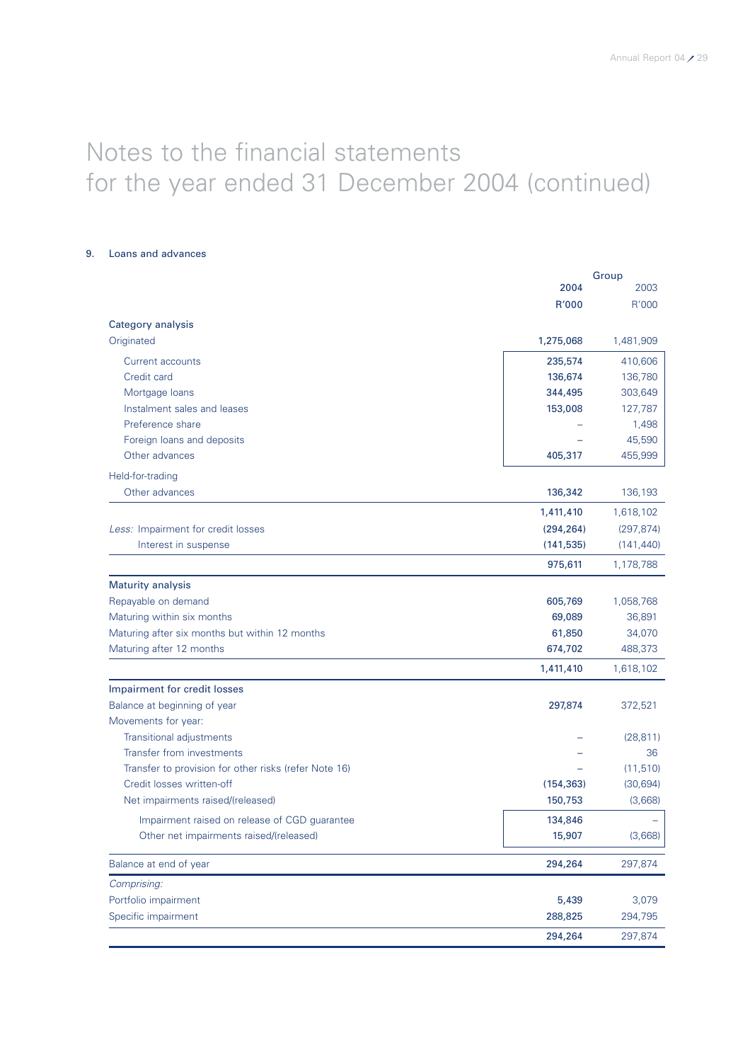9. Loans and advances

|                                                       |            | Group      |
|-------------------------------------------------------|------------|------------|
|                                                       | 2004       | 2003       |
|                                                       | R'000      | R'000      |
| Category analysis                                     |            |            |
| Originated                                            | 1,275,068  | 1,481,909  |
| Current accounts                                      | 235,574    | 410,606    |
| Credit card                                           | 136,674    | 136,780    |
| Mortgage loans                                        | 344,495    | 303,649    |
| Instalment sales and leases                           | 153,008    | 127,787    |
| Preference share                                      |            | 1,498      |
| Foreign loans and deposits                            |            | 45,590     |
| Other advances                                        | 405,317    | 455,999    |
| Held-for-trading                                      |            |            |
| Other advances                                        | 136,342    | 136,193    |
|                                                       | 1,411,410  | 1,618,102  |
| Less: Impairment for credit losses                    | (294, 264) | (297, 874) |
| Interest in suspense                                  | (141, 535) | (141, 440) |
|                                                       | 975,611    | 1,178,788  |
| <b>Maturity analysis</b>                              |            |            |
| Repayable on demand                                   | 605,769    | 1,058,768  |
| Maturing within six months                            | 69,089     | 36,891     |
| Maturing after six months but within 12 months        | 61,850     | 34,070     |
| Maturing after 12 months                              | 674,702    | 488,373    |
|                                                       | 1,411,410  | 1,618,102  |
| Impairment for credit losses                          |            |            |
| Balance at beginning of year                          | 297,874    | 372,521    |
| Movements for year:                                   |            |            |
| Transitional adjustments                              |            | (28, 811)  |
| Transfer from investments                             |            | 36         |
| Transfer to provision for other risks (refer Note 16) |            | (11, 510)  |
| Credit losses written-off                             | (154, 363) | (30,694)   |
| Net impairments raised/(released)                     | 150,753    | (3,668)    |
| Impairment raised on release of CGD guarantee         | 134,846    |            |
| Other net impairments raised/(released)               | 15,907     | (3,668)    |
| Balance at end of year                                | 294,264    | 297,874    |
| Comprising:                                           |            |            |
| Portfolio impairment                                  | 5,439      | 3,079      |
| Specific impairment                                   | 288,825    | 294,795    |
|                                                       | 294,264    | 297,874    |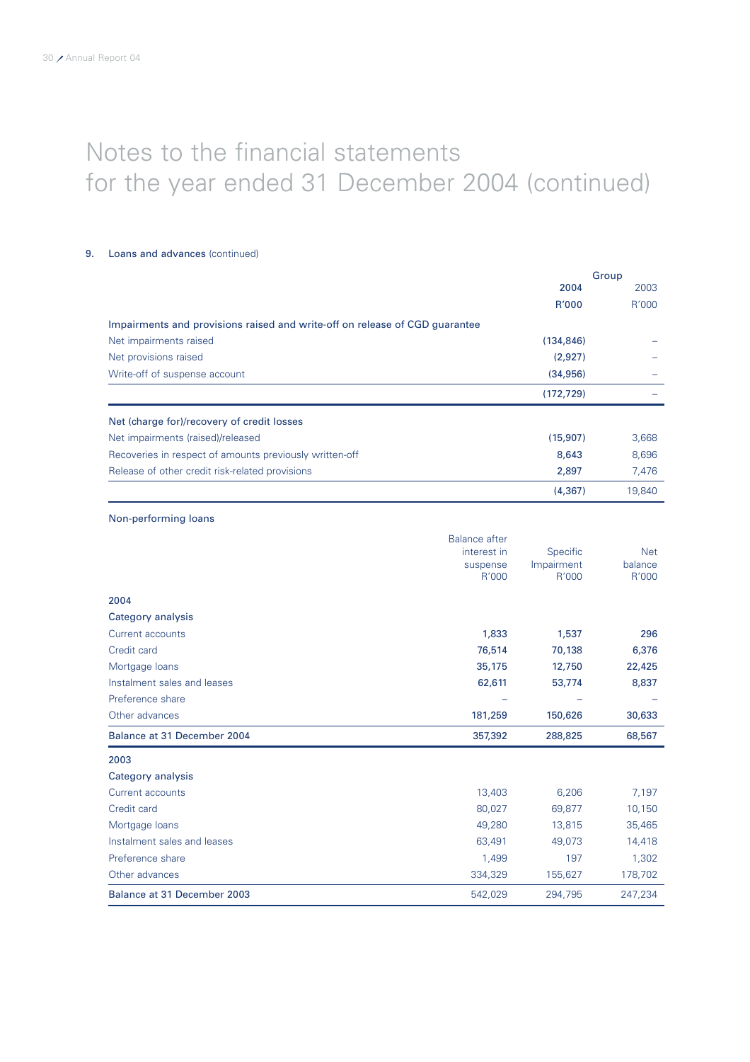### 9. Loans and advances (continued)

|                                                                             |            | Group  |
|-----------------------------------------------------------------------------|------------|--------|
|                                                                             | 2004       | 2003   |
|                                                                             | R'000      | R'000  |
| Impairments and provisions raised and write-off on release of CGD guarantee |            |        |
| Net impairments raised                                                      | (134, 846) |        |
| Net provisions raised                                                       | (2,927)    |        |
| Write-off of suspense account                                               | (34,956)   |        |
|                                                                             | (172, 729) |        |
| Net (charge for)/recovery of credit losses                                  |            |        |
| Net impairments (raised)/released                                           | (15,907)   | 3,668  |
| Recoveries in respect of amounts previously written-off                     | 8,643      | 8,696  |
| Release of other credit risk-related provisions                             | 2,897      | 7,476  |
|                                                                             | (4, 367)   | 19,840 |

### Non-performing loans

| Mortgage loans<br>Instalment sales and leases | 49,280<br>63,491        | 13,815<br>49,073       | 35,465<br>14,418      |
|-----------------------------------------------|-------------------------|------------------------|-----------------------|
| Credit card                                   | 80,027                  | 69,877                 | 10,150                |
| Current accounts                              | 13,403                  | 6,206                  | 7,197                 |
| Category analysis                             |                         |                        |                       |
| 2003                                          |                         |                        |                       |
| Balance at 31 December 2004                   | 357,392                 | 288,825                | 68,567                |
| Other advances                                | 181,259                 | 150,626                | 30,633                |
| Preference share                              |                         |                        |                       |
| Instalment sales and leases                   | 62,611                  | 53,774                 | 8,837                 |
| Mortgage loans                                | 35,175                  | 12,750                 | 22,425                |
| Credit card                                   | 76,514                  | 70,138                 | 6,376                 |
| Current accounts                              | 1,833                   | 1,537                  | 296                   |
| Category analysis                             |                         |                        |                       |
| 2004                                          |                         |                        |                       |
|                                               | R'000                   | R'000                  | R'000                 |
|                                               | interest in<br>suspense | Specific<br>Impairment | <b>Net</b><br>balance |
|                                               | <b>Balance after</b>    |                        |                       |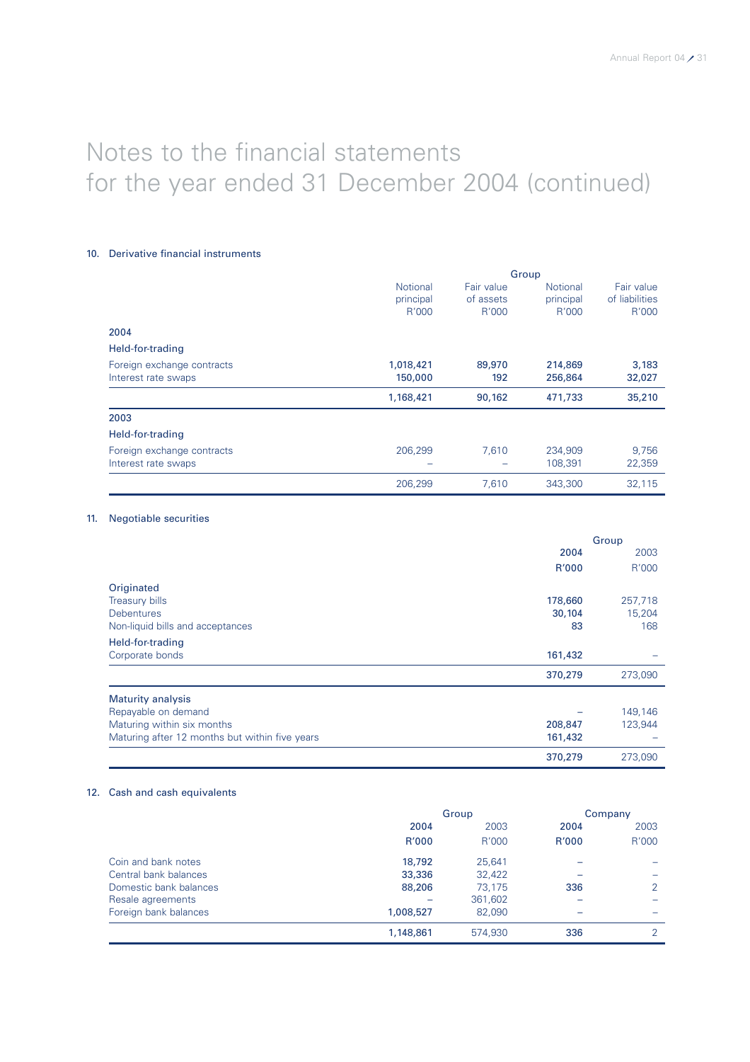#### 10. Derivative financial instruments

|                                                   | Group                                 |                                  |                                       |                                       |
|---------------------------------------------------|---------------------------------------|----------------------------------|---------------------------------------|---------------------------------------|
|                                                   | <b>Notional</b><br>principal<br>R'000 | Fair value<br>of assets<br>R'000 | <b>Notional</b><br>principal<br>R'000 | Fair value<br>of liabilities<br>R'000 |
| 2004                                              |                                       |                                  |                                       |                                       |
| Held-for-trading                                  |                                       |                                  |                                       |                                       |
| Foreign exchange contracts<br>Interest rate swaps | 1,018,421<br>150,000                  | 89,970<br>192                    | 214,869<br>256,864                    | 3,183<br>32,027                       |
|                                                   | 1,168,421                             | 90,162                           | 471,733                               | 35,210                                |
| 2003                                              |                                       |                                  |                                       |                                       |
| Held-for-trading                                  |                                       |                                  |                                       |                                       |
| Foreign exchange contracts<br>Interest rate swaps | 206.299                               | 7.610                            | 234,909<br>108.391                    | 9.756<br>22,359                       |
|                                                   | 206,299                               | 7,610                            | 343,300                               | 32,115                                |

### 11. Negotiable securities

|                                                |         | Group   |
|------------------------------------------------|---------|---------|
|                                                | 2004    | 2003    |
|                                                | R'000   | R'000   |
| Originated                                     |         |         |
| <b>Treasury bills</b>                          | 178,660 | 257,718 |
| <b>Debentures</b>                              | 30,104  | 15,204  |
| Non-liquid bills and acceptances               | 83      | 168     |
| Held-for-trading                               |         |         |
| Corporate bonds                                | 161,432 |         |
|                                                | 370,279 | 273,090 |
| <b>Maturity analysis</b>                       |         |         |
| Repayable on demand                            |         | 149,146 |
| Maturing within six months                     | 208,847 | 123,944 |
| Maturing after 12 months but within five years | 161,432 |         |
|                                                | 370,279 | 273,090 |

### 12. Cash and cash equivalents

|                        |           | Group   |       | Company |
|------------------------|-----------|---------|-------|---------|
|                        | 2004      | 2003    | 2004  | 2003    |
|                        | R'000     | R'000   | R'000 | R'000   |
| Coin and bank notes    | 18,792    | 25,641  |       |         |
| Central bank balances  | 33,336    | 32,422  |       |         |
| Domestic bank balances | 88,206    | 73.175  | 336   | 2       |
| Resale agreements      |           | 361,602 |       |         |
| Foreign bank balances  | 1,008,527 | 82,090  |       |         |
|                        | 1,148,861 | 574,930 | 336   | 2       |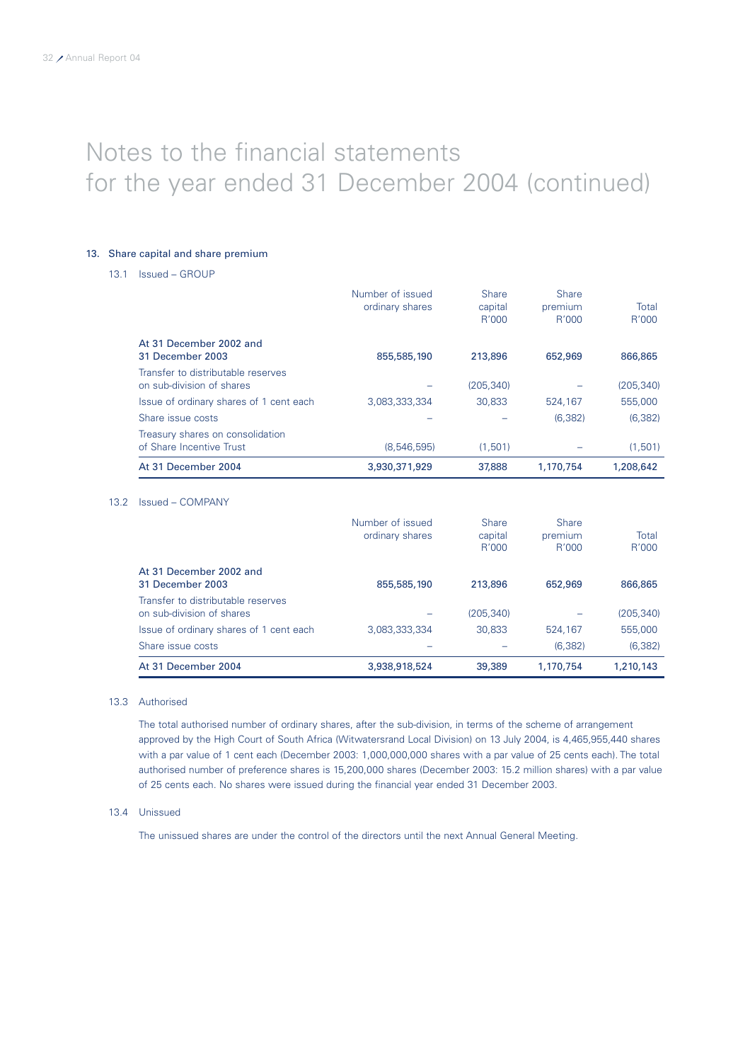#### 13. Share capital and share premium

13.1 Issued – GROUP

|                                                                 | Number of issued<br>ordinary shares | <b>Share</b><br>capital<br>R'000 | <b>Share</b><br>premium<br>R'000 | Total<br>R'000 |
|-----------------------------------------------------------------|-------------------------------------|----------------------------------|----------------------------------|----------------|
| At 31 December 2002 and<br>31 December 2003                     | 855,585,190                         | 213,896                          | 652,969                          | 866,865        |
| Transfer to distributable reserves<br>on sub-division of shares |                                     | (205.340)                        |                                  | (205, 340)     |
| Issue of ordinary shares of 1 cent each                         | 3.083.333.334                       | 30.833                           | 524.167                          | 555,000        |
| Share issue costs                                               |                                     |                                  | (6.382)                          | (6.382)        |
| Treasury shares on consolidation<br>of Share Incentive Trust    | (8,546,595)                         | (1.501)                          |                                  | (1,501)        |
| At 31 December 2004                                             | 3,930,371,929                       | 37,888                           | 1,170,754                        | 1,208,642      |

#### 13.2 Issued – COMPANY

|                                                                 | Number of issued<br>ordinary shares | <b>Share</b><br>capital<br>R'000 | <b>Share</b><br>premium<br>R'000 | Total<br>R'000 |
|-----------------------------------------------------------------|-------------------------------------|----------------------------------|----------------------------------|----------------|
| At 31 December 2002 and<br>31 December 2003                     | 855,585,190                         | 213,896                          | 652,969                          | 866,865        |
| Transfer to distributable reserves<br>on sub-division of shares |                                     | (205, 340)                       |                                  | (205, 340)     |
| Issue of ordinary shares of 1 cent each                         | 3.083.333.334                       | 30,833                           | 524.167                          | 555,000        |
| Share issue costs                                               |                                     |                                  | (6.382)                          | (6, 382)       |
| At 31 December 2004                                             | 3,938,918,524                       | 39,389                           | 1.170.754                        | 1,210,143      |

#### 13.3 Authorised

The total authorised number of ordinary shares, after the sub-division, in terms of the scheme of arrangement approved by the High Court of South Africa (Witwatersrand Local Division) on 13 July 2004, is 4,465,955,440 shares with a par value of 1 cent each (December 2003: 1,000,000,000 shares with a par value of 25 cents each). The total authorised number of preference shares is 15,200,000 shares (December 2003: 15.2 million shares) with a par value of 25 cents each. No shares were issued during the financial year ended 31 December 2003.

#### 13.4 Unissued

The unissued shares are under the control of the directors until the next Annual General Meeting.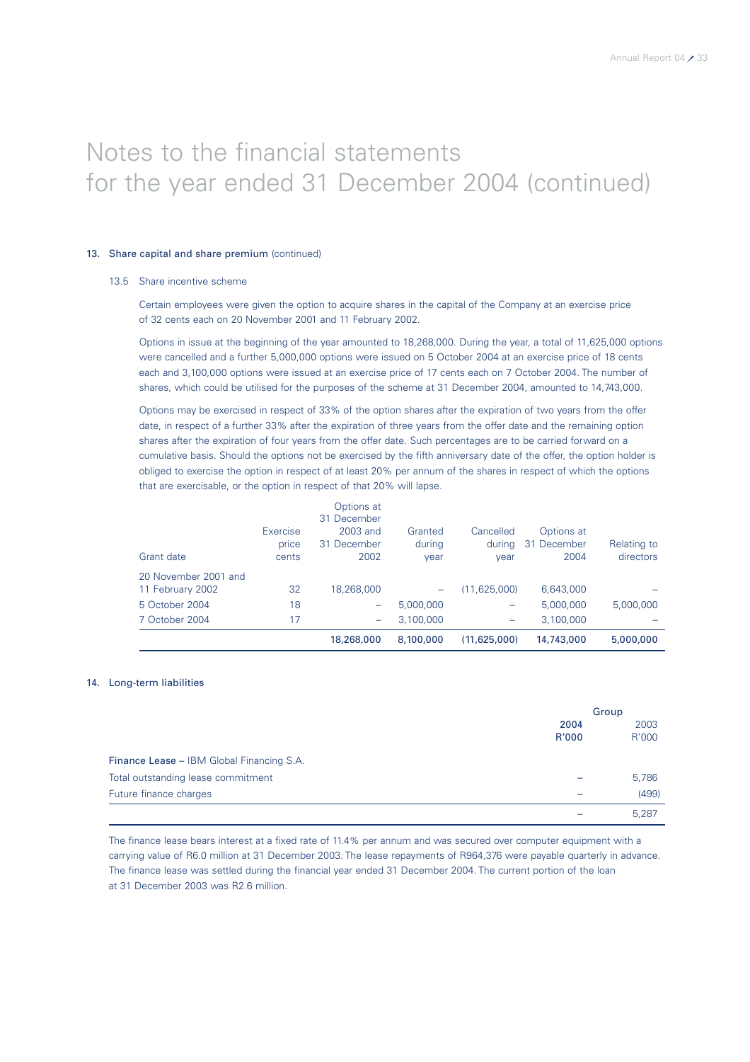#### 13. Share capital and share premium (continued)

#### 13.5 Share incentive scheme

Certain employees were given the option to acquire shares in the capital of the Company at an exercise price of 32 cents each on 20 November 2001 and 11 February 2002.

Options in issue at the beginning of the year amounted to 18,268,000. During the year, a total of 11,625,000 options were cancelled and a further 5,000,000 options were issued on 5 October 2004 at an exercise price of 18 cents each and 3,100,000 options were issued at an exercise price of 17 cents each on 7 October 2004. The number of shares, which could be utilised for the purposes of the scheme at 31 December 2004, amounted to 14,743,000.

Options may be exercised in respect of 33% of the option shares after the expiration of two years from the offer date, in respect of a further 33% after the expiration of three years from the offer date and the remaining option shares after the expiration of four years from the offer date. Such percentages are to be carried forward on a cumulative basis. Should the options not be exercised by the fifth anniversary date of the offer, the option holder is obliged to exercise the option in respect of at least 20% per annum of the shares in respect of which the options that are exercisable, or the option in respect of that 20% will lapse.

#### 14. Long-term liabilities

|                                           |               | Group         |  |
|-------------------------------------------|---------------|---------------|--|
|                                           | 2004<br>R'000 | 2003<br>R'000 |  |
| Finance Lease - IBM Global Financing S.A. |               |               |  |
| Total outstanding lease commitment        |               | 5,786         |  |
| Future finance charges                    |               | (499)         |  |
|                                           |               | 5.287         |  |

The finance lease bears interest at a fixed rate of 11.4% per annum and was secured over computer equipment with a carrying value of R6.0 million at 31 December 2003. The lease repayments of R964,376 were payable quarterly in advance. The finance lease was settled during the financial year ended 31 December 2004. The current portion of the loan at 31 December 2003 was R2.6 million.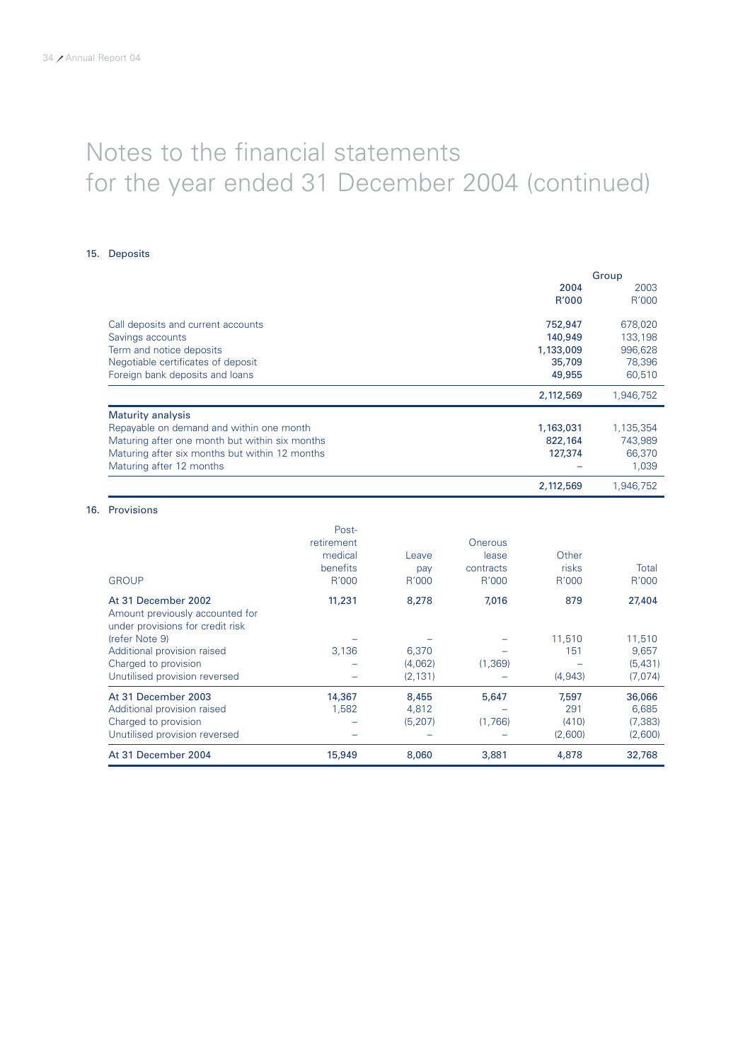#### 15. Deposits

|                                                | Group     |           |
|------------------------------------------------|-----------|-----------|
|                                                | 2004      | 2003      |
|                                                | R'000     | R'000     |
| Call deposits and current accounts             | 752,947   | 678,020   |
| Savings accounts                               | 140,949   | 133,198   |
| Term and notice deposits                       | 1,133,009 | 996,628   |
| Negotiable certificates of deposit             | 35,709    | 78,396    |
| Foreign bank deposits and loans                | 49,955    | 60,510    |
|                                                | 2,112,569 | 1,946,752 |
| <b>Maturity analysis</b>                       |           |           |
| Repayable on demand and within one month       | 1,163,031 | 1,135,354 |
| Maturing after one month but within six months | 822,164   | 743,989   |
| Maturing after six months but within 12 months | 127,374   | 66,370    |
| Maturing after 12 months                       |           | 1,039     |
|                                                | 2,112,569 | 1,946,752 |

### Postretirement **Onerous** medical Leave lease Other benefits **pay** contracts risks Total GROUP R'000 R'000 R'000 R'000 R'000 At 31 December 2002 11,231 8,278 7,016 879 27,404 Amount previously accounted for under provisions for credit risk (refer Note 9) – – – 11,510 11,510 Additional provision raised 3,136 6,370 – 151 9,657 Charged to provision – (4,062) (1,369) – (5,431) Unutilised provision reversed At 31 December 2003 14,367 8,455 5,647 7,597 36,066<br>Additional provision raised 1,582 4,812 - 291 6,685 Additional provision raised 1,582 4,812 – 291 Charged to provision – (5,207) (1,766) (410) (7,383) Unutilised provision reversed – – – (2,600) (2,600) At 31 December 2004 15,949 8,060 3,881 4,878 32,768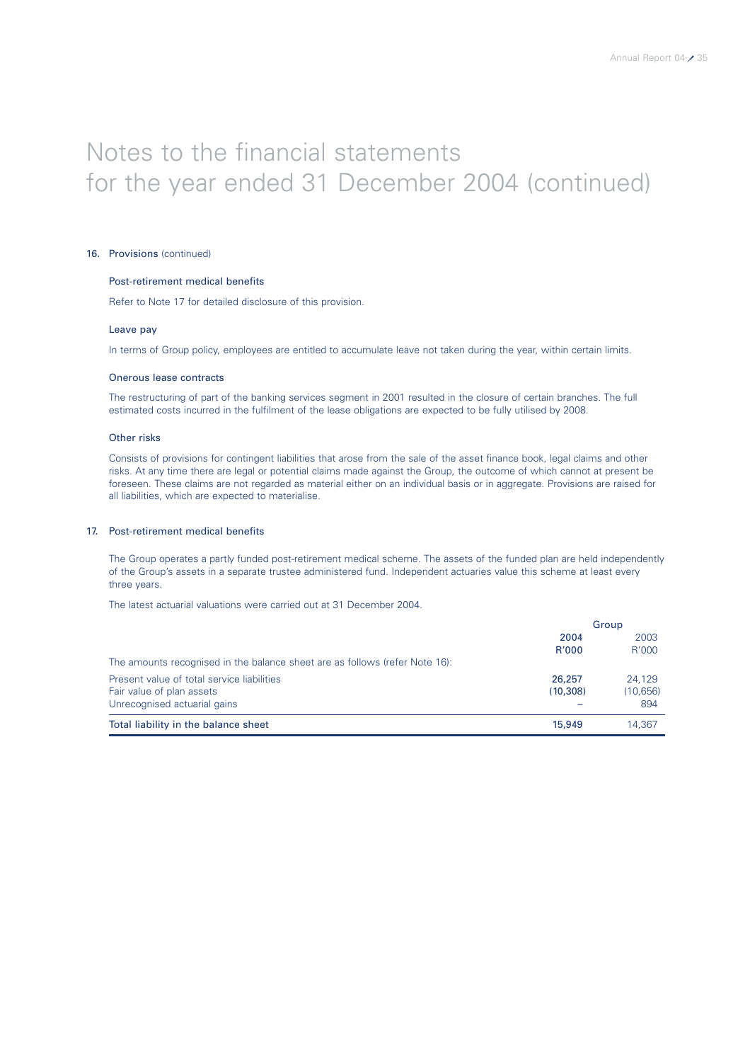#### 16. Provisions (continued)

#### Post-retirement medical benefits

Refer to Note 17 for detailed disclosure of this provision.

#### Leave pay

In terms of Group policy, employees are entitled to accumulate leave not taken during the year, within certain limits.

#### Onerous lease contracts

The restructuring of part of the banking services segment in 2001 resulted in the closure of certain branches. The full estimated costs incurred in the fulfilment of the lease obligations are expected to be fully utilised by 2008.

#### Other risks

Consists of provisions for contingent liabilities that arose from the sale of the asset finance book, legal claims and other risks. At any time there are legal or potential claims made against the Group, the outcome of which cannot at present be foreseen. These claims are not regarded as material either on an individual basis or in aggregate. Provisions are raised for all liabilities, which are expected to materialise.

### 17. Post-retirement medical benefits

The Group operates a partly funded post-retirement medical scheme. The assets of the funded plan are held independently of the Group's assets in a separate trustee administered fund. Independent actuaries value this scheme at least every three years.

The latest actuarial valuations were carried out at 31 December 2004.

|                                                                             | Group    |           |
|-----------------------------------------------------------------------------|----------|-----------|
|                                                                             | 2004     | 2003      |
|                                                                             | R'000    | R'000     |
| The amounts recognised in the balance sheet are as follows (refer Note 16): |          |           |
| Present value of total service liabilities                                  | 26,257   | 24.129    |
| Fair value of plan assets                                                   | (10.308) | (10, 656) |
| Unrecognised actuarial gains                                                |          | 894       |
| Total liability in the balance sheet                                        | 15,949   | 14.367    |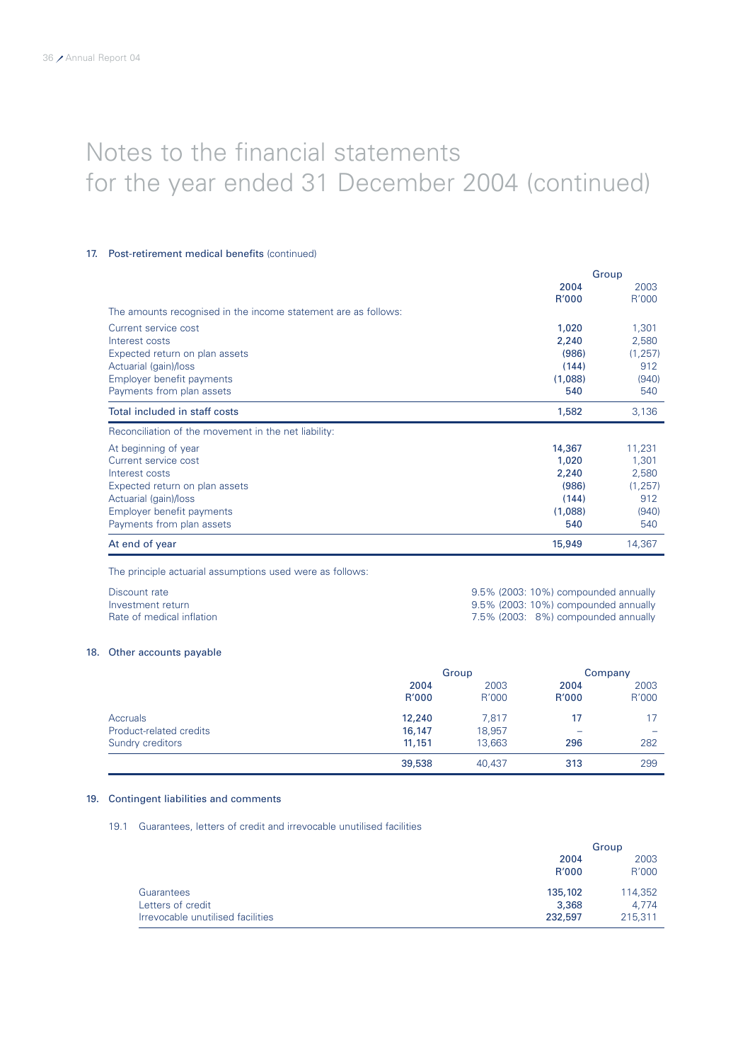#### 17. Post-retirement medical benefits (continued)

|                                                                |         | Group    |
|----------------------------------------------------------------|---------|----------|
|                                                                | 2004    | 2003     |
|                                                                | R'000   | R'000    |
| The amounts recognised in the income statement are as follows: |         |          |
| Current service cost                                           | 1,020   | 1,301    |
| Interest costs                                                 | 2,240   | 2,580    |
| Expected return on plan assets                                 | (986)   | (1, 257) |
| Actuarial (gain)/loss                                          | (144)   | 912      |
| Employer benefit payments                                      | (1,088) | (940)    |
| Payments from plan assets                                      | 540     | 540      |
| Total included in staff costs                                  | 1,582   | 3,136    |
| Reconciliation of the movement in the net liability:           |         |          |
| At beginning of year                                           | 14,367  | 11,231   |
| Current service cost                                           | 1,020   | 1,301    |
| Interest costs                                                 | 2,240   | 2,580    |
| Expected return on plan assets                                 | (986)   | (1, 257) |
| Actuarial (gain)/loss                                          | (144)   | 912      |
| Employer benefit payments                                      | (1,088) | (940)    |
| Payments from plan assets                                      | 540     | 540      |
| At end of year                                                 | 15,949  | 14,367   |

The principle actuarial assumptions used were as follows:

| Discount rate             | 9.5% (2003: 10%) compounded annually |
|---------------------------|--------------------------------------|
| Investment return         | 9.5% (2003: 10%) compounded annually |
| Rate of medical inflation | 7.5% (2003: 8%) compounded annually  |

#### 18. Other accounts payable

|                         | Group  |        | Company |       |
|-------------------------|--------|--------|---------|-------|
|                         | 2004   | 2003   | 2004    | 2003  |
|                         | R'000  | R'000  | R'000   | R'000 |
| <b>Accruals</b>         | 12,240 | 7.817  | 17      | 17    |
| Product-related credits | 16,147 | 18,957 |         |       |
| Sundry creditors        | 11,151 | 13.663 | 296     | 282   |
|                         | 39,538 | 40,437 | 313     | 299   |

#### 19. Contingent liabilities and comments

19.1 Guarantees, letters of credit and irrevocable unutilised facilities

|                                              | Group   |  |
|----------------------------------------------|---------|--|
| 2004                                         | 2003    |  |
| R'000                                        | R'000   |  |
| 135,102<br>Guarantees                        | 114,352 |  |
| Letters of credit<br>3,368                   | 4.774   |  |
| Irrevocable unutilised facilities<br>232,597 | 215,311 |  |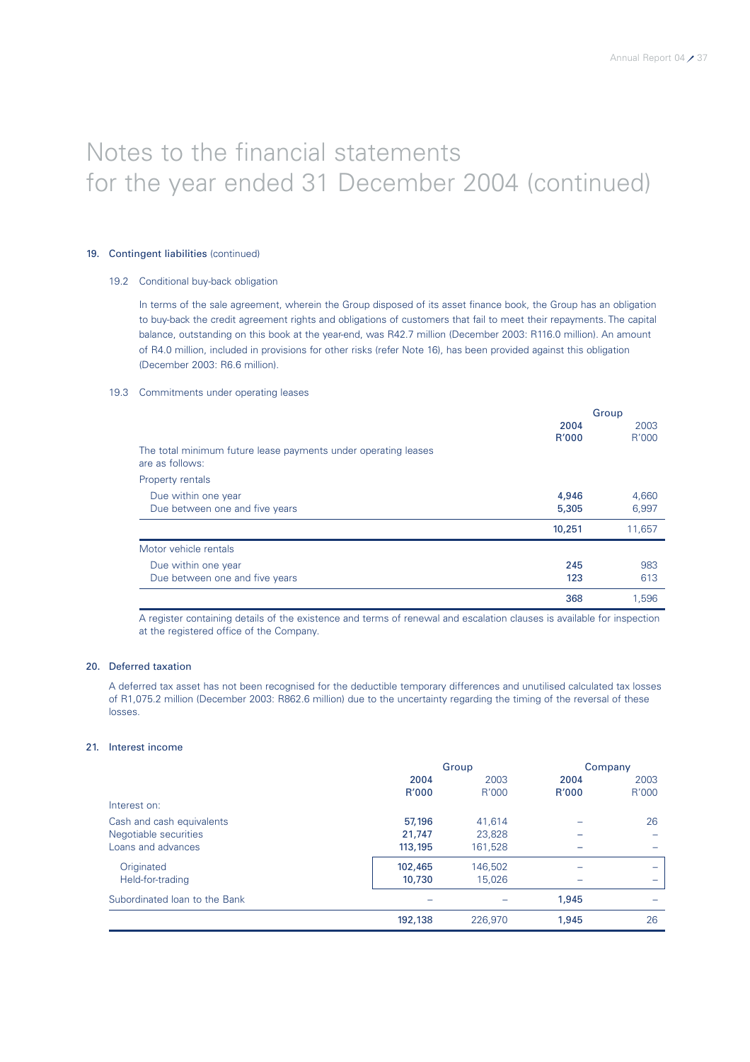### 19. Contingent liabilities (continued)

### 19.2 Conditional buy-back obligation

In terms of the sale agreement, wherein the Group disposed of its asset finance book, the Group has an obligation to buy-back the credit agreement rights and obligations of customers that fail to meet their repayments. The capital balance, outstanding on this book at the year-end, was R42.7 million (December 2003: R116.0 million). An amount of R4.0 million, included in provisions for other risks (refer Note 16), has been provided against this obligation (December 2003: R6.6 million).

### 19.3 Commitments under operating leases

|                                                                                   |        | Group  |
|-----------------------------------------------------------------------------------|--------|--------|
|                                                                                   | 2004   | 2003   |
|                                                                                   | R'000  | R'000  |
| The total minimum future lease payments under operating leases<br>are as follows: |        |        |
| Property rentals                                                                  |        |        |
| Due within one year                                                               | 4,946  | 4,660  |
| Due between one and five years                                                    | 5,305  | 6,997  |
|                                                                                   | 10,251 | 11,657 |
| Motor vehicle rentals                                                             |        |        |
| Due within one year                                                               | 245    | 983    |
| Due between one and five years                                                    | 123    | 613    |
|                                                                                   | 368    | 1,596  |

A register containing details of the existence and terms of renewal and escalation clauses is available for inspection at the registered office of the Company.

### 20. Deferred taxation

A deferred tax asset has not been recognised for the deductible temporary differences and unutilised calculated tax losses of R1,075.2 million (December 2003: R862.6 million) due to the uncertainty regarding the timing of the reversal of these losses.

### 21. Interest income

|                               | Group   |         | Company      |       |
|-------------------------------|---------|---------|--------------|-------|
|                               | 2004    | 2003    | 2004         | 2003  |
|                               | R'000   | R'000   | <b>R'000</b> | R'000 |
| Interest on:                  |         |         |              |       |
| Cash and cash equivalents     | 57,196  | 41,614  |              | 26    |
| Negotiable securities         | 21.747  | 23.828  |              |       |
| Loans and advances            | 113,195 | 161,528 |              |       |
| Originated                    | 102,465 | 146,502 |              |       |
| Held-for-trading              | 10,730  | 15,026  |              |       |
| Subordinated Ioan to the Bank |         |         | 1,945        |       |
|                               | 192,138 | 226,970 | 1,945        | 26    |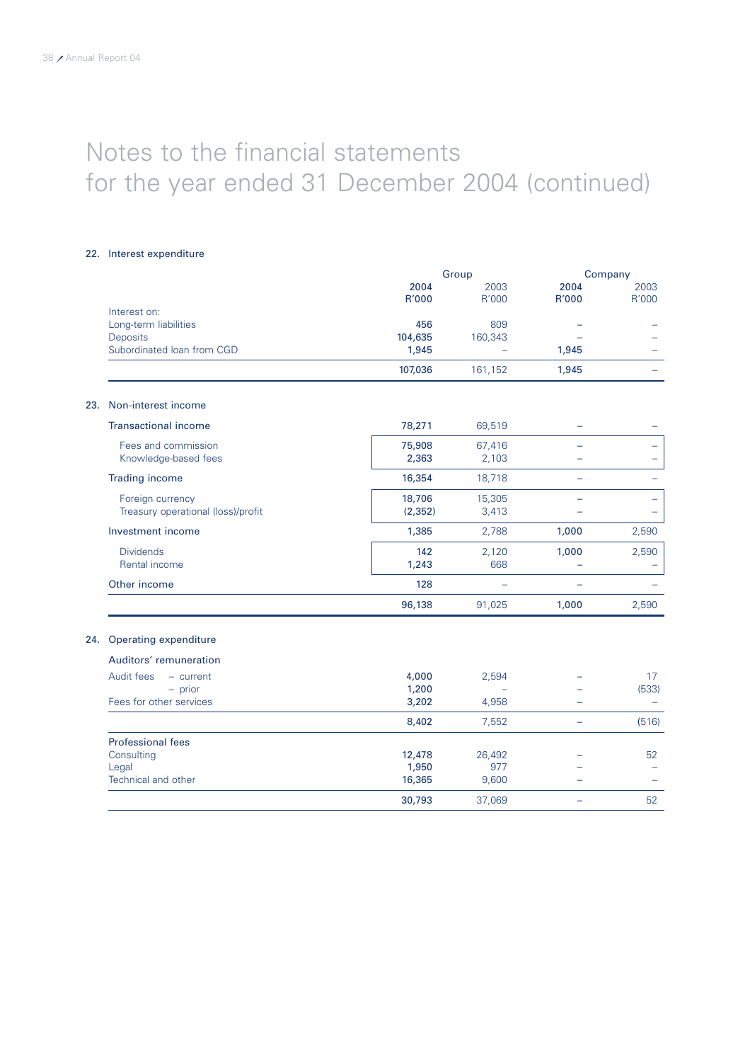### 22. Interest expenditure

|                                    |          | Group   |                          | Company |
|------------------------------------|----------|---------|--------------------------|---------|
|                                    | 2004     | 2003    | 2004                     | 2003    |
|                                    | R'000    | R'000   | R'000                    | R'000   |
| Interest on:                       |          |         |                          |         |
| Long-term liabilities              | 456      | 809     |                          |         |
| Deposits                           | 104,635  | 160,343 |                          |         |
| Subordinated Ioan from CGD         | 1,945    |         | 1,945                    |         |
|                                    | 107,036  | 161,152 | 1,945                    |         |
| Non-interest income<br>23.         |          |         |                          |         |
| <b>Transactional income</b>        | 78,271   | 69,519  |                          |         |
| Fees and commission                | 75,908   | 67,416  |                          |         |
| Knowledge-based fees               | 2,363    | 2,103   |                          |         |
| <b>Trading income</b>              | 16,354   | 18,718  |                          |         |
| Foreign currency                   | 18,706   | 15,305  |                          |         |
| Treasury operational (loss)/profit | (2, 352) | 3,413   |                          |         |
| Investment income                  | 1,385    | 2,788   | 1,000                    | 2,590   |
| <b>Dividends</b>                   | 142      | 2,120   | 1,000                    | 2,590   |
| Rental income                      | 1,243    | 668     |                          |         |
| Other income                       | 128      |         |                          |         |
|                                    | 96,138   | 91,025  | 1,000                    | 2,590   |
| Operating expenditure<br>24.       |          |         |                          |         |
| Auditors' remuneration             |          |         |                          |         |
| Audit fees<br>$-$ current          | 4,000    | 2,594   |                          | 17      |
| $-$ prior                          | 1,200    |         |                          | (533)   |
| Fees for other services            | 3,202    | 4,958   |                          |         |
|                                    | 8,402    | 7,552   | $\overline{\phantom{0}}$ | (516)   |
| <b>Professional fees</b>           |          |         |                          |         |
| Consulting                         | 12,478   | 26,492  |                          | 52      |
| Legal                              | 1,950    | 977     |                          |         |
| Technical and other                | 16,365   | 9,600   |                          |         |
|                                    | 30,793   | 37,069  |                          | 52      |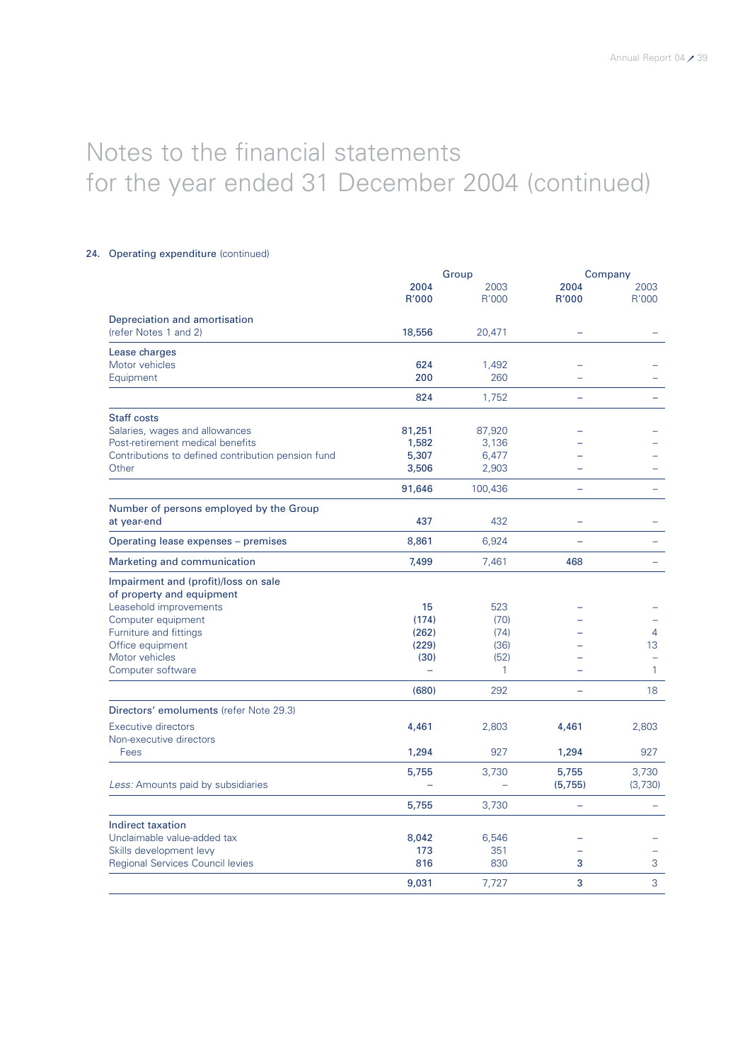### 24. Operating expenditure (continued)

|                                                    | Group                    |              | Company                  |                  |
|----------------------------------------------------|--------------------------|--------------|--------------------------|------------------|
|                                                    | 2004                     | 2003         | 2004                     | 2003             |
|                                                    | R'000                    | R'000        | R'000                    | R'000            |
| Depreciation and amortisation                      |                          |              |                          |                  |
| (refer Notes 1 and 2)                              | 18,556                   | 20,471       |                          |                  |
| Lease charges                                      |                          |              |                          |                  |
| Motor vehicles                                     | 624                      | 1,492        |                          |                  |
| Equipment                                          | 200                      | 260          |                          |                  |
|                                                    | 824                      | 1,752        |                          |                  |
| Staff costs                                        |                          |              |                          |                  |
| Salaries, wages and allowances                     | 81,251                   | 87,920       |                          |                  |
| Post-retirement medical benefits                   | 1,582                    | 3,136        |                          |                  |
| Contributions to defined contribution pension fund | 5,307                    | 6,477        |                          |                  |
| Other                                              | 3,506                    | 2,903        |                          |                  |
|                                                    | 91,646                   | 100,436      |                          |                  |
| Number of persons employed by the Group            |                          |              |                          |                  |
| at year-end                                        | 437                      | 432          |                          |                  |
| Operating lease expenses - premises                | 8,861                    | 6,924        |                          |                  |
| Marketing and communication                        | 7,499                    | 7,461        | 468                      |                  |
| Impairment and (profit)/loss on sale               |                          |              |                          |                  |
| of property and equipment                          |                          |              |                          |                  |
| Leasehold improvements                             | 15                       | 523          |                          |                  |
| Computer equipment                                 | (174)                    | (70)         |                          |                  |
| Furniture and fittings                             | (262)                    | (74)         |                          | 4                |
| Office equipment                                   | (229)                    | (36)         |                          | 13               |
| Motor vehicles                                     | (30)                     | (52)         |                          |                  |
| Computer software                                  | $\overline{\phantom{0}}$ | $\mathbf{1}$ |                          | $\mathbf{1}$     |
|                                                    | (680)                    | 292          |                          | 18               |
| Directors' emoluments (refer Note 29.3)            |                          |              |                          |                  |
| Executive directors                                | 4,461                    | 2,803        | 4,461                    | 2,803            |
| Non-executive directors<br>Fees                    | 1,294                    | 927          | 1,294                    | 927              |
|                                                    |                          |              |                          |                  |
| Less: Amounts paid by subsidiaries                 | 5,755                    | 3,730        | 5,755<br>(5, 755)        | 3,730<br>(3,730) |
|                                                    |                          |              |                          |                  |
|                                                    | 5,755                    | 3,730        | $\overline{\phantom{0}}$ |                  |
| Indirect taxation                                  |                          |              |                          |                  |
| Unclaimable value-added tax                        | 8,042                    | 6,546        |                          |                  |
| Skills development levy                            | 173                      | 351          |                          |                  |
| <b>Regional Services Council levies</b>            | 816                      | 830          | 3                        | 3                |
|                                                    | 9,031                    | 7,727        | 3                        | 3                |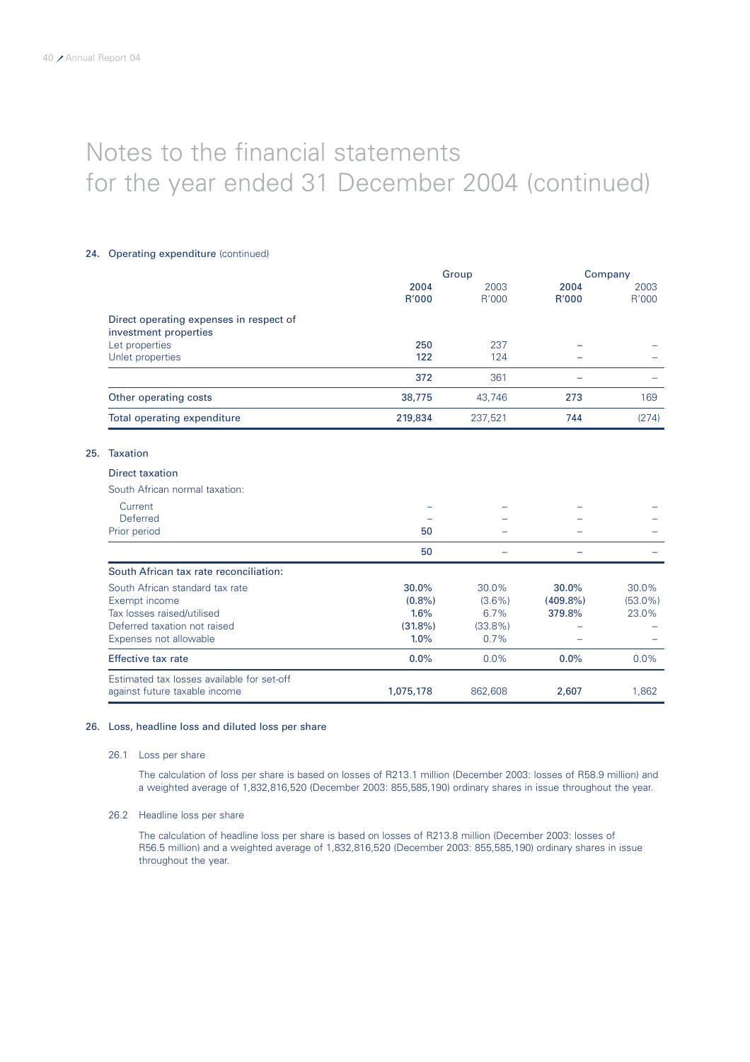$25.$ 

# Notes to the financial statements for the year ended 31 December 2004 (continued)

### 24. Operating expenditure (continued)

|                                            |            | Group      |             | Company    |
|--------------------------------------------|------------|------------|-------------|------------|
|                                            | 2004       | 2003       | 2004        | 2003       |
|                                            | R'000      | R'000      | R'000       | R'000      |
| Direct operating expenses in respect of    |            |            |             |            |
| investment properties                      |            |            |             |            |
| Let properties                             | 250        | 237        |             |            |
| Unlet properties                           | 122        | 124        |             |            |
|                                            | 372        | 361        |             |            |
| Other operating costs                      | 38,775     | 43,746     | 273         | 169        |
| Total operating expenditure                | 219,834    | 237,521    | 744         | (274)      |
| <b>Taxation</b>                            |            |            |             |            |
| <b>Direct taxation</b>                     |            |            |             |            |
| South African normal taxation:             |            |            |             |            |
| Current                                    |            |            |             |            |
| <b>Deferred</b>                            |            |            |             |            |
| Prior period                               | 50         |            |             |            |
|                                            | 50         |            |             |            |
| South African tax rate reconciliation:     |            |            |             |            |
| South African standard tax rate            | 30.0%      | 30.0%      | 30.0%       | 30.0%      |
| Exempt income                              | $(0.8\%)$  | $(3.6\%)$  | $(409.8\%)$ | $(53.0\%)$ |
| Tax losses raised/utilised                 | 1.6%       | 6.7%       | 379.8%      | 23.0%      |
| Deferred taxation not raised               | $(31.8\%)$ | $(33.8\%)$ |             |            |
| Expenses not allowable                     | 1.0%       | 0.7%       |             |            |
| <b>Effective tax rate</b>                  | 0.0%       | 0.0%       | $0.0\%$     | 0.0%       |
| Estimated tax losses available for set-off |            |            |             |            |
| against future taxable income              | 1,075,178  | 862,608    | 2,607       | 1,862      |

### 26. Loss, headline loss and diluted loss per share

### 26.1 Loss per share

The calculation of loss per share is based on losses of R213.1 million (December 2003: losses of R58.9 million) and a weighted average of 1,832,816,520 (December 2003: 855,585,190) ordinary shares in issue throughout the year.

### 26.2 Headline loss per share

The calculation of headline loss per share is based on losses of R213.8 million (December 2003: losses of R56.5 million) and a weighted average of 1,832,816,520 (December 2003: 855,585,190) ordinary shares in issue throughout the year.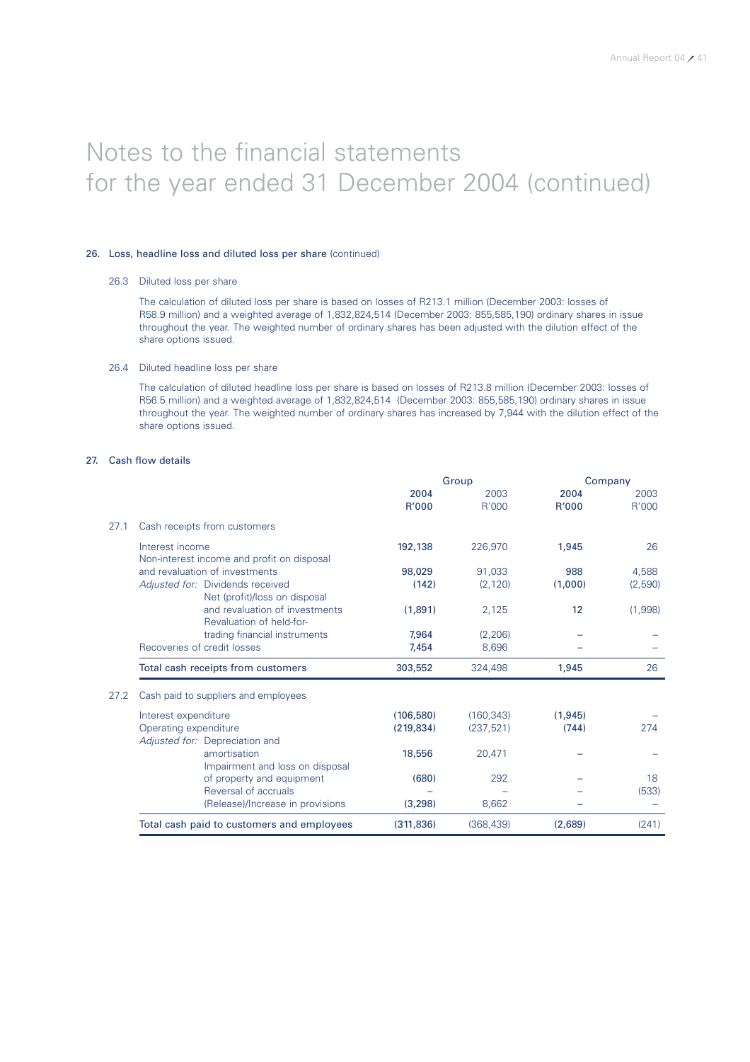### 26. Loss, headline loss and diluted loss per share (continued)

### 26.3 Diluted loss per share

The calculation of diluted loss per share is based on losses of R213.1 million (December 2003: losses of R58.9 million) and a weighted average of 1,832,824,514 (December 2003: 855,585,190) ordinary shares in issue throughout the year. The weighted number of ordinary shares has been adjusted with the dilution effect of the share options issued.

### 26.4 Diluted headline loss per share

The calculation of diluted headline loss per share is based on losses of R213.8 million (December 2003: losses of R56.5 million) and a weighted average of 1,832,824,514 (December 2003: 855,585,190) ordinary shares in issue throughout the year. The weighted number of ordinary shares has increased by 7,944 with the dilution effect of the share options issued.

### 27. Cash flow details

|      |                                                                   | Group         |               |               | Company       |  |
|------|-------------------------------------------------------------------|---------------|---------------|---------------|---------------|--|
|      |                                                                   | 2004<br>R'000 | 2003<br>R'000 | 2004<br>R'000 | 2003<br>R'000 |  |
| 27.1 | Cash receipts from customers                                      |               |               |               |               |  |
|      | Interest income<br>Non-interest income and profit on disposal     | 192,138       | 226,970       | 1,945         | 26            |  |
|      | and revaluation of investments                                    | 98,029        | 91,033        | 988           | 4,588         |  |
|      | Adjusted for: Dividends received<br>Net (profit)/loss on disposal | (142)         | (2, 120)      | (1,000)       | (2,590)       |  |
|      | and revaluation of investments<br>Revaluation of held-for-        | (1,891)       | 2,125         | 12            | (1,998)       |  |
|      | trading financial instruments                                     | 7.964         | (2, 206)      |               |               |  |
|      | Recoveries of credit losses                                       | 7,454         | 8,696         |               |               |  |
|      | Total cash receipts from customers                                | 303,552       | 324,498       | 1,945         | 26            |  |
| 27.2 | Cash paid to suppliers and employees                              |               |               |               |               |  |
|      | Interest expenditure                                              | (106, 580)    | (160, 343)    | (1,945)       |               |  |
|      | Operating expenditure                                             | (219, 834)    | (237, 521)    | (744)         | 274           |  |
|      | Adjusted for: Depreciation and                                    |               |               |               |               |  |
|      | amortisation                                                      | 18,556        | 20,471        |               |               |  |
|      | Impairment and loss on disposal                                   |               |               |               |               |  |
|      | of property and equipment                                         | (680)         | 292           |               | 18            |  |
|      | Reversal of accruals                                              |               |               |               | (533)         |  |
|      | (Release)/Increase in provisions                                  | (3,298)       | 8,662         |               |               |  |
|      | Total cash paid to customers and employees                        | (311, 836)    | (368, 439)    | (2,689)       | (241)         |  |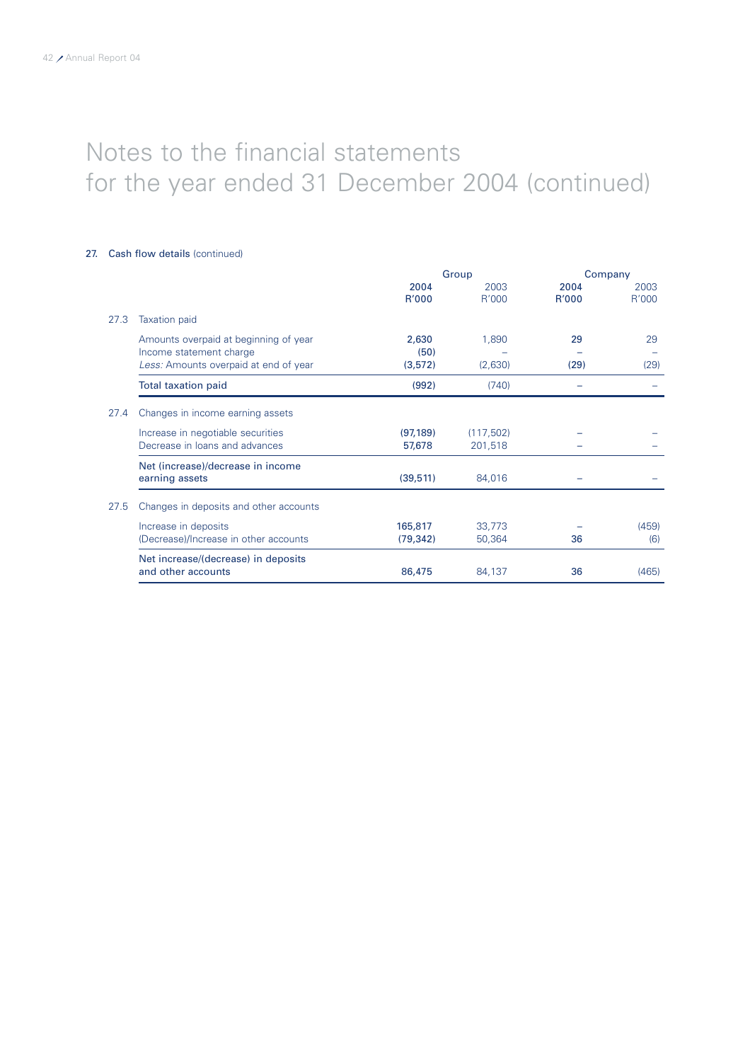### 27. Cash flow details (continued)

|      |                                        | Group     |            | Company |       |
|------|----------------------------------------|-----------|------------|---------|-------|
|      |                                        | 2004      | 2003       | 2004    | 2003  |
|      |                                        | R'000     | R'000      | R'000   | R'000 |
| 27.3 | <b>Taxation paid</b>                   |           |            |         |       |
|      | Amounts overpaid at beginning of year  | 2,630     | 1,890      | 29      | 29    |
|      | Income statement charge                | (50)      |            |         |       |
|      | Less: Amounts overpaid at end of year  | (3,572)   | (2,630)    | (29)    | (29)  |
|      | <b>Total taxation paid</b>             | (992)     | (740)      |         |       |
| 27.4 | Changes in income earning assets       |           |            |         |       |
|      | Increase in negotiable securities      | (97, 189) | (117, 502) |         |       |
|      | Decrease in loans and advances         | 57,678    | 201,518    |         |       |
|      | Net (increase)/decrease in income      |           |            |         |       |
|      | earning assets                         | (39, 511) | 84,016     |         |       |
| 27.5 | Changes in deposits and other accounts |           |            |         |       |
|      | Increase in deposits                   | 165,817   | 33,773     |         | (459) |
|      | (Decrease)/Increase in other accounts  | (79, 342) | 50,364     | 36      | (6)   |
|      | Net increase/(decrease) in deposits    |           |            |         |       |
|      | and other accounts                     | 86,475    | 84,137     | 36      | (465) |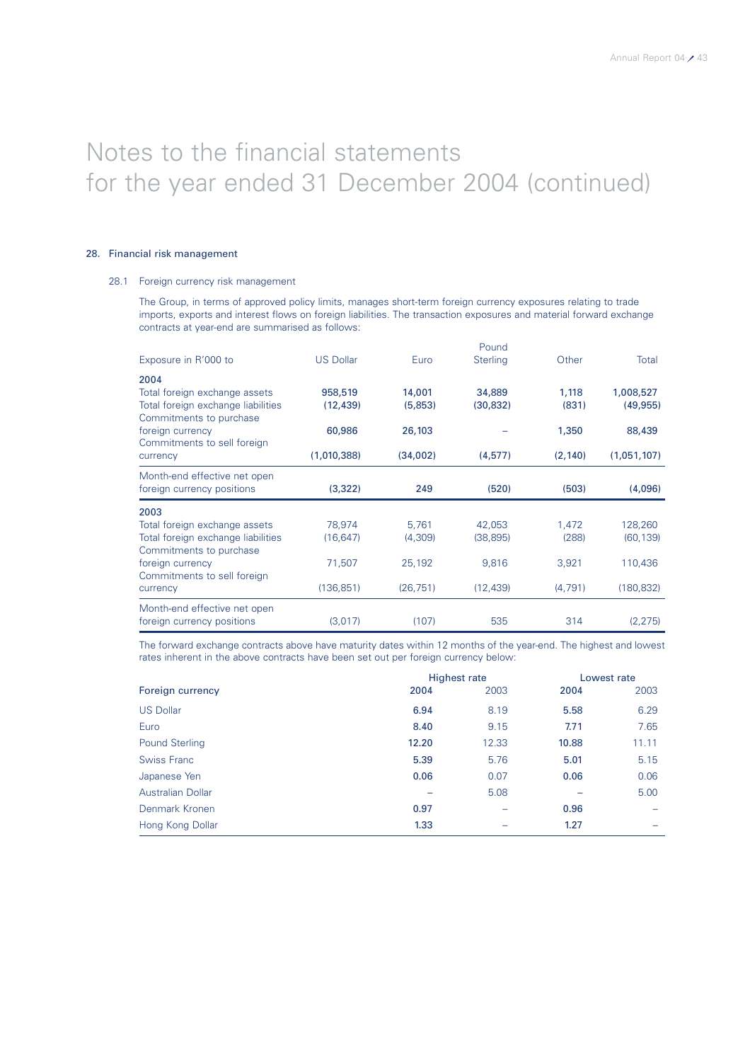### 28. Financial risk management

### 28.1 Foreign currency risk management

The Group, in terms of approved policy limits, manages short-term foreign currency exposures relating to trade imports, exports and interest flows on foreign liabilities. The transaction exposures and material forward exchange contracts at year-end are summarised as follows:

|                                                               |                  |           | Pound           |          |             |
|---------------------------------------------------------------|------------------|-----------|-----------------|----------|-------------|
| Exposure in R'000 to                                          | <b>US Dollar</b> | Euro      | <b>Sterling</b> | Other    | Total       |
| 2004                                                          |                  |           |                 |          |             |
| Total foreign exchange assets                                 | 958,519          | 14,001    | 34,889          | 1,118    | 1,008,527   |
| Total foreign exchange liabilities<br>Commitments to purchase | (12, 439)        | (5,853)   | (30, 832)       | (831)    | (49, 955)   |
| foreign currency<br>Commitments to sell foreign               | 60,986           | 26,103    |                 | 1,350    | 88,439      |
| currency                                                      | (1,010,388)      | (34,002)  | (4, 577)        | (2, 140) | (1,051,107) |
| Month-end effective net open                                  |                  |           |                 |          |             |
| foreign currency positions                                    | (3,322)          | 249       | (520)           | (503)    | (4,096)     |
| 2003                                                          |                  |           |                 |          |             |
| Total foreign exchange assets                                 | 78,974           | 5,761     | 42,053          | 1,472    | 128,260     |
| Total foreign exchange liabilities                            | (16, 647)        | (4,309)   | (38, 895)       | (288)    | (60, 139)   |
| Commitments to purchase                                       |                  |           |                 |          |             |
| foreign currency                                              | 71,507           | 25,192    | 9,816           | 3,921    | 110,436     |
| Commitments to sell foreign                                   |                  |           |                 |          |             |
| currency                                                      | (136, 851)       | (26, 751) | (12, 439)       | (4,791)  | (180, 832)  |
| Month-end effective net open                                  |                  |           |                 |          |             |
| foreign currency positions                                    | (3,017)          | (107)     | 535             | 314      | (2, 275)    |

The forward exchange contracts above have maturity dates within 12 months of the year-end. The highest and lowest rates inherent in the above contracts have been set out per foreign currency below:

|                          | <b>Highest rate</b> |       |       | Lowest rate              |  |
|--------------------------|---------------------|-------|-------|--------------------------|--|
| Foreign currency         | 2004                | 2003  | 2004  | 2003                     |  |
| <b>US Dollar</b>         | 6.94                | 8.19  | 5.58  | 6.29                     |  |
| Euro                     | 8.40                | 9.15  | 7.71  | 7.65                     |  |
| <b>Pound Sterling</b>    | 12.20               | 12.33 | 10.88 | 11.11                    |  |
| <b>Swiss Franc</b>       | 5.39                | 5.76  | 5.01  | 5.15                     |  |
| Japanese Yen             | 0.06                | 0.07  | 0.06  | 0.06                     |  |
| <b>Australian Dollar</b> |                     | 5.08  |       | 5.00                     |  |
| Denmark Kronen           | 0.97                |       | 0.96  |                          |  |
| Hong Kong Dollar         | 1.33                |       | 1.27  | $\overline{\phantom{0}}$ |  |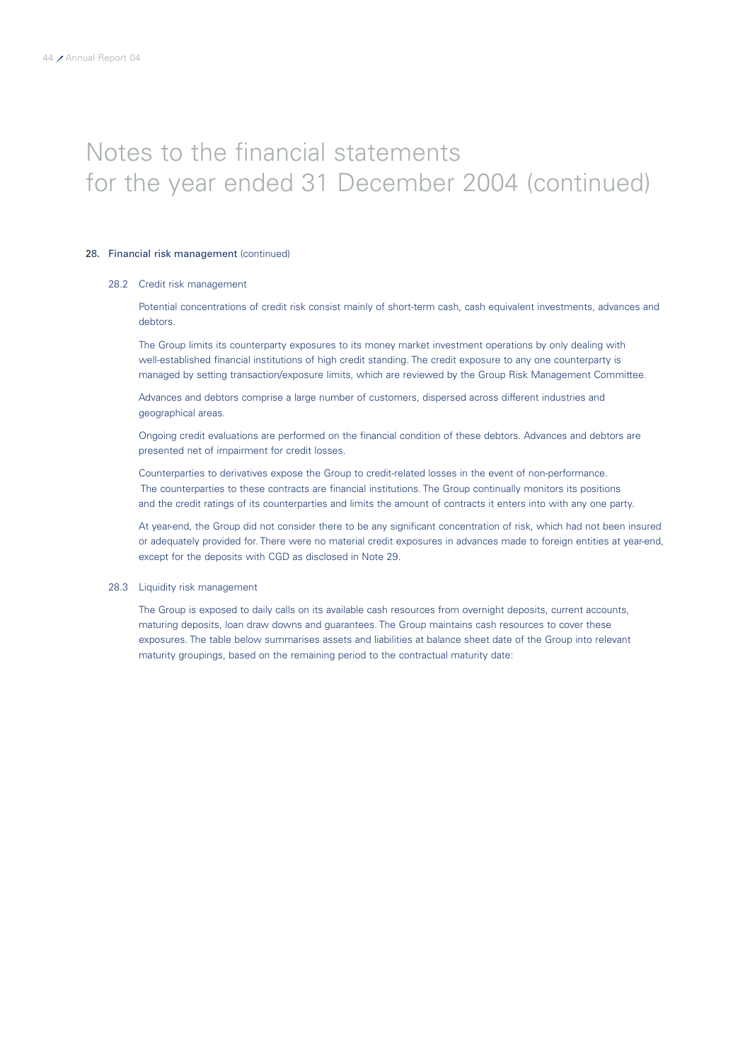### 28. Financial risk management (continued)

### 28.2 Credit risk management

Potential concentrations of credit risk consist mainly of short-term cash, cash equivalent investments, advances and debtors.

The Group limits its counterparty exposures to its money market investment operations by only dealing with well-established financial institutions of high credit standing. The credit exposure to any one counterparty is managed by setting transaction/exposure limits, which are reviewed by the Group Risk Management Committee.

Advances and debtors comprise a large number of customers, dispersed across different industries and geographical areas.

Ongoing credit evaluations are performed on the financial condition of these debtors. Advances and debtors are presented net of impairment for credit losses.

Counterparties to derivatives expose the Group to credit-related losses in the event of non-performance. The counterparties to these contracts are financial institutions. The Group continually monitors its positions and the credit ratings of its counterparties and limits the amount of contracts it enters into with any one party.

At year-end, the Group did not consider there to be any significant concentration of risk, which had not been insured or adequately provided for. There were no material credit exposures in advances made to foreign entities at year-end, except for the deposits with CGD as disclosed in Note 29.

### 28.3 Liquidity risk management

The Group is exposed to daily calls on its available cash resources from overnight deposits, current accounts, maturing deposits, loan draw downs and guarantees. The Group maintains cash resources to cover these exposures. The table below summarises assets and liabilities at balance sheet date of the Group into relevant maturity groupings, based on the remaining period to the contractual maturity date: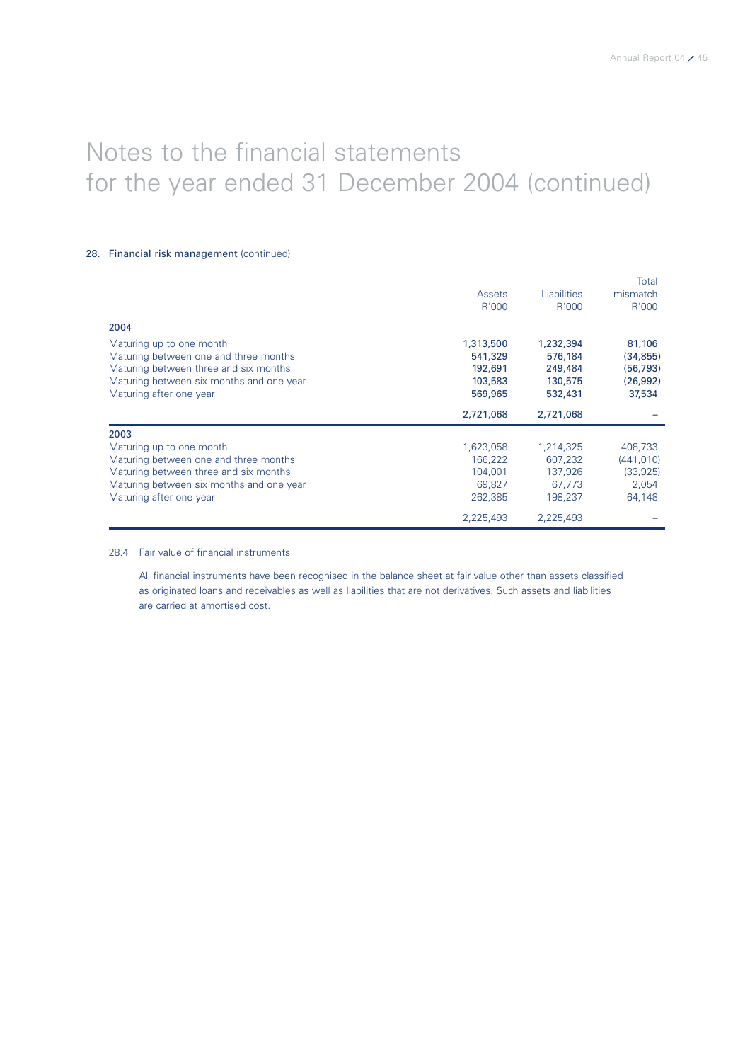### 28. Financial risk management (continued)

|                                          |           |                    | Total      |
|------------------------------------------|-----------|--------------------|------------|
|                                          | Assets    | <b>Liabilities</b> | mismatch   |
|                                          | R'000     | R'000              | R'000      |
| 2004                                     |           |                    |            |
| Maturing up to one month                 | 1,313,500 | 1,232,394          | 81,106     |
| Maturing between one and three months    | 541,329   | 576,184            | (34, 855)  |
| Maturing between three and six months    | 192,691   | 249,484            | (56, 793)  |
| Maturing between six months and one year | 103,583   | 130,575            | (26,992)   |
| Maturing after one year                  | 569,965   | 532,431            | 37,534     |
|                                          | 2,721,068 | 2,721,068          |            |
| 2003                                     |           |                    |            |
| Maturing up to one month                 | 1,623,058 | 1,214,325          | 408,733    |
| Maturing between one and three months    | 166,222   | 607,232            | (441, 010) |
| Maturing between three and six months    | 104,001   | 137,926            | (33,925)   |
| Maturing between six months and one year | 69,827    | 67,773             | 2,054      |
| Maturing after one year                  | 262,385   | 198,237            | 64,148     |
|                                          | 2,225,493 | 2.225.493          |            |

28.4 Fair value of financial instruments

All financial instruments have been recognised in the balance sheet at fair value other than assets classified as originated loans and receivables as well as liabilities that are not derivatives. Such assets and liabilities are carried at amortised cost.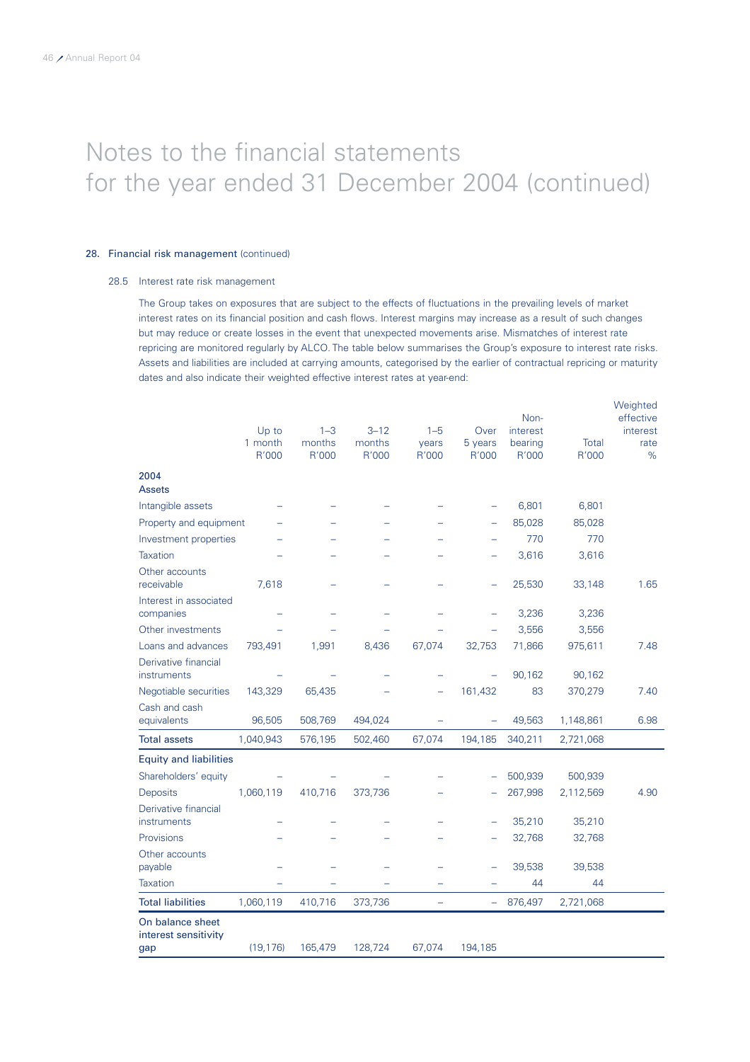### 28. Financial risk management (continued)

### 28.5 Interest rate risk management

The Group takes on exposures that are subject to the effects of fluctuations in the prevailing levels of market interest rates on its financial position and cash flows. Interest margins may increase as a result of such changes but may reduce or create losses in the event that unexpected movements arise. Mismatches of interest rate repricing are monitored regularly by ALCO. The table below summarises the Group's exposure to interest rate risks. Assets and liabilities are included at carrying amounts, categorised by the earlier of contractual repricing or maturity dates and also indicate their weighted effective interest rates at year-end:

|                                          | Up to<br>1 month<br>R'000 | $1 - 3$<br>months<br>R'000 | $3 - 12$<br>months<br>R'000 | $1 - 5$<br>years<br>R'000 | Over<br>5 years<br>R'000 | Non-<br>interest<br>bearing<br>R'000 | Total<br>R'000 | Weighted<br>effective<br>interest<br>rate<br>$\%$ |
|------------------------------------------|---------------------------|----------------------------|-----------------------------|---------------------------|--------------------------|--------------------------------------|----------------|---------------------------------------------------|
| 2004                                     |                           |                            |                             |                           |                          |                                      |                |                                                   |
| <b>Assets</b>                            |                           |                            |                             |                           |                          |                                      |                |                                                   |
| Intangible assets                        |                           |                            |                             |                           |                          | 6,801                                | 6,801          |                                                   |
| Property and equipment                   |                           |                            |                             |                           |                          | 85,028                               | 85,028         |                                                   |
| Investment properties                    |                           |                            |                             |                           |                          | 770                                  | 770            |                                                   |
| <b>Taxation</b>                          |                           |                            |                             |                           |                          | 3,616                                | 3,616          |                                                   |
| Other accounts<br>receivable             | 7,618                     |                            |                             |                           |                          | 25,530                               | 33,148         | 1.65                                              |
| Interest in associated<br>companies      |                           |                            |                             |                           |                          | 3,236                                | 3,236          |                                                   |
| Other investments                        |                           |                            |                             |                           |                          | 3,556                                | 3,556          |                                                   |
| Loans and advances                       | 793,491                   | 1,991                      | 8,436                       | 67,074                    | 32,753                   | 71,866                               | 975,611        | 7.48                                              |
| Derivative financial<br>instruments      |                           |                            |                             |                           | $\overline{\phantom{a}}$ | 90,162                               | 90,162         |                                                   |
| Negotiable securities                    | 143,329                   | 65,435                     |                             |                           | 161,432                  | 83                                   | 370,279        | 7.40                                              |
| Cash and cash<br>equivalents             | 96,505                    | 508,769                    | 494,024                     | -                         | ÷                        | 49,563                               | 1,148,861      | 6.98                                              |
| <b>Total assets</b>                      | 1,040,943                 | 576,195                    | 502,460                     | 67,074                    | 194,185                  | 340,211                              | 2,721,068      |                                                   |
| <b>Equity and liabilities</b>            |                           |                            |                             |                           |                          |                                      |                |                                                   |
| Shareholders' equity                     |                           |                            |                             |                           |                          | 500,939                              | 500,939        |                                                   |
| <b>Deposits</b>                          | 1,060,119                 | 410,716                    | 373,736                     |                           |                          | 267,998                              | 2,112,569      | 4.90                                              |
| Derivative financial<br>instruments      |                           |                            |                             |                           |                          | 35,210                               | 35,210         |                                                   |
| Provisions                               |                           |                            |                             |                           |                          | 32,768                               | 32,768         |                                                   |
| Other accounts                           |                           |                            |                             |                           |                          |                                      |                |                                                   |
| payable                                  |                           |                            |                             |                           |                          | 39,538                               | 39,538         |                                                   |
| <b>Taxation</b>                          |                           |                            |                             |                           |                          | 44                                   | 44             |                                                   |
| <b>Total liabilities</b>                 | 1,060,119                 | 410,716                    | 373,736                     |                           | ÷                        | 876,497                              | 2,721,068      |                                                   |
| On balance sheet<br>interest sensitivity |                           |                            |                             |                           |                          |                                      |                |                                                   |
| gap                                      | (19, 176)                 | 165,479                    | 128,724                     | 67,074                    | 194,185                  |                                      |                |                                                   |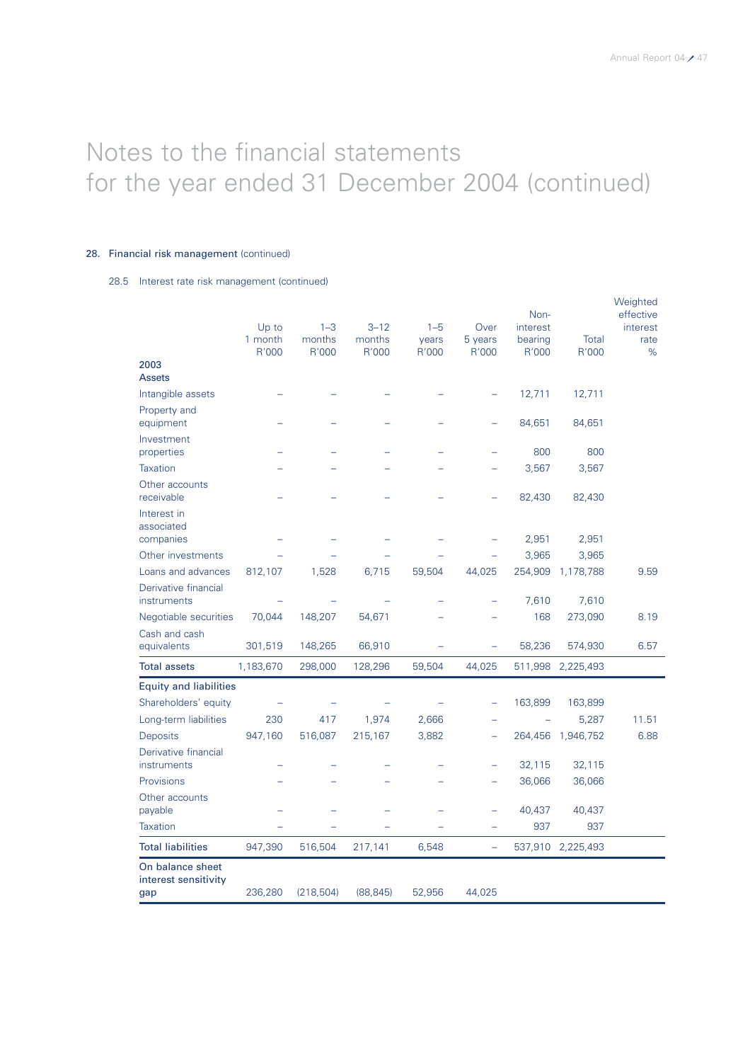### 28. Financial risk management (continued)

28.5 Interest rate risk management (continued)

|                                                 |           |            |           |         |               | Non-     |                   | Weighted<br>effective |
|-------------------------------------------------|-----------|------------|-----------|---------|---------------|----------|-------------------|-----------------------|
|                                                 | Up to     | $1 - 3$    | $3 - 12$  | $1 - 5$ | Over          | interest |                   | interest              |
|                                                 | 1 month   | months     | months    | years   | 5 years       | bearing  | Total             | rate                  |
| 2003                                            | R'000     | R'000      | R'000     | R'000   | R'000         | R'000    | R'000             | %                     |
| <b>Assets</b>                                   |           |            |           |         |               |          |                   |                       |
| Intangible assets                               |           |            |           |         |               | 12,711   | 12,711            |                       |
| Property and<br>equipment                       |           |            |           |         |               | 84,651   | 84,651            |                       |
| Investment<br>properties                        |           |            |           |         |               | 800      | 800               |                       |
| <b>Taxation</b>                                 |           |            |           |         |               | 3,567    | 3,567             |                       |
| Other accounts<br>receivable                    |           |            |           |         |               | 82,430   | 82,430            |                       |
| Interest in<br>associated                       |           |            |           |         |               |          |                   |                       |
| companies                                       |           |            |           |         |               | 2,951    | 2,951             |                       |
| Other investments                               |           |            |           |         |               | 3,965    | 3,965             |                       |
| Loans and advances                              | 812,107   | 1,528      | 6,715     | 59,504  | 44,025        | 254,909  | 1,178,788         | 9.59                  |
| Derivative financial<br>instruments             |           |            |           |         |               | 7,610    | 7,610             |                       |
| Negotiable securities                           | 70,044    | 148,207    | 54,671    |         |               | 168      | 273,090           | 8.19                  |
| Cash and cash<br>equivalents                    | 301,519   | 148,265    | 66,910    |         | -             | 58,236   | 574,930           | 6.57                  |
| <b>Total assets</b>                             | 1,183,670 | 298,000    | 128,296   | 59,504  | 44,025        |          | 511,998 2,225,493 |                       |
| <b>Equity and liabilities</b>                   |           |            |           |         |               |          |                   |                       |
| Shareholders' equity                            |           |            |           |         | ÷             | 163,899  | 163,899           |                       |
| Long-term liabilities                           | 230       | 417        | 1,974     | 2,666   |               |          | 5,287             | 11.51                 |
| <b>Deposits</b>                                 | 947,160   | 516,087    | 215,167   | 3,882   | $\rightarrow$ | 264,456  | 1,946,752         | 6.88                  |
| Derivative financial<br>instruments             |           |            |           |         |               | 32,115   | 32,115            |                       |
| Provisions                                      |           |            |           |         |               | 36,066   | 36,066            |                       |
| Other accounts                                  |           |            |           |         |               |          |                   |                       |
| payable                                         |           |            |           |         |               | 40,437   | 40,437            |                       |
| <b>Taxation</b>                                 |           |            |           |         |               | 937      | 937               |                       |
| <b>Total liabilities</b>                        | 947,390   | 516,504    | 217,141   | 6,548   | $\equiv$      | 537,910  | 2,225,493         |                       |
| On balance sheet<br>interest sensitivity<br>gap | 236,280   | (218, 504) | (88, 845) | 52,956  | 44,025        |          |                   |                       |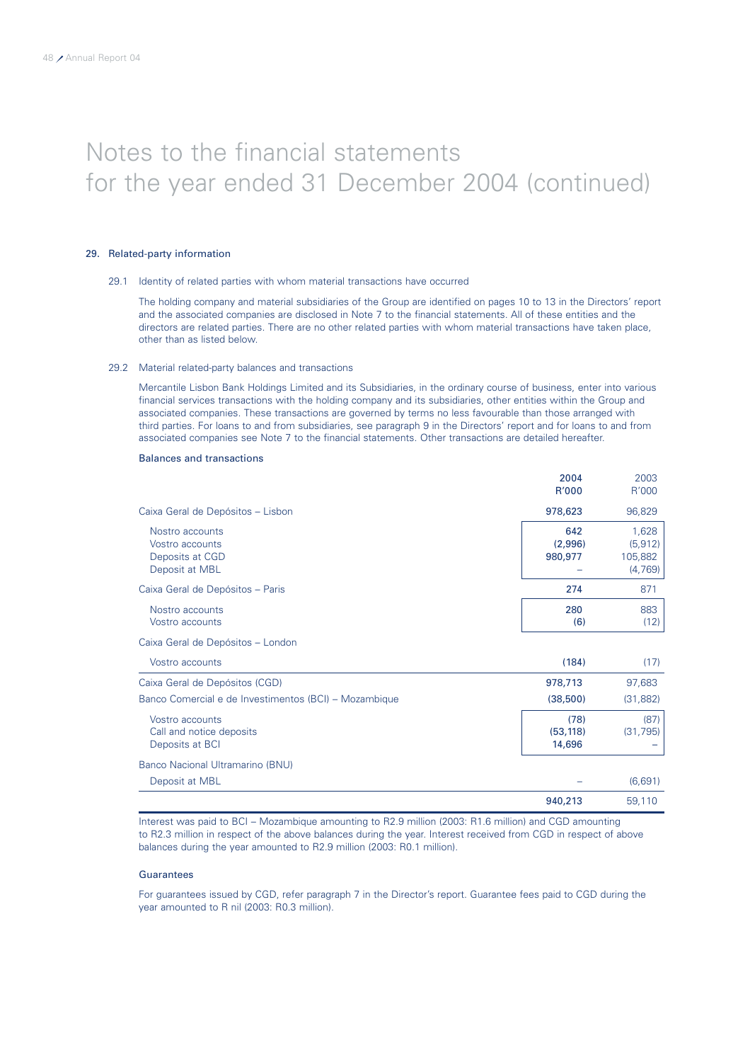### 29. Related-party information

### 29.1 Identity of related parties with whom material transactions have occurred

The holding company and material subsidiaries of the Group are identified on pages 10 to 13 in the Directors' report and the associated companies are disclosed in Note 7 to the financial statements. All of these entities and the directors are related parties. There are no other related parties with whom material transactions have taken place, other than as listed below.

### 29.2 Material related-party balances and transactions

Mercantile Lisbon Bank Holdings Limited and its Subsidiaries, in the ordinary course of business, enter into various financial services transactions with the holding company and its subsidiaries, other entities within the Group and associated companies. These transactions are governed by terms no less favourable than those arranged with third parties. For loans to and from subsidiaries, see paragraph 9 in the Directors' report and for loans to and from associated companies see Note 7 to the financial statements. Other transactions are detailed hereafter.

### Balances and transactions

|                                                                         | 2004<br>R'000               | 2003<br>R'000                           |
|-------------------------------------------------------------------------|-----------------------------|-----------------------------------------|
| Caixa Geral de Depósitos - Lisbon                                       | 978,623                     | 96,829                                  |
| Nostro accounts<br>Vostro accounts<br>Deposits at CGD<br>Deposit at MBL | 642<br>(2,996)<br>980,977   | 1,628<br>(5, 912)<br>105,882<br>(4,769) |
| Caixa Geral de Depósitos - Paris                                        | 274                         | 871                                     |
| Nostro accounts<br>Vostro accounts                                      | 280<br>(6)                  | 883<br>(12)                             |
| Caixa Geral de Depósitos - London                                       |                             |                                         |
| Vostro accounts                                                         | (184)                       | (17)                                    |
| Caixa Geral de Depósitos (CGD)                                          | 978,713                     | 97,683                                  |
| Banco Comercial e de Investimentos (BCI) – Mozambique                   | (38,500)                    | (31, 882)                               |
| Vostro accounts<br>Call and notice deposits<br>Deposits at BCI          | (78)<br>(53, 118)<br>14,696 | (87)<br>(31, 795)                       |
| Banco Nacional Ultramarino (BNU)                                        |                             |                                         |
| Deposit at MBL                                                          |                             | (6,691)                                 |
|                                                                         | 940,213                     | 59,110                                  |

Interest was paid to BCI – Mozambique amounting to R2.9 million (2003: R1.6 million) and CGD amounting to R2.3 million in respect of the above balances during the year. Interest received from CGD in respect of above balances during the year amounted to R2.9 million (2003: R0.1 million).

### **Guarantees**

For guarantees issued by CGD, refer paragraph 7 in the Director's report. Guarantee fees paid to CGD during the year amounted to R nil (2003: R0.3 million).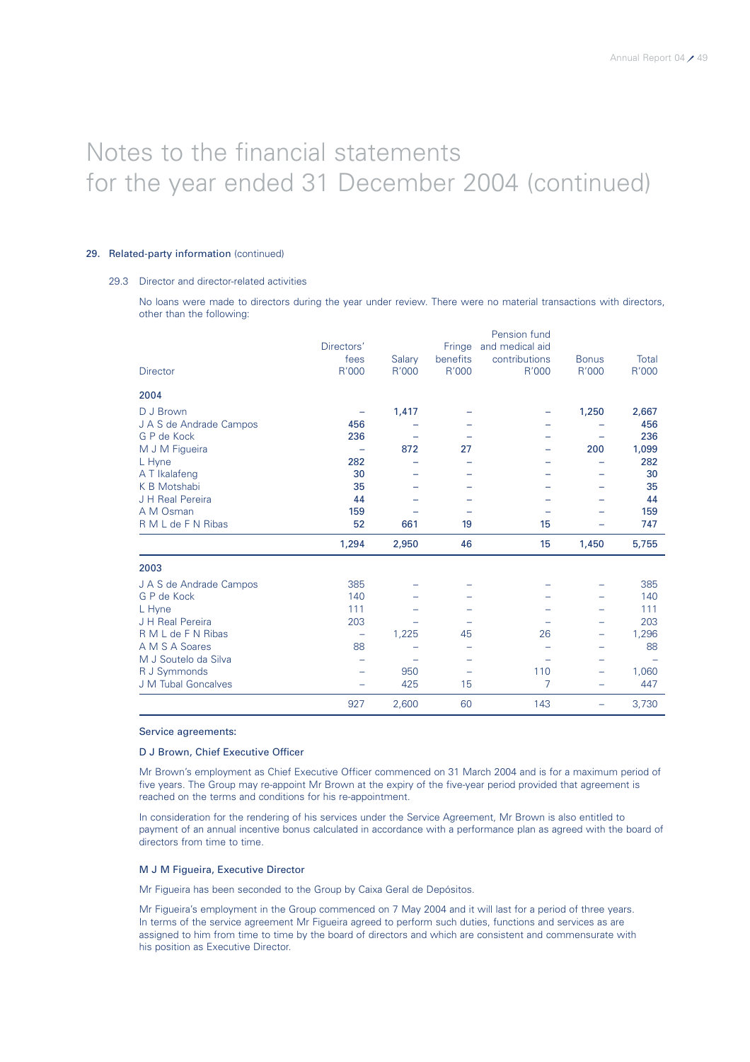### 29. Related-party information (continued)

### 29.3 Director and director-related activities

No loans were made to directors during the year under review. There were no material transactions with directors, other than the following:

|                         | Directors'               |        | Fringe                   | Pension fund<br>and medical aid |              |       |
|-------------------------|--------------------------|--------|--------------------------|---------------------------------|--------------|-------|
|                         | fees                     | Salary | benefits                 | contributions                   | <b>Bonus</b> | Total |
| <b>Director</b>         | R'000                    | R'000  | R'000                    | R'000                           | R'000        | R'000 |
| 2004                    |                          |        |                          |                                 |              |       |
| D J Brown               |                          | 1,417  |                          |                                 | 1,250        | 2,667 |
| J A S de Andrade Campos | 456                      |        |                          |                                 |              | 456   |
| G P de Kock             | 236                      |        |                          |                                 |              | 236   |
| M J M Figueira          |                          | 872    | 27                       |                                 | 200          | 1,099 |
| L Hyne                  | 282                      |        |                          |                                 |              | 282   |
| A T Ikalafeng           | 30                       |        |                          |                                 |              | 30    |
| K B Motshabi            | 35                       |        |                          |                                 |              | 35    |
| J H Real Pereira        | 44                       |        |                          |                                 |              | 44    |
| A M Osman               | 159                      |        |                          |                                 |              | 159   |
| R M L de F N Ribas      | 52                       | 661    | 19                       | 15                              |              | 747   |
|                         | 1,294                    | 2,950  | 46                       | 15                              | 1,450        | 5,755 |
| 2003                    |                          |        |                          |                                 |              |       |
| J A S de Andrade Campos | 385                      |        |                          |                                 |              | 385   |
| G P de Kock             | 140                      |        |                          |                                 |              | 140   |
| L Hyne                  | 111                      |        |                          |                                 |              | 111   |
| J H Real Pereira        | 203                      |        |                          |                                 |              | 203   |
| R M L de F N Ribas      | $\overline{\phantom{0}}$ | 1,225  | 45                       | 26                              | -            | 1,296 |
| A M S A Soares          | 88                       |        |                          |                                 |              | 88    |
| M J Soutelo da Silva    |                          |        |                          |                                 |              |       |
| R J Symmonds            |                          | 950    | $\overline{\phantom{0}}$ | 110                             | -            | 1,060 |
| J M Tubal Goncalves     |                          | 425    | 15                       | 7                               |              | 447   |
|                         | 927                      | 2,600  | 60                       | 143                             | -            | 3,730 |

### Service agreements:

### D J Brown, Chief Executive Officer

Mr Brown's employment as Chief Executive Officer commenced on 31 March 2004 and is for a maximum period of five years. The Group may re-appoint Mr Brown at the expiry of the five-year period provided that agreement is reached on the terms and conditions for his re-appointment.

In consideration for the rendering of his services under the Service Agreement, Mr Brown is also entitled to payment of an annual incentive bonus calculated in accordance with a performance plan as agreed with the board of directors from time to time.

### M J M Figueira, Executive Director

Mr Figueira has been seconded to the Group by Caixa Geral de Depósitos.

Mr Figueira's employment in the Group commenced on 7 May 2004 and it will last for a period of three years. In terms of the service agreement Mr Figueira agreed to perform such duties, functions and services as are assigned to him from time to time by the board of directors and which are consistent and commensurate with his position as Executive Director.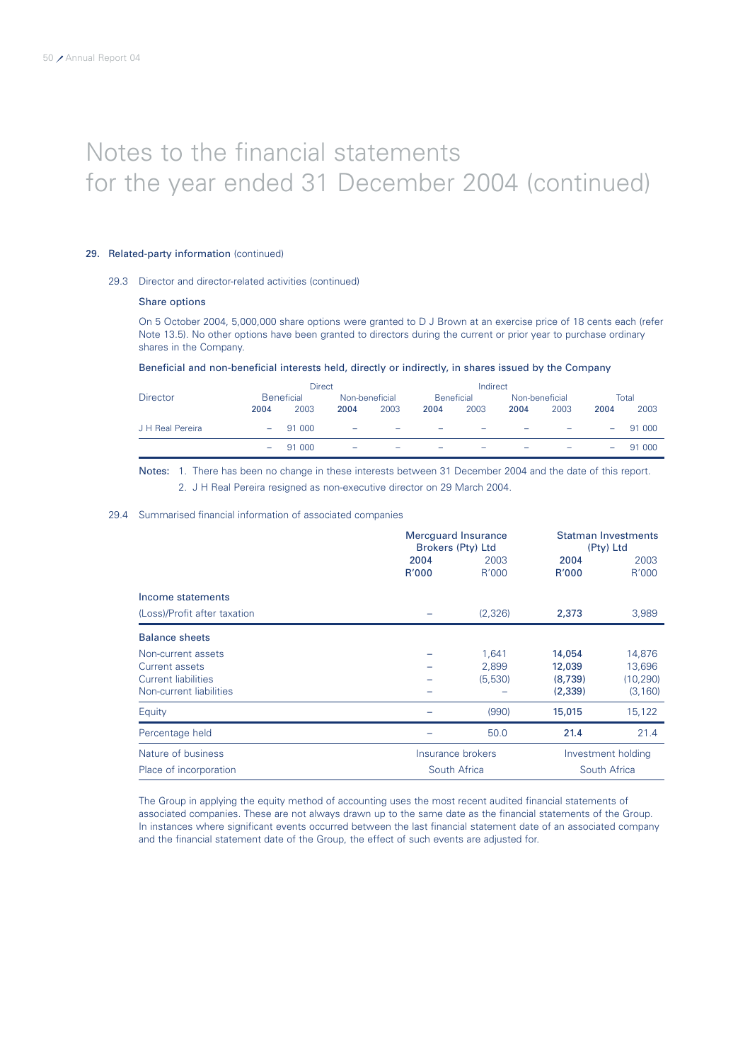### 29. Related-party information (continued)

### 29.3 Director and director-related activities (continued)

### Share options

On 5 October 2004, 5,000,000 share options were granted to D J Brown at an exercise price of 18 cents each (refer Note 13.5). No other options have been granted to directors during the current or prior year to purchase ordinary shares in the Company.

### Beneficial and non-beneficial interests held, directly or indirectly, in shares issued by the Company

|                  |                   | Direct     |                |                          |                          | Indirect                 |                |      |                          |        |
|------------------|-------------------|------------|----------------|--------------------------|--------------------------|--------------------------|----------------|------|--------------------------|--------|
| <b>Director</b>  | <b>Beneficial</b> |            | Non-beneficial |                          | <b>Beneficial</b>        |                          | Non-beneficial |      | Total                    |        |
|                  | 2004              | 2003       | 2004           | 2003                     | 2004                     | 2003                     | 2004           | 2003 | 2004                     | 2003   |
| J H Real Pereira |                   | $-$ 91 000 | $\sim$         | $\overline{\phantom{a}}$ | $\overline{\phantom{a}}$ | $\overline{\phantom{a}}$ | -              | -    | $\overline{\phantom{a}}$ | 91 000 |
|                  |                   | $-$ 91 000 | -              | $\overline{\phantom{a}}$ | -                        | -                        |                |      | -                        | 91 000 |

Notes: 1. There has been no change in these interests between 31 December 2004 and the date of this report. 2. J H Real Pereira resigned as non-executive director on 29 March 2004.

### 29.4 Summarised financial information of associated companies

|                              |               | <b>Mercguard Insurance</b><br>Brokers (Pty) Ltd |               | <b>Statman Investments</b><br>(Pty) Ltd |  |
|------------------------------|---------------|-------------------------------------------------|---------------|-----------------------------------------|--|
|                              | 2004<br>R'000 | 2003<br>R'000                                   | 2004<br>R'000 | 2003<br>R'000                           |  |
| Income statements            |               |                                                 |               |                                         |  |
| (Loss)/Profit after taxation |               | (2,326)                                         | 2,373         | 3,989                                   |  |
| <b>Balance sheets</b>        |               |                                                 |               |                                         |  |
| Non-current assets           |               | 1,641                                           | 14,054        | 14,876                                  |  |
| Current assets               |               | 2,899                                           | 12,039        | 13,696                                  |  |
| Current liabilities          |               | (5,530)                                         | (8,739)       | (10, 290)                               |  |
| Non-current liabilities      |               |                                                 | (2,339)       | (3, 160)                                |  |
| Equity                       |               | (990)                                           | 15,015        | 15,122                                  |  |
| Percentage held              |               | 50.0                                            | 21.4          | 21.4                                    |  |
| Nature of business           |               | Insurance brokers                               |               | Investment holding                      |  |
| Place of incorporation       |               | South Africa                                    |               | South Africa                            |  |

The Group in applying the equity method of accounting uses the most recent audited financial statements of associated companies. These are not always drawn up to the same date as the financial statements of the Group. In instances where significant events occurred between the last financial statement date of an associated company and the financial statement date of the Group, the effect of such events are adjusted for.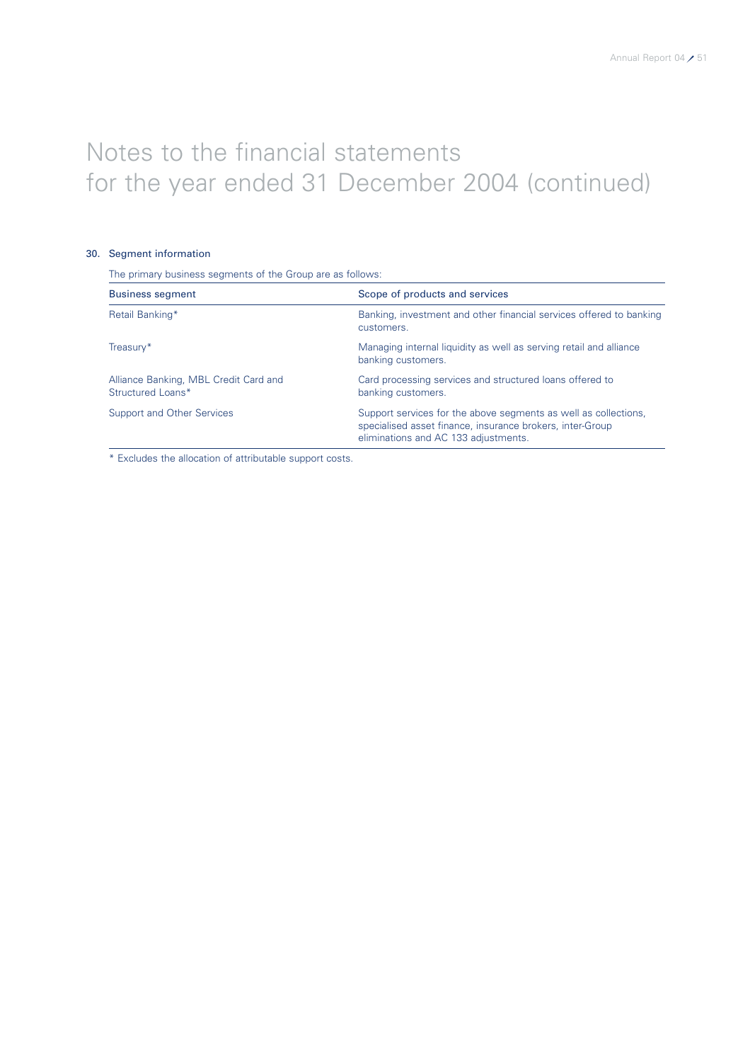### 30. Segment information

The primary business segments of the Group are as follows:

| <b>Business segment</b>                                    | Scope of products and services                                                                                                                                       |
|------------------------------------------------------------|----------------------------------------------------------------------------------------------------------------------------------------------------------------------|
| Retail Banking*                                            | Banking, investment and other financial services offered to banking<br>customers.                                                                                    |
| Treasury*                                                  | Managing internal liquidity as well as serving retail and alliance<br>banking customers.                                                                             |
| Alliance Banking, MBL Credit Card and<br>Structured Loans* | Card processing services and structured loans offered to<br>banking customers.                                                                                       |
| Support and Other Services                                 | Support services for the above segments as well as collections.<br>specialised asset finance, insurance brokers, inter-Group<br>eliminations and AC 133 adjustments. |

\* Excludes the allocation of attributable support costs.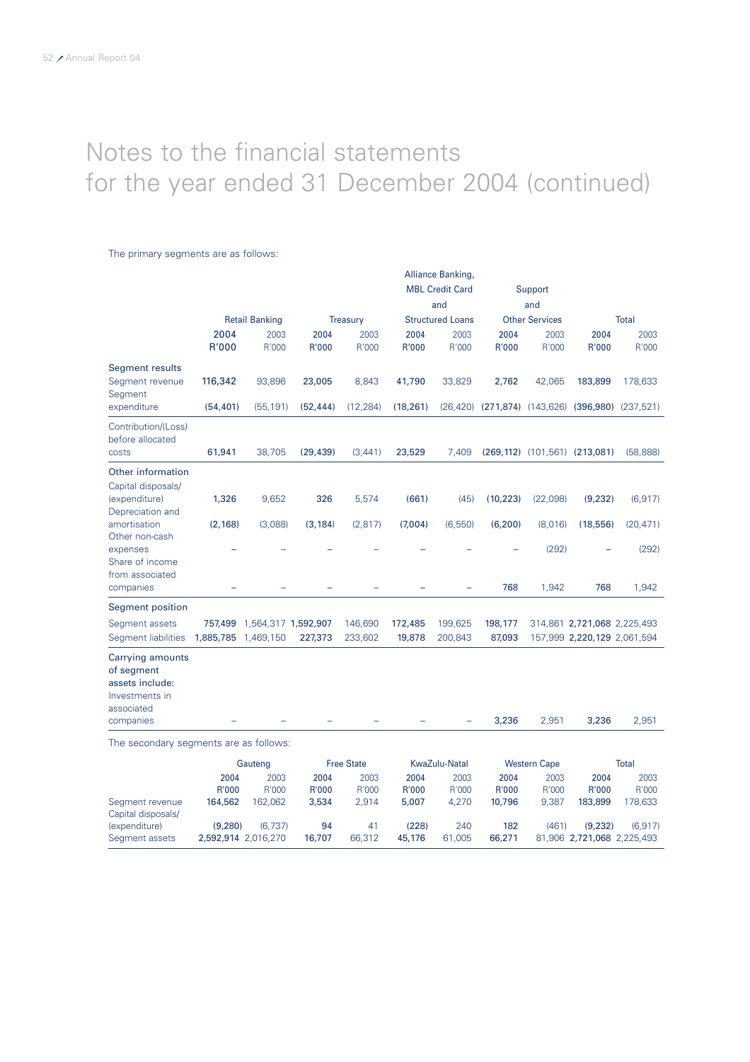### The primary segments are as follows:

|                                                                                          |                      |                             |                     |                    |                     | Alliance Banking,<br><b>MBL Credit Card</b><br>and |                                                | Support<br>and        |                               |                                    |
|------------------------------------------------------------------------------------------|----------------------|-----------------------------|---------------------|--------------------|---------------------|----------------------------------------------------|------------------------------------------------|-----------------------|-------------------------------|------------------------------------|
|                                                                                          |                      | <b>Retail Banking</b>       |                     | <b>Treasury</b>    |                     | <b>Structured Loans</b>                            |                                                | <b>Other Services</b> |                               | <b>Total</b>                       |
|                                                                                          | 2004<br>R'000        | 2003<br>R'000               | 2004<br>R'000       | 2003<br>R'000      | 2004<br>R'000       | 2003<br>R'000                                      | 2004<br>R'000                                  | 2003<br>R'000         | 2004<br>R'000                 | 2003<br>R'000                      |
| <b>Segment results</b><br>Segment revenue<br>Segment<br>expenditure                      | 116,342<br>(54, 401) | 93,896<br>(55, 191)         | 23,005<br>(52, 444) | 8,843<br>(12, 284) | 41,790<br>(18, 261) | 33,829                                             | 2,762<br>$(26, 420)$ $(271, 874)$ $(143, 626)$ | 42,065                | 183,899                       | 178,633<br>$(396,980)$ $(237,521)$ |
|                                                                                          |                      |                             |                     |                    |                     |                                                    |                                                |                       |                               |                                    |
| Contribution/(Loss)<br>before allocated<br>costs                                         | 61,941               | 38,705                      | (29, 439)           | (3, 441)           | 23,529              | 7,409                                              |                                                |                       | (269,112) (101,561) (213,081) | (58, 888)                          |
| Other information                                                                        |                      |                             |                     |                    |                     |                                                    |                                                |                       |                               |                                    |
| Capital disposals/<br>(expenditure)<br>Depreciation and                                  | 1,326                | 9,652                       | 326                 | 5,574              | (661)               | (45)                                               | (10, 223)                                      | (22,098)              | (9, 232)                      | (6, 917)                           |
| amortisation<br>Other non-cash                                                           | (2, 168)             | (3,088)                     | (3, 184)            | (2, 817)           | (7,004)             | (6,550)                                            | (6, 200)                                       | (8,016)               | (18, 556)                     | (20, 471)                          |
| expenses<br>Share of income<br>from associated                                           |                      |                             |                     |                    |                     |                                                    |                                                | (292)                 |                               | (292)                              |
| companies                                                                                |                      |                             |                     |                    |                     |                                                    | 768                                            | 1,942                 | 768                           | 1,942                              |
| <b>Segment position</b>                                                                  |                      |                             |                     |                    |                     |                                                    |                                                |                       |                               |                                    |
| Segment assets                                                                           |                      | 757,499 1,564,317 1,592,907 |                     | 146,690            | 172,485             | 199,625                                            | 198,177                                        |                       | 314,861 2,721,068 2,225,493   |                                    |
| Segment liabilities                                                                      | 1,885,785 1,469,150  |                             | 227,373             | 233,602            | 19,878              | 200,843                                            | 87,093                                         |                       | 157,999 2,220,129 2,061,594   |                                    |
| <b>Carrying amounts</b><br>of segment<br>assets include:<br>Investments in<br>associated |                      |                             |                     |                    |                     |                                                    |                                                |                       |                               |                                    |
| companies                                                                                |                      |                             |                     |                    |                     |                                                    | 3,236                                          | 2,951                 | 3,236                         | 2,951                              |
| The secondary segments are as follows:                                                   |                      | Gauteno                     |                     | <b>Free State</b>  |                     | KwaZulu-Natal                                      |                                                | <b>Western Cane</b>   |                               | Total                              |

|                    | Gauteng             |         | <b>Free State</b> |        | KwaZulu-Natal |        | <b>Western Cape</b> |       | Total                      |         |
|--------------------|---------------------|---------|-------------------|--------|---------------|--------|---------------------|-------|----------------------------|---------|
|                    | 2004                | 2003    | 2004              | 2003   | 2004          | 2003   | 2004                | 2003  | 2004                       | 2003    |
|                    | R'000               | R'000   | R'000             | R'000  | R'000         | R'000  | R'000               | R'000 | R'000                      | R'000   |
| Segment revenue    | 164,562             | 162.062 | 3,534             | 2.914  | 5.007         | 4.270  | 10.796              | 9.387 | 183,899                    | '78.633 |
| Capital disposals/ |                     |         |                   |        |               |        |                     |       |                            |         |
| (expenditure)      | (9.280)             | (6.737) | 94                | 41     | (228)         | 240    | 182                 | (461) | (9.232)                    | (6.917) |
| Seament assets     | 2,592,914 2,016,270 |         | 16,707            | 66,312 | 45,176        | 61,005 | 66,271              |       | 81.906 2.721.068 2.225.493 |         |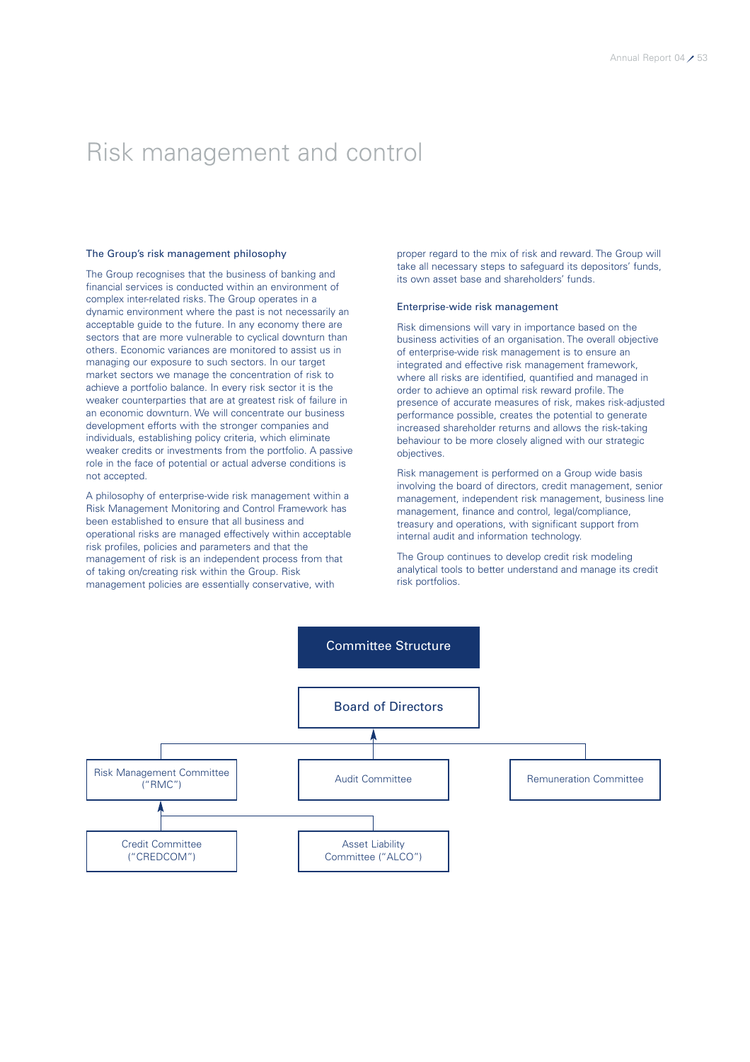### Risk management and control

### The Group's risk management philosophy

The Group recognises that the business of banking and financial services is conducted within an environment of complex inter-related risks. The Group operates in a dynamic environment where the past is not necessarily an acceptable guide to the future. In any economy there are sectors that are more vulnerable to cyclical downturn than others. Economic variances are monitored to assist us in managing our exposure to such sectors. In our target market sectors we manage the concentration of risk to achieve a portfolio balance. In every risk sector it is the weaker counterparties that are at greatest risk of failure in an economic downturn. We will concentrate our business development efforts with the stronger companies and individuals, establishing policy criteria, which eliminate weaker credits or investments from the portfolio. A passive role in the face of potential or actual adverse conditions is not accepted.

A philosophy of enterprise-wide risk management within a Risk Management Monitoring and Control Framework has been established to ensure that all business and operational risks are managed effectively within acceptable risk profiles, policies and parameters and that the management of risk is an independent process from that of taking on/creating risk within the Group. Risk management policies are essentially conservative, with

proper regard to the mix of risk and reward. The Group will take all necessary steps to safeguard its depositors' funds, its own asset base and shareholders' funds.

### Enterprise-wide risk management

Risk dimensions will vary in importance based on the business activities of an organisation. The overall objective of enterprise-wide risk management is to ensure an integrated and effective risk management framework, where all risks are identified, quantified and managed in order to achieve an optimal risk reward profile. The presence of accurate measures of risk, makes risk-adjusted performance possible, creates the potential to generate increased shareholder returns and allows the risk-taking behaviour to be more closely aligned with our strategic objectives.

Risk management is performed on a Group wide basis involving the board of directors, credit management, senior management, independent risk management, business line management, finance and control, legal/compliance, treasury and operations, with significant support from internal audit and information technology.

The Group continues to develop credit risk modeling analytical tools to better understand and manage its credit risk portfolios.

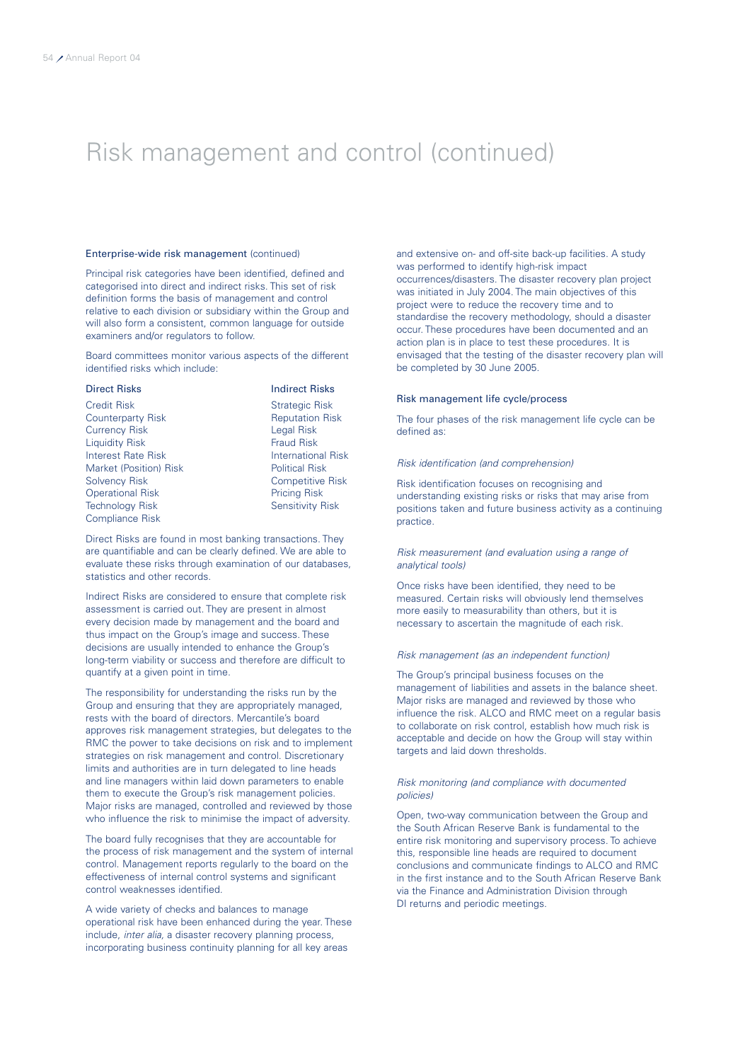### Risk management and control (continued)

### Enterprise-wide risk management (continued)

Principal risk categories have been identified, defined and categorised into direct and indirect risks. This set of risk definition forms the basis of management and control relative to each division or subsidiary within the Group and will also form a consistent, common language for outside examiners and/or regulators to follow.

Board committees monitor various aspects of the different identified risks which include:

| <b>Direct Risks</b>       | <b>Indirect Risks</b>     |
|---------------------------|---------------------------|
| <b>Credit Risk</b>        | <b>Strategic Risk</b>     |
| Counterparty Risk         | <b>Reputation Risk</b>    |
| <b>Currency Risk</b>      | Legal Risk                |
| <b>Liquidity Risk</b>     | <b>Fraud Risk</b>         |
| <b>Interest Rate Risk</b> | <b>International Risk</b> |
| Market (Position) Risk    | <b>Political Risk</b>     |
| <b>Solvency Risk</b>      | <b>Competitive Risk</b>   |
| <b>Operational Risk</b>   | <b>Pricing Risk</b>       |
| <b>Technology Risk</b>    | <b>Sensitivity Risk</b>   |
| <b>Compliance Risk</b>    |                           |

Direct Risks are found in most banking transactions. They are quantifiable and can be clearly defined. We are able to evaluate these risks through examination of our databases, statistics and other records.

Indirect Risks are considered to ensure that complete risk assessment is carried out. They are present in almost every decision made by management and the board and thus impact on the Group's image and success. These decisions are usually intended to enhance the Group's long-term viability or success and therefore are difficult to quantify at a given point in time.

The responsibility for understanding the risks run by the Group and ensuring that they are appropriately managed, rests with the board of directors. Mercantile's board approves risk management strategies, but delegates to the RMC the power to take decisions on risk and to implement strategies on risk management and control. Discretionary limits and authorities are in turn delegated to line heads and line managers within laid down parameters to enable them to execute the Group's risk management policies. Major risks are managed, controlled and reviewed by those who influence the risk to minimise the impact of adversity.

The board fully recognises that they are accountable for the process of risk management and the system of internal control. Management reports regularly to the board on the effectiveness of internal control systems and significant control weaknesses identified.

A wide variety of checks and balances to manage operational risk have been enhanced during the year. These include, *inter alia,* a disaster recovery planning process, incorporating business continuity planning for all key areas

and extensive on- and off-site back-up facilities. A study was performed to identify high-risk impact occurrences/disasters. The disaster recovery plan project was initiated in July 2004. The main objectives of this project were to reduce the recovery time and to standardise the recovery methodology, should a disaster occur. These procedures have been documented and an action plan is in place to test these procedures. It is envisaged that the testing of the disaster recovery plan will be completed by 30 June 2005.

### Risk management life cycle/process

The four phases of the risk management life cycle can be defined as:

### *Risk identification (and comprehension)*

Risk identification focuses on recognising and understanding existing risks or risks that may arise from positions taken and future business activity as a continuing practice.

### *Risk measurement (and evaluation using a range of analytical tools)*

Once risks have been identified, they need to be measured. Certain risks will obviously lend themselves more easily to measurability than others, but it is necessary to ascertain the magnitude of each risk.

### *Risk management (as an independent function)*

The Group's principal business focuses on the management of liabilities and assets in the balance sheet. Major risks are managed and reviewed by those who influence the risk. ALCO and RMC meet on a regular basis to collaborate on risk control, establish how much risk is acceptable and decide on how the Group will stay within targets and laid down thresholds.

### *Risk monitoring (and compliance with documented policies)*

Open, two-way communication between the Group and the South African Reserve Bank is fundamental to the entire risk monitoring and supervisory process. To achieve this, responsible line heads are required to document conclusions and communicate findings to ALCO and RMC in the first instance and to the South African Reserve Bank via the Finance and Administration Division through DI returns and periodic meetings.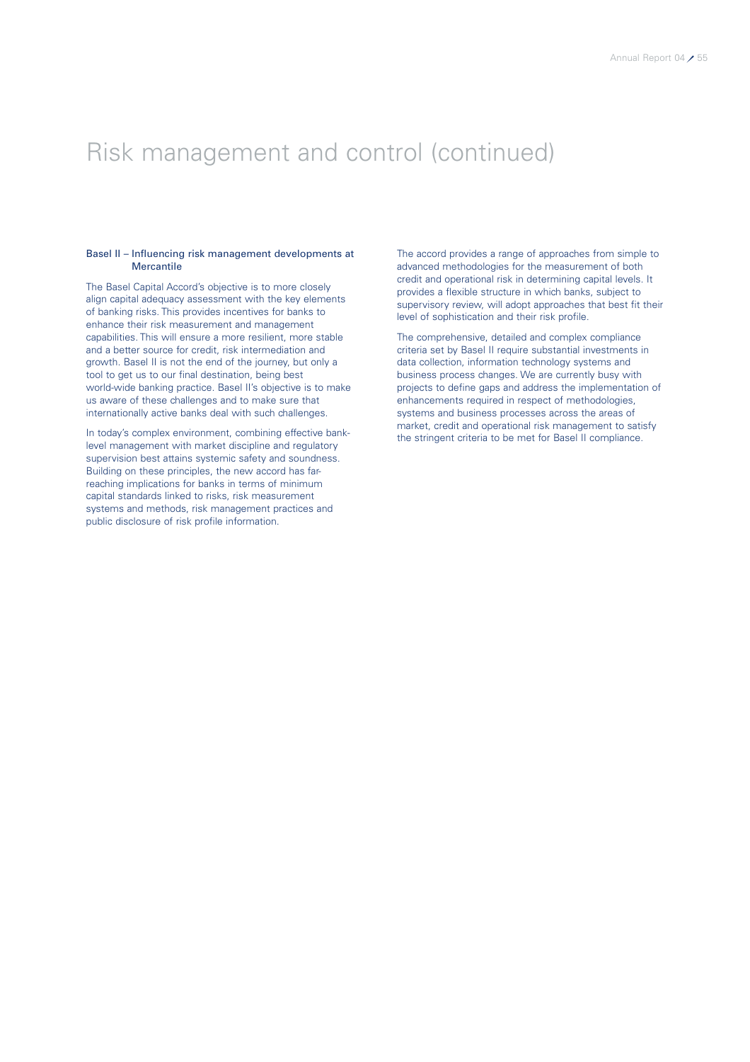### Risk management and control (continued)

### Basel II – Influencing risk management developments at **Mercantile**

The Basel Capital Accord's objective is to more closely align capital adequacy assessment with the key elements of banking risks. This provides incentives for banks to enhance their risk measurement and management capabilities. This will ensure a more resilient, more stable and a better source for credit, risk intermediation and growth. Basel II is not the end of the journey, but only a tool to get us to our final destination, being best world-wide banking practice. Basel II's objective is to make us aware of these challenges and to make sure that internationally active banks deal with such challenges.

In today's complex environment, combining effective banklevel management with market discipline and regulatory supervision best attains systemic safety and soundness. Building on these principles, the new accord has farreaching implications for banks in terms of minimum capital standards linked to risks, risk measurement systems and methods, risk management practices and public disclosure of risk profile information.

The accord provides a range of approaches from simple to advanced methodologies for the measurement of both credit and operational risk in determining capital levels. It provides a flexible structure in which banks, subject to supervisory review, will adopt approaches that best fit their level of sophistication and their risk profile.

The comprehensive, detailed and complex compliance criteria set by Basel II require substantial investments in data collection, information technology systems and business process changes. We are currently busy with projects to define gaps and address the implementation of enhancements required in respect of methodologies, systems and business processes across the areas of market, credit and operational risk management to satisfy the stringent criteria to be met for Basel II compliance.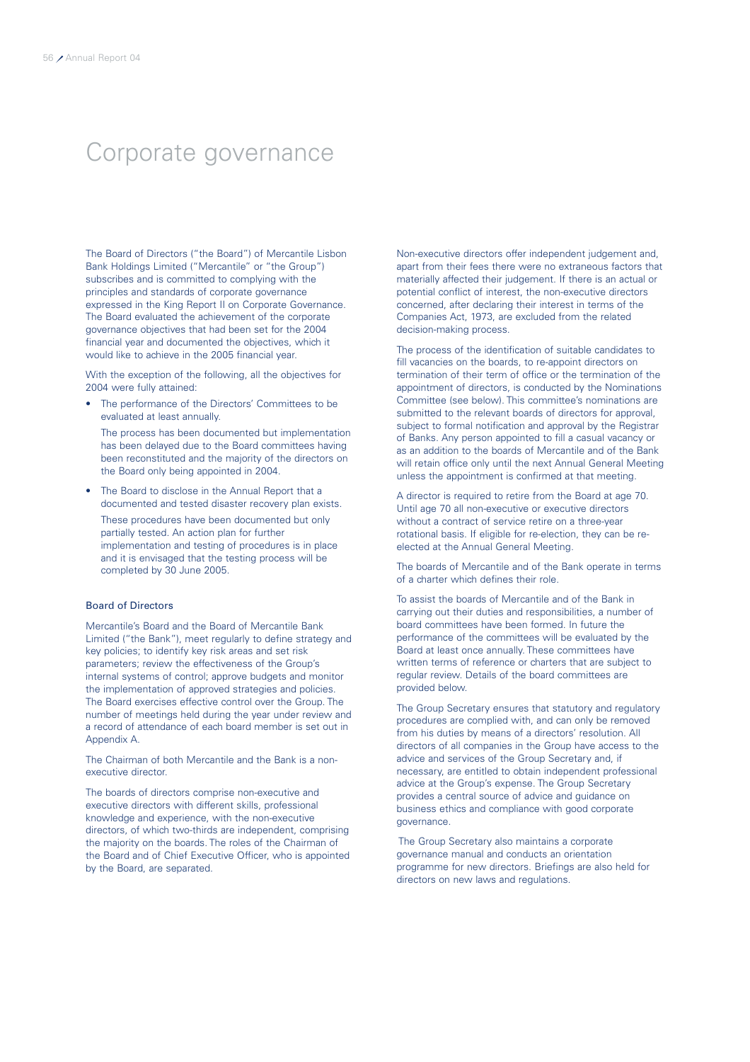### Corporate governance

The Board of Directors ("the Board") of Mercantile Lisbon Bank Holdings Limited ("Mercantile" or "the Group") subscribes and is committed to complying with the principles and standards of corporate governance expressed in the King Report II on Corporate Governance. The Board evaluated the achievement of the corporate governance objectives that had been set for the 2004 financial year and documented the objectives, which it would like to achieve in the 2005 financial year.

With the exception of the following, all the objectives for 2004 were fully attained:

The performance of the Directors' Committees to be evaluated at least annually.

The process has been documented but implementation has been delayed due to the Board committees having been reconstituted and the majority of the directors on the Board only being appointed in 2004.

The Board to disclose in the Annual Report that a documented and tested disaster recovery plan exists.

These procedures have been documented but only partially tested. An action plan for further implementation and testing of procedures is in place and it is envisaged that the testing process will be completed by 30 June 2005.

### Board of Directors

Mercantile's Board and the Board of Mercantile Bank Limited ("the Bank"), meet regularly to define strategy and key policies; to identify key risk areas and set risk parameters; review the effectiveness of the Group's internal systems of control; approve budgets and monitor the implementation of approved strategies and policies. The Board exercises effective control over the Group. The number of meetings held during the year under review and a record of attendance of each board member is set out in Appendix A.

The Chairman of both Mercantile and the Bank is a nonexecutive director.

The boards of directors comprise non-executive and executive directors with different skills, professional knowledge and experience, with the non-executive directors, of which two-thirds are independent, comprising the majority on the boards. The roles of the Chairman of the Board and of Chief Executive Officer, who is appointed by the Board, are separated.

Non-executive directors offer independent judgement and, apart from their fees there were no extraneous factors that materially affected their judgement. If there is an actual or potential conflict of interest, the non-executive directors concerned, after declaring their interest in terms of the Companies Act, 1973, are excluded from the related decision-making process.

The process of the identification of suitable candidates to fill vacancies on the boards, to re-appoint directors on termination of their term of office or the termination of the appointment of directors, is conducted by the Nominations Committee (see below). This committee's nominations are submitted to the relevant boards of directors for approval, subject to formal notification and approval by the Registrar of Banks. Any person appointed to fill a casual vacancy or as an addition to the boards of Mercantile and of the Bank will retain office only until the next Annual General Meeting unless the appointment is confirmed at that meeting.

A director is required to retire from the Board at age 70. Until age 70 all non-executive or executive directors without a contract of service retire on a three-year rotational basis. If eligible for re-election, they can be reelected at the Annual General Meeting.

The boards of Mercantile and of the Bank operate in terms of a charter which defines their role.

To assist the boards of Mercantile and of the Bank in carrying out their duties and responsibilities, a number of board committees have been formed. In future the performance of the committees will be evaluated by the Board at least once annually. These committees have written terms of reference or charters that are subject to regular review. Details of the board committees are provided below.

The Group Secretary ensures that statutory and regulatory procedures are complied with, and can only be removed from his duties by means of a directors' resolution. All directors of all companies in the Group have access to the advice and services of the Group Secretary and, if necessary, are entitled to obtain independent professional advice at the Group's expense. The Group Secretary provides a central source of advice and guidance on business ethics and compliance with good corporate governance.

The Group Secretary also maintains a corporate governance manual and conducts an orientation programme for new directors. Briefings are also held for directors on new laws and regulations.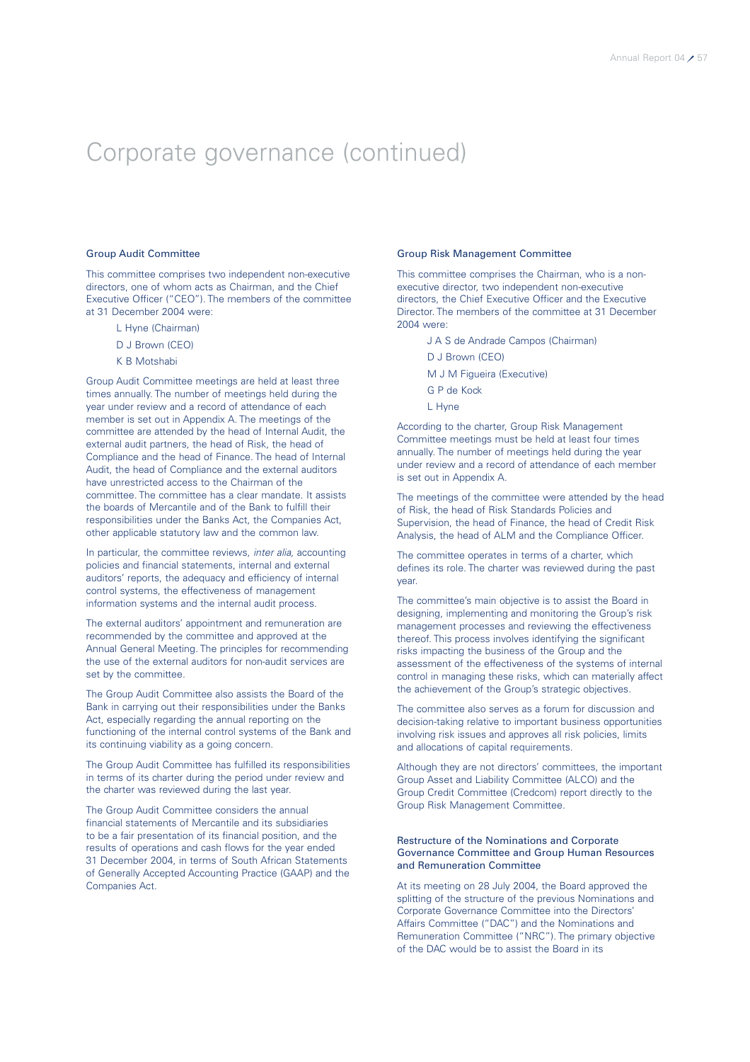### Group Audit Committee

This committee comprises two independent non-executive directors, one of whom acts as Chairman, and the Chief Executive Officer ("CEO"). The members of the committee at 31 December 2004 were:

- L Hyne (Chairman)
- D J Brown (CEO)
- K B Motshabi

Group Audit Committee meetings are held at least three times annually. The number of meetings held during the year under review and a record of attendance of each member is set out in Appendix A. The meetings of the committee are attended by the head of Internal Audit, the external audit partners, the head of Risk, the head of Compliance and the head of Finance. The head of Internal Audit, the head of Compliance and the external auditors have unrestricted access to the Chairman of the committee. The committee has a clear mandate. It assists the boards of Mercantile and of the Bank to fulfill their responsibilities under the Banks Act, the Companies Act, other applicable statutory law and the common law.

In particular, the committee reviews, *inter alia,* accounting policies and financial statements, internal and external auditors' reports, the adequacy and efficiency of internal control systems, the effectiveness of management information systems and the internal audit process.

The external auditors' appointment and remuneration are recommended by the committee and approved at the Annual General Meeting. The principles for recommending the use of the external auditors for non-audit services are set by the committee.

The Group Audit Committee also assists the Board of the Bank in carrying out their responsibilities under the Banks Act, especially regarding the annual reporting on the functioning of the internal control systems of the Bank and its continuing viability as a going concern.

The Group Audit Committee has fulfilled its responsibilities in terms of its charter during the period under review and the charter was reviewed during the last year.

The Group Audit Committee considers the annual financial statements of Mercantile and its subsidiaries to be a fair presentation of its financial position, and the results of operations and cash flows for the year ended 31 December 2004, in terms of South African Statements of Generally Accepted Accounting Practice (GAAP) and the Companies Act.

### Group Risk Management Committee

This committee comprises the Chairman, who is a nonexecutive director, two independent non-executive directors, the Chief Executive Officer and the Executive Director. The members of the committee at 31 December 2004 were:

- J A S de Andrade Campos (Chairman)
- D J Brown (CEO)
- M J M Figueira (Executive)
- G P de Kock
- L Hyne

According to the charter, Group Risk Management Committee meetings must be held at least four times annually. The number of meetings held during the year under review and a record of attendance of each member is set out in Appendix A.

The meetings of the committee were attended by the head of Risk, the head of Risk Standards Policies and Supervision, the head of Finance, the head of Credit Risk Analysis, the head of ALM and the Compliance Officer.

The committee operates in terms of a charter, which defines its role. The charter was reviewed during the past year.

The committee's main objective is to assist the Board in designing, implementing and monitoring the Group's risk management processes and reviewing the effectiveness thereof. This process involves identifying the significant risks impacting the business of the Group and the assessment of the effectiveness of the systems of internal control in managing these risks, which can materially affect the achievement of the Group's strategic objectives.

The committee also serves as a forum for discussion and decision-taking relative to important business opportunities involving risk issues and approves all risk policies, limits and allocations of capital requirements.

Although they are not directors' committees, the important Group Asset and Liability Committee (ALCO) and the Group Credit Committee (Credcom) report directly to the Group Risk Management Committee.

### Restructure of the Nominations and Corporate Governance Committee and Group Human Resources and Remuneration Committee

At its meeting on 28 July 2004, the Board approved the splitting of the structure of the previous Nominations and Corporate Governance Committee into the Directors' Affairs Committee ("DAC") and the Nominations and Remuneration Committee ("NRC"). The primary objective of the DAC would be to assist the Board in its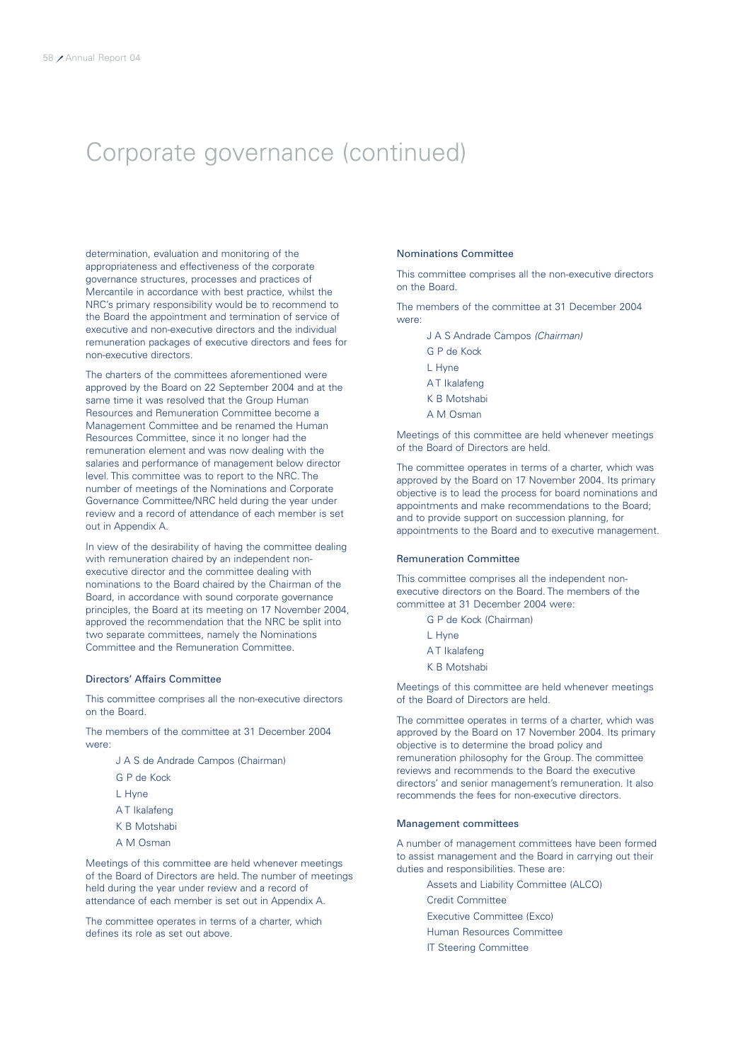determination, evaluation and monitoring of the appropriateness and effectiveness of the corporate governance structures, processes and practices of Mercantile in accordance with best practice, whilst the NRC's primary responsibility would be to recommend to the Board the appointment and termination of service of executive and non-executive directors and the individual remuneration packages of executive directors and fees for non-executive directors.

The charters of the committees aforementioned were approved by the Board on 22 September 2004 and at the same time it was resolved that the Group Human Resources and Remuneration Committee become a Management Committee and be renamed the Human Resources Committee, since it no longer had the remuneration element and was now dealing with the salaries and performance of management below director level. This committee was to report to the NRC. The number of meetings of the Nominations and Corporate Governance Committee/NRC held during the year under review and a record of attendance of each member is set out in Appendix A.

In view of the desirability of having the committee dealing with remuneration chaired by an independent nonexecutive director and the committee dealing with nominations to the Board chaired by the Chairman of the Board, in accordance with sound corporate governance principles, the Board at its meeting on 17 November 2004, approved the recommendation that the NRC be split into two separate committees, namely the Nominations Committee and the Remuneration Committee.

### Directors' Affairs Committee

This committee comprises all the non-executive directors on the Board.

The members of the committee at 31 December 2004 were:

- J A S de Andrade Campos (Chairman)
- G P de Kock
- L Hyne
- A T Ikalafeng
- K B Motshabi
- A M Osman

Meetings of this committee are held whenever meetings of the Board of Directors are held. The number of meetings held during the year under review and a record of attendance of each member is set out in Appendix A.

The committee operates in terms of a charter, which defines its role as set out above.

### Nominations Committee

This committee comprises all the non-executive directors on the Board.

The members of the committee at 31 December 2004 were:

- J A S Andrade Campos *(Chairman)*
- G P de Kock
- L Hyne
- A T Ikalafeng
- K B Motshabi
- A M Osman

Meetings of this committee are held whenever meetings of the Board of Directors are held.

The committee operates in terms of a charter, which was approved by the Board on 17 November 2004. Its primary objective is to lead the process for board nominations and appointments and make recommendations to the Board; and to provide support on succession planning, for appointments to the Board and to executive management.

### Remuneration Committee

This committee comprises all the independent nonexecutive directors on the Board. The members of the committee at 31 December 2004 were:

- G P de Kock (Chairman)
- L Hyne
- A T Ikalafeng
- K B Motshabi

Meetings of this committee are held whenever meetings of the Board of Directors are held.

The committee operates in terms of a charter, which was approved by the Board on 17 November 2004. Its primary objective is to determine the broad policy and remuneration philosophy for the Group. The committee reviews and recommends to the Board the executive directors' and senior management's remuneration. It also recommends the fees for non-executive directors.

#### Management committees

A number of management committees have been formed to assist management and the Board in carrying out their duties and responsibilities. These are:

- Assets and Liability Committee (ALCO)
- Credit Committee
- Executive Committee (Exco)
- Human Resources Committee
- IT Steering Committee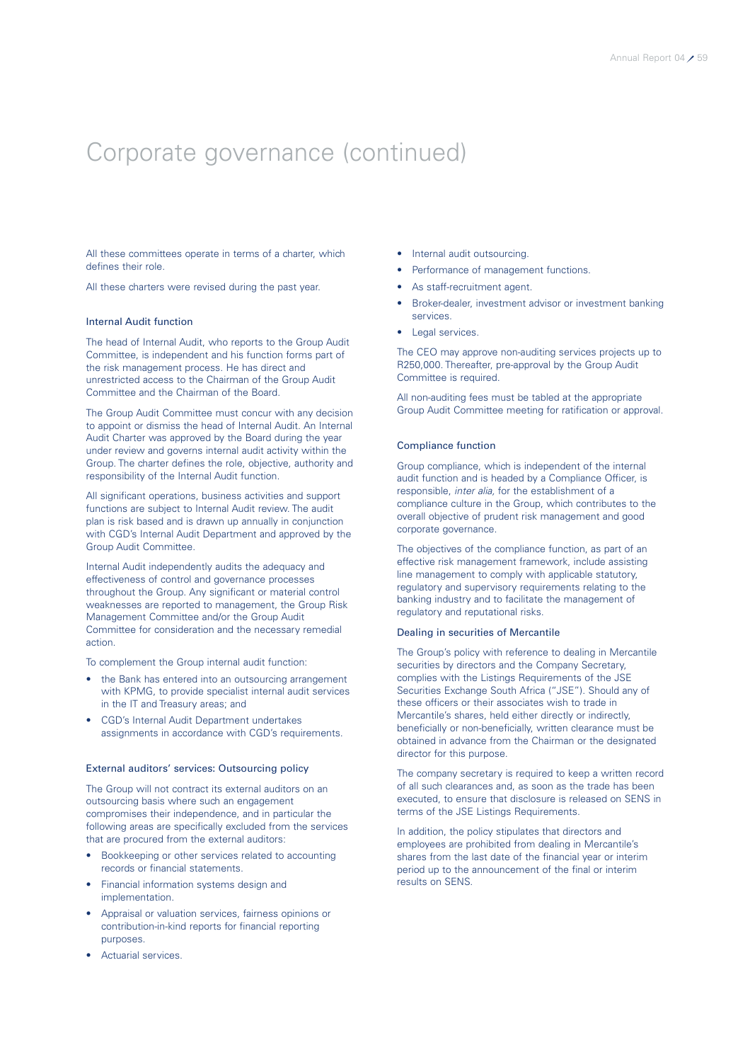All these committees operate in terms of a charter, which defines their role.

All these charters were revised during the past year.

#### Internal Audit function

The head of Internal Audit, who reports to the Group Audit Committee, is independent and his function forms part of the risk management process. He has direct and unrestricted access to the Chairman of the Group Audit Committee and the Chairman of the Board.

The Group Audit Committee must concur with any decision to appoint or dismiss the head of Internal Audit. An Internal Audit Charter was approved by the Board during the year under review and governs internal audit activity within the Group. The charter defines the role, objective, authority and responsibility of the Internal Audit function.

All significant operations, business activities and support functions are subject to Internal Audit review. The audit plan is risk based and is drawn up annually in conjunction with CGD's Internal Audit Department and approved by the Group Audit Committee.

Internal Audit independently audits the adequacy and effectiveness of control and governance processes throughout the Group. Any significant or material control weaknesses are reported to management, the Group Risk Management Committee and/or the Group Audit Committee for consideration and the necessary remedial action.

To complement the Group internal audit function:

- the Bank has entered into an outsourcing arrangement with KPMG, to provide specialist internal audit services in the IT and Treasury areas; and
- CGD's Internal Audit Department undertakes assignments in accordance with CGD's requirements.

### External auditors' services: Outsourcing policy

The Group will not contract its external auditors on an outsourcing basis where such an engagement compromises their independence, and in particular the following areas are specifically excluded from the services that are procured from the external auditors:

- Bookkeeping or other services related to accounting records or financial statements.
- Financial information systems design and implementation.
- Appraisal or valuation services, fairness opinions or contribution-in-kind reports for financial reporting purposes.
- Actuarial services.
- Internal audit outsourcing.
- Performance of management functions.
- As staff-recruitment agent.
- Broker-dealer, investment advisor or investment banking services.
- Legal services.

The CEO may approve non-auditing services projects up to R250,000. Thereafter, pre-approval by the Group Audit Committee is required.

All non-auditing fees must be tabled at the appropriate Group Audit Committee meeting for ratification or approval.

### Compliance function

Group compliance, which is independent of the internal audit function and is headed by a Compliance Officer, is responsible, *inter alia,* for the establishment of a compliance culture in the Group, which contributes to the overall objective of prudent risk management and good corporate governance.

The objectives of the compliance function, as part of an effective risk management framework, include assisting line management to comply with applicable statutory, regulatory and supervisory requirements relating to the banking industry and to facilitate the management of regulatory and reputational risks.

### Dealing in securities of Mercantile

The Group's policy with reference to dealing in Mercantile securities by directors and the Company Secretary, complies with the Listings Requirements of the JSE Securities Exchange South Africa ("JSE"). Should any of these officers or their associates wish to trade in Mercantile's shares, held either directly or indirectly, beneficially or non-beneficially, written clearance must be obtained in advance from the Chairman or the designated director for this purpose.

The company secretary is required to keep a written record of all such clearances and, as soon as the trade has been executed, to ensure that disclosure is released on SENS in terms of the JSE Listings Requirements.

In addition, the policy stipulates that directors and employees are prohibited from dealing in Mercantile's shares from the last date of the financial year or interim period up to the announcement of the final or interim results on SENS.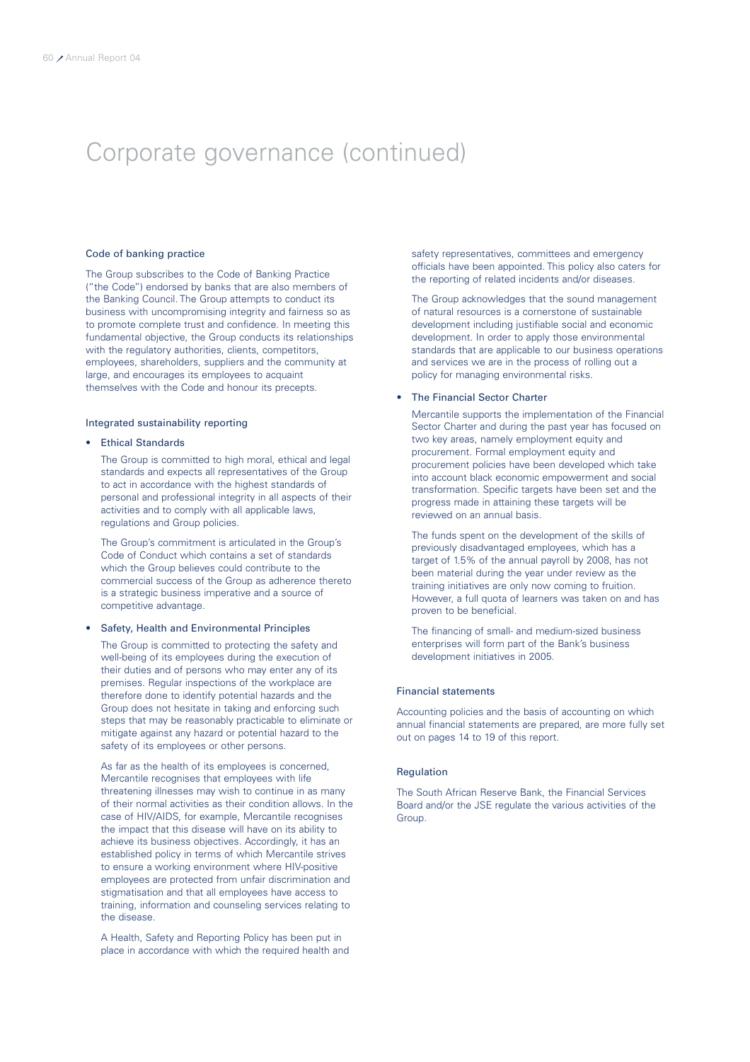### Code of banking practice

The Group subscribes to the Code of Banking Practice ("the Code") endorsed by banks that are also members of the Banking Council. The Group attempts to conduct its business with uncompromising integrity and fairness so as to promote complete trust and confidence. In meeting this fundamental objective, the Group conducts its relationships with the regulatory authorities, clients, competitors, employees, shareholders, suppliers and the community at large, and encourages its employees to acquaint themselves with the Code and honour its precepts.

### Integrated sustainability reporting

### • Ethical Standards

The Group is committed to high moral, ethical and legal standards and expects all representatives of the Group to act in accordance with the highest standards of personal and professional integrity in all aspects of their activities and to comply with all applicable laws, regulations and Group policies.

The Group's commitment is articulated in the Group's Code of Conduct which contains a set of standards which the Group believes could contribute to the commercial success of the Group as adherence thereto is a strategic business imperative and a source of competitive advantage.

### • Safety, Health and Environmental Principles

The Group is committed to protecting the safety and well-being of its employees during the execution of their duties and of persons who may enter any of its premises. Regular inspections of the workplace are therefore done to identify potential hazards and the Group does not hesitate in taking and enforcing such steps that may be reasonably practicable to eliminate or mitigate against any hazard or potential hazard to the safety of its employees or other persons.

As far as the health of its employees is concerned, Mercantile recognises that employees with life threatening illnesses may wish to continue in as many of their normal activities as their condition allows. In the case of HIV/AIDS, for example, Mercantile recognises the impact that this disease will have on its ability to achieve its business objectives. Accordingly, it has an established policy in terms of which Mercantile strives to ensure a working environment where HIV-positive employees are protected from unfair discrimination and stigmatisation and that all employees have access to training, information and counseling services relating to the disease.

A Health, Safety and Reporting Policy has been put in place in accordance with which the required health and safety representatives, committees and emergency officials have been appointed. This policy also caters for the reporting of related incidents and/or diseases.

The Group acknowledges that the sound management of natural resources is a cornerstone of sustainable development including justifiable social and economic development. In order to apply those environmental standards that are applicable to our business operations and services we are in the process of rolling out a policy for managing environmental risks.

### • The Financial Sector Charter

Mercantile supports the implementation of the Financial Sector Charter and during the past year has focused on two key areas, namely employment equity and procurement. Formal employment equity and procurement policies have been developed which take into account black economic empowerment and social transformation. Specific targets have been set and the progress made in attaining these targets will be reviewed on an annual basis.

The funds spent on the development of the skills of previously disadvantaged employees, which has a target of 1.5% of the annual payroll by 2008, has not been material during the year under review as the training initiatives are only now coming to fruition. However, a full quota of learners was taken on and has proven to be beneficial.

The financing of small- and medium-sized business enterprises will form part of the Bank's business development initiatives in 2005.

### Financial statements

Accounting policies and the basis of accounting on which annual financial statements are prepared, are more fully set out on pages 14 to 19 of this report.

### Regulation

The South African Reserve Bank, the Financial Services Board and/or the JSE regulate the various activities of the Group.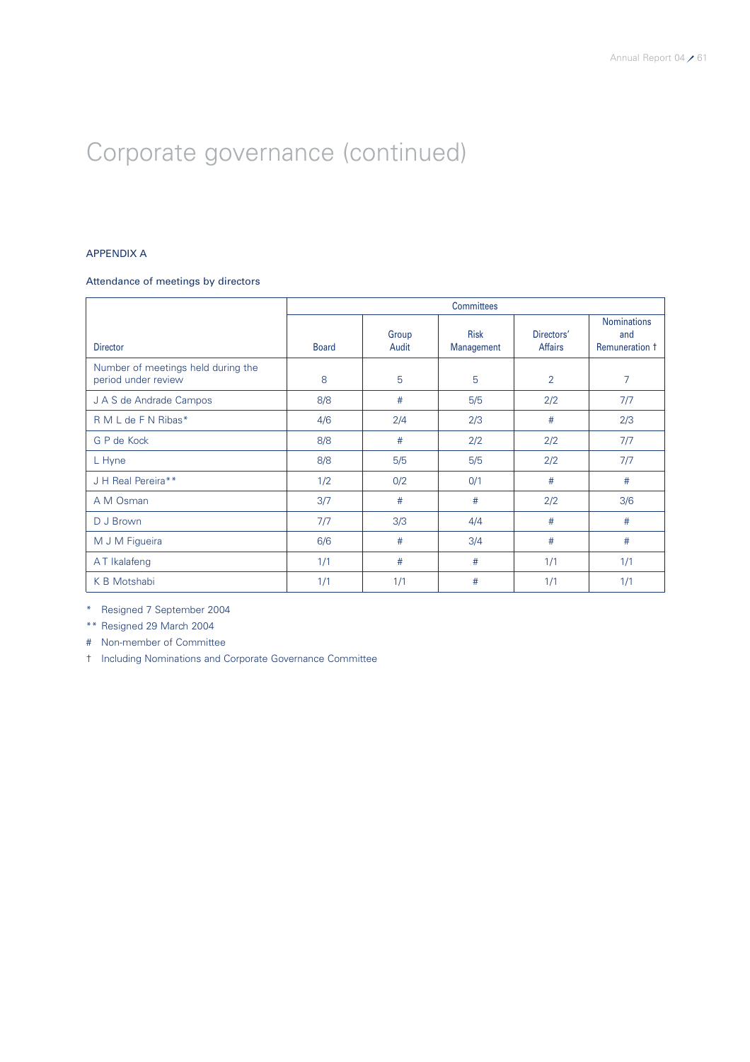### APPENDIX A

### Attendance of meetings by directors

|                                                           | <b>Committees</b> |                |                           |                              |                                             |  |  |  |
|-----------------------------------------------------------|-------------------|----------------|---------------------------|------------------------------|---------------------------------------------|--|--|--|
| <b>Director</b>                                           | <b>Board</b>      | Group<br>Audit | <b>Risk</b><br>Management | Directors'<br><b>Affairs</b> | <b>Nominations</b><br>and<br>Remuneration 1 |  |  |  |
| Number of meetings held during the<br>period under review | 8                 | 5              | 5                         | $\overline{2}$               | 7                                           |  |  |  |
| J A S de Andrade Campos                                   | 8/8               | #              | 5/5                       | 2/2                          | 7/7                                         |  |  |  |
| R M L de F N Ribas*                                       | 4/6               | 2/4            | 2/3                       | #                            | 2/3                                         |  |  |  |
| G P de Kock                                               | 8/8               | #              | 2/2                       | 2/2                          | 7/7                                         |  |  |  |
| L Hyne                                                    | 8/8               | 5/5            | 5/5                       | 2/2                          | 7/7                                         |  |  |  |
| J H Real Pereira**                                        | 1/2               | 0/2            | 0/1                       | #                            | #                                           |  |  |  |
| A M Osman                                                 | 3/7               | #              | #                         | 2/2                          | 3/6                                         |  |  |  |
| D J Brown                                                 | 7/7               | 3/3            | 4/4                       | #                            | #                                           |  |  |  |
| M J M Figueira                                            | 6/6               | #              | 3/4                       | #                            | #                                           |  |  |  |
| AT Ikalafeng                                              | 1/1               | #              | #                         | 1/1                          | 1/1                                         |  |  |  |
| K B Motshabi                                              | 1/1               | 1/1            | #                         | 1/1                          | 1/1                                         |  |  |  |

\* Resigned 7 September 2004

\*\* Resigned 29 March 2004

# Non-member of Committee

† Including Nominations and Corporate Governance Committee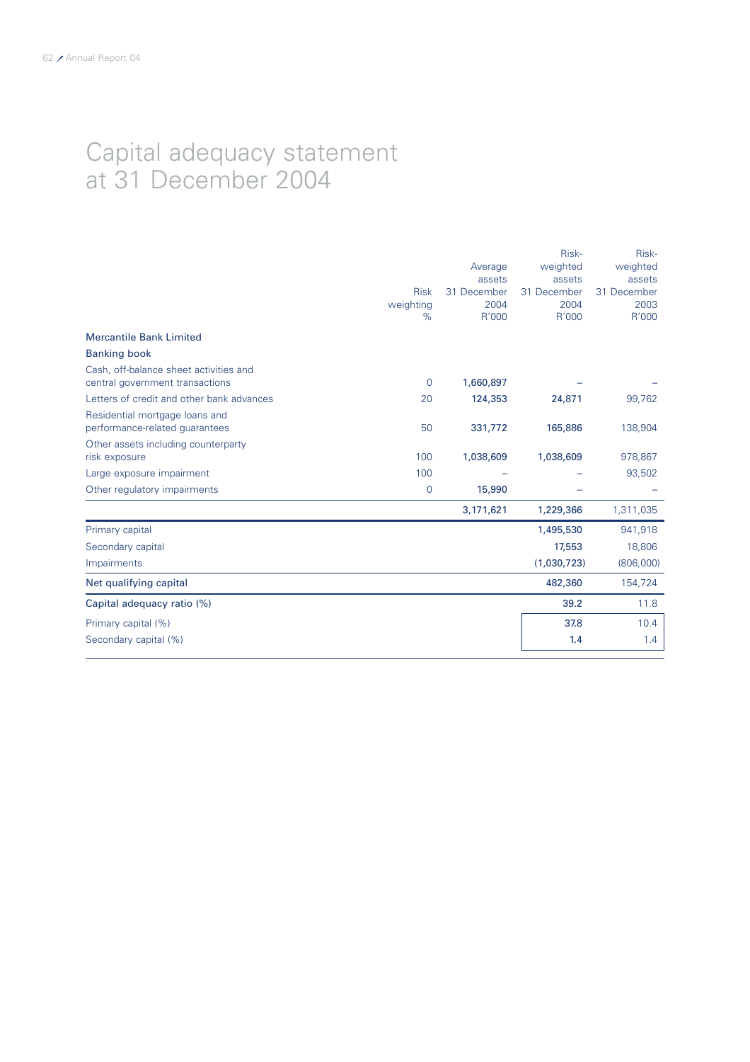### Capital adequacy statement at 31 December 2004

|                                                                           | <b>Risk</b><br>weighting<br>$\%$ | Average<br>assets<br>31 December<br>2004<br>R'000 | Risk-<br>weighted<br>assets<br>31 December<br>2004<br>R'000 | Risk-<br>weighted<br>assets<br>31 December<br>2003<br>R'000 |
|---------------------------------------------------------------------------|----------------------------------|---------------------------------------------------|-------------------------------------------------------------|-------------------------------------------------------------|
| <b>Mercantile Bank Limited</b>                                            |                                  |                                                   |                                                             |                                                             |
| <b>Banking book</b>                                                       |                                  |                                                   |                                                             |                                                             |
| Cash, off-balance sheet activities and<br>central government transactions | $\overline{0}$                   | 1,660,897                                         |                                                             |                                                             |
| Letters of credit and other bank advances                                 | 20                               | 124,353                                           | 24,871                                                      | 99,762                                                      |
| Residential mortgage loans and<br>performance-related guarantees          | 50                               | 331,772                                           | 165,886                                                     | 138,904                                                     |
| Other assets including counterparty<br>risk exposure                      | 100                              | 1,038,609                                         | 1,038,609                                                   | 978,867                                                     |
| Large exposure impairment                                                 | 100                              |                                                   |                                                             | 93,502                                                      |
| Other regulatory impairments                                              | $\mathbf 0$                      | 15,990                                            |                                                             |                                                             |
|                                                                           |                                  | 3,171,621                                         | 1,229,366                                                   | 1,311,035                                                   |
| Primary capital                                                           |                                  |                                                   | 1,495,530                                                   | 941,918                                                     |
| Secondary capital                                                         |                                  |                                                   | 17,553                                                      | 18,806                                                      |
| Impairments                                                               |                                  |                                                   | (1,030,723)                                                 | (806,000)                                                   |
| Net qualifying capital                                                    |                                  |                                                   | 482,360                                                     | 154,724                                                     |
| Capital adequacy ratio (%)                                                |                                  |                                                   | 39.2                                                        | 11.8                                                        |
| Primary capital (%)                                                       |                                  |                                                   | 37.8                                                        | 10.4                                                        |
| Secondary capital (%)                                                     |                                  |                                                   | 1.4                                                         | 1.4                                                         |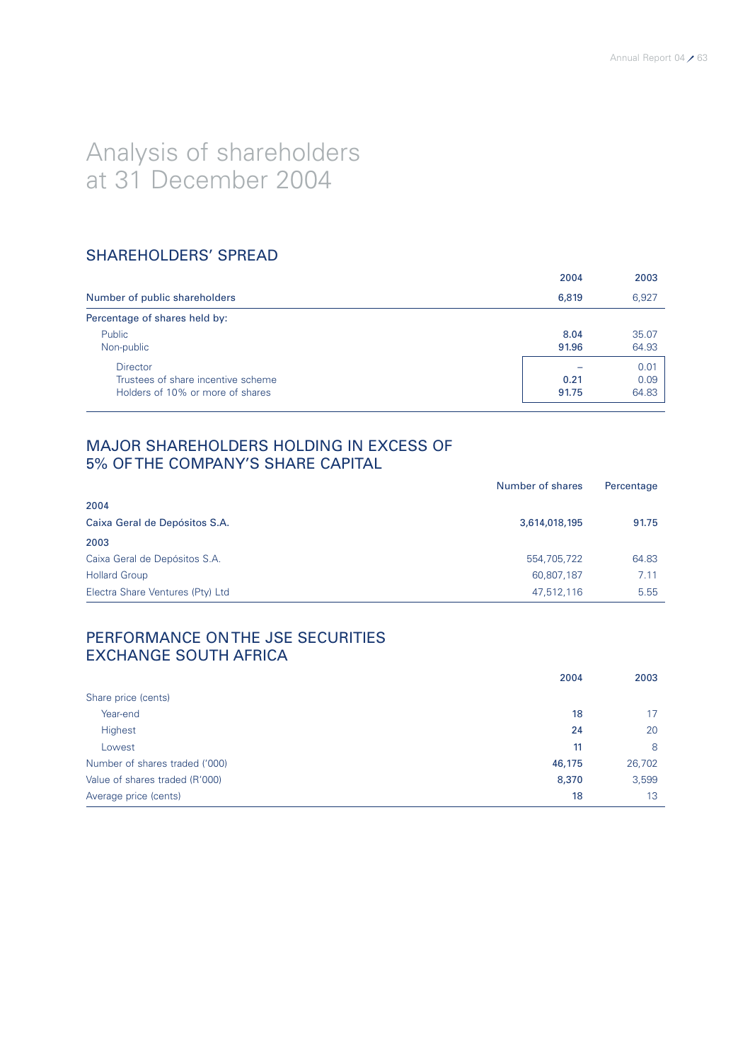# Analysis of shareholders at 31 December 2004

### SHAREHOLDERS' SPREAD

|                                                                                           | 2004          | 2003                  |
|-------------------------------------------------------------------------------------------|---------------|-----------------------|
| Number of public shareholders                                                             | 6,819         | 6,927                 |
| Percentage of shares held by:                                                             |               |                       |
| Public<br>Non-public                                                                      | 8.04<br>91.96 | 35.07<br>64.93        |
| <b>Director</b><br>Trustees of share incentive scheme<br>Holders of 10% or more of shares | 0.21<br>91.75 | 0.01<br>0.09<br>64.83 |

### MAJOR SHAREHOLDERS HOLDING IN EXCESS OF 5% OF THE COMPANY'S SHARE CAPITAL

|                                  | Number of shares | Percentage |
|----------------------------------|------------------|------------|
| 2004                             |                  |            |
| Caixa Geral de Depósitos S.A.    | 3,614,018,195    | 91.75      |
| 2003                             |                  |            |
| Caixa Geral de Depósitos S.A.    | 554,705,722      | 64.83      |
| <b>Hollard Group</b>             | 60,807,187       | 7.11       |
| Electra Share Ventures (Pty) Ltd | 47,512,116       | 5.55       |

### PERFORMANCE ON THE JSE SECURITIES EXCHANGE SOUTH AFRICA

|                                | 2004   | 2003   |
|--------------------------------|--------|--------|
| Share price (cents)            |        |        |
| Year-end                       | 18     | 17     |
| Highest                        | 24     | 20     |
| Lowest                         | 11     | 8      |
| Number of shares traded ('000) | 46,175 | 26,702 |
| Value of shares traded (R'000) | 8,370  | 3,599  |
| Average price (cents)          | 18     | 13     |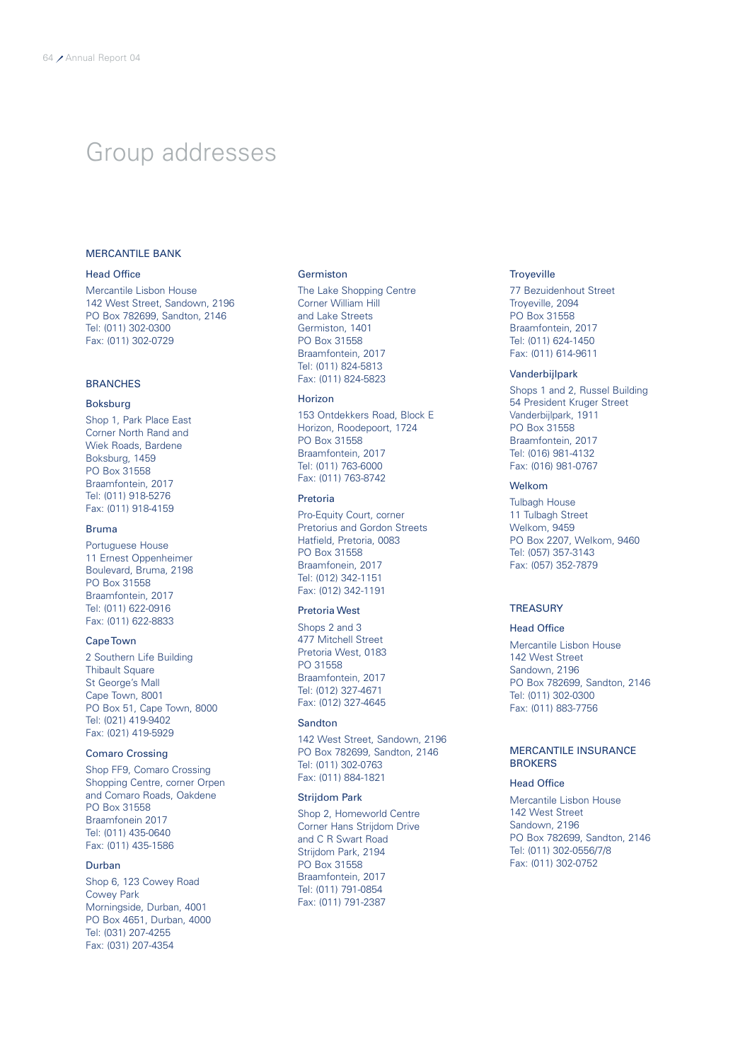### Group addresses

### MERCANTILE BANK

### Head Office

Mercantile Lisbon House 142 West Street, Sandown, 2196 PO Box 782699, Sandton, 2146 Tel: (011) 302-0300 Fax: (011) 302-0729

### **BRANCHES**

### Boksburg

Shop 1, Park Place East Corner North Rand and Wiek Roads, Bardene Boksburg, 1459 PO Box 31558 Braamfontein, 2017 Tel: (011) 918-5276 Fax: (011) 918-4159

### Bruma

Portuguese House 11 Ernest Oppenheimer Boulevard, Bruma, 2198 PO Box 31558 Braamfontein, 2017 Tel: (011) 622-0916 Fax: (011) 622-8833

### Cape Town

2 Southern Life Building Thibault Square St George's Mall Cape Town, 8001 PO Box 51, Cape Town, 8000 Tel: (021) 419-9402 Fax: (021) 419-5929

### Comaro Crossing

Shop FF9, Comaro Crossing Shopping Centre, corner Orpen and Comaro Roads, Oakdene PO Box 31558 Braamfonein 2017 Tel: (011) 435-0640 Fax: (011) 435-1586

### Durban

Shop 6, 123 Cowey Road Cowey Park Morningside, Durban, 4001 PO Box 4651, Durban, 4000 Tel: (031) 207-4255 Fax: (031) 207-4354

#### Germiston

The Lake Shopping Centre Corner William Hill and Lake Streets Germiston, 1401 PO Box 31558 Braamfontein, 2017 Tel: (011) 824-5813 Fax: (011) 824-5823

### Horizon

153 Ontdekkers Road, Block E Horizon, Roodepoort, 1724 PO Box 31558 Braamfontein, 2017 Tel: (011) 763-6000 Fax: (011) 763-8742

### Pretoria

Pro-Equity Court, corner Pretorius and Gordon Streets Hatfield, Pretoria, 0083 PO Box 31558 Braamfonein, 2017 Tel: (012) 342-1151 Fax: (012) 342-1191

### Pretoria West

Shops 2 and 3 477 Mitchell Street Pretoria West, 0183 PO 31558 Braamfontein, 2017 Tel: (012) 327-4671 Fax: (012) 327-4645

### Sandton

142 West Street, Sandown, 2196 PO Box 782699, Sandton, 2146 Tel: (011) 302-0763 Fax: (011) 884-1821

### Strijdom Park

Shop 2, Homeworld Centre Corner Hans Strijdom Drive and C R Swart Road Strijdom Park, 2194 PO Box 31558 Braamfontein, 2017 Tel: (011) 791-0854 Fax: (011) 791-2387

### **Troyeville**

77 Bezuidenhout Street Troyeville, 2094 PO Box 31558 Braamfontein, 2017 Tel: (011) 624-1450 Fax: (011) 614-9611

### Vanderbijlpark

Shops 1 and 2, Russel Building 54 President Kruger Street Vanderbijlpark, 1911 PO Box 31558 Braamfontein, 2017 Tel: (016) 981-4132 Fax: (016) 981-0767

### Welkom

Tulbagh House 11 Tulbagh Street Welkom, 9459 PO Box 2207, Welkom, 9460 Tel: (057) 357-3143 Fax: (057) 352-7879

### **TREASURY**

### Head Office

Mercantile Lisbon House 142 West Street Sandown, 2196 PO Box 782699, Sandton, 2146 Tel: (011) 302-0300 Fax: (011) 883-7756

### MERCANTILE INSURANCE **BROKERS**

### Head Office

Mercantile Lisbon House 142 West Street Sandown, 2196 PO Box 782699, Sandton, 2146 Tel: (011) 302-0556/7/8 Fax: (011) 302-0752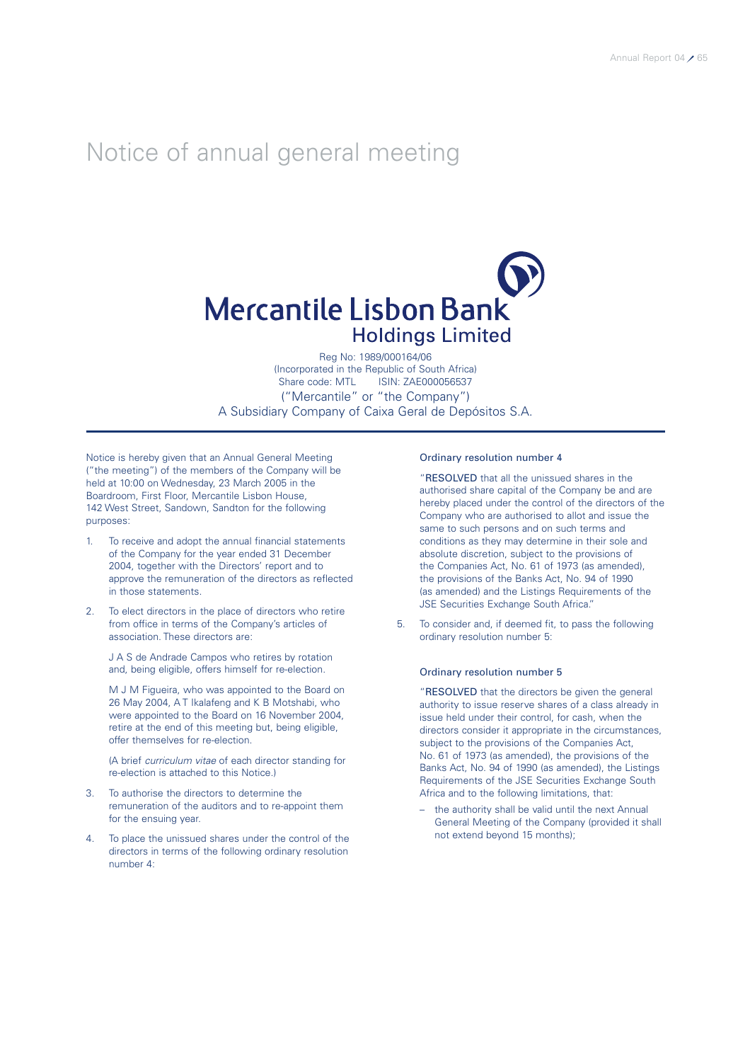### Notice of annual general meeting

# **Mercantile Lisbon Bank Holdings Limited**

Reg No: 1989/000164/06 (Incorporated in the Republic of South Africa) Share code: MTL ISIN: ZAE000056537 ("Mercantile" or "the Company") A Subsidiary Company of Caixa Geral de Depósitos S.A.

Notice is hereby given that an Annual General Meeting ("the meeting") of the members of the Company will be held at 10:00 on Wednesday, 23 March 2005 in the Boardroom, First Floor, Mercantile Lisbon House, 142 West Street, Sandown, Sandton for the following purposes:

- 1. To receive and adopt the annual financial statements of the Company for the year ended 31 December 2004, together with the Directors' report and to approve the remuneration of the directors as reflected in those statements.
- 2. To elect directors in the place of directors who retire from office in terms of the Company's articles of association. These directors are:

J A S de Andrade Campos who retires by rotation and, being eligible, offers himself for re-election.

M J M Figueira, who was appointed to the Board on 26 May 2004, A T Ikalafeng and K B Motshabi, who were appointed to the Board on 16 November 2004, retire at the end of this meeting but, being eligible, offer themselves for re-election.

(A brief *curriculum vitae* of each director standing for re-election is attached to this Notice.)

- 3. To authorise the directors to determine the remuneration of the auditors and to re-appoint them for the ensuing year.
- To place the unissued shares under the control of the directors in terms of the following ordinary resolution number 4:

### Ordinary resolution number 4

"RESOLVED that all the unissued shares in the authorised share capital of the Company be and are hereby placed under the control of the directors of the Company who are authorised to allot and issue the same to such persons and on such terms and conditions as they may determine in their sole and absolute discretion, subject to the provisions of the Companies Act, No. 61 of 1973 (as amended), the provisions of the Banks Act, No. 94 of 1990 (as amended) and the Listings Requirements of the JSE Securities Exchange South Africa."

5. To consider and, if deemed fit, to pass the following ordinary resolution number 5:

### Ordinary resolution number 5

"RESOLVED that the directors be given the general authority to issue reserve shares of a class already in issue held under their control, for cash, when the directors consider it appropriate in the circumstances, subject to the provisions of the Companies Act, No. 61 of 1973 (as amended), the provisions of the Banks Act, No. 94 of 1990 (as amended), the Listings Requirements of the JSE Securities Exchange South Africa and to the following limitations, that:

– the authority shall be valid until the next Annual General Meeting of the Company (provided it shall not extend beyond 15 months);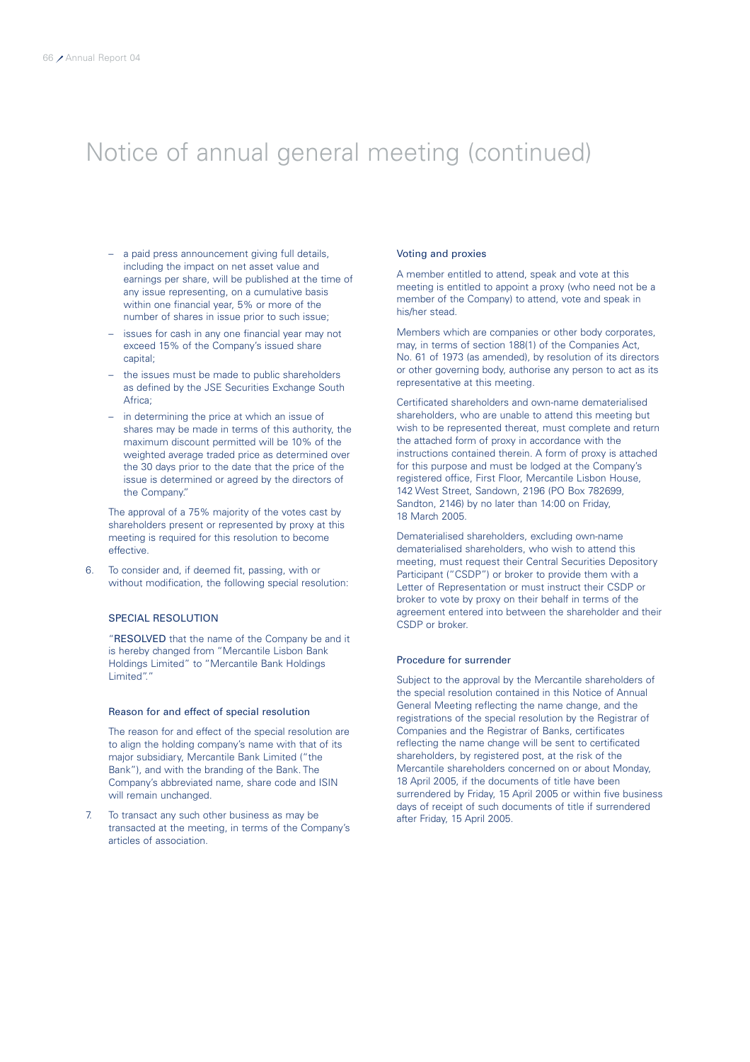# Notice of annual general meeting (continued)

- a paid press announcement giving full details, including the impact on net asset value and earnings per share, will be published at the time of any issue representing, on a cumulative basis within one financial year, 5% or more of the number of shares in issue prior to such issue;
- issues for cash in any one financial year may not exceed 15% of the Company's issued share capital;
- the issues must be made to public shareholders as defined by the JSE Securities Exchange South Africa;
- in determining the price at which an issue of shares may be made in terms of this authority, the maximum discount permitted will be 10% of the weighted average traded price as determined over the 30 days prior to the date that the price of the issue is determined or agreed by the directors of the Company."

The approval of a 75% majority of the votes cast by shareholders present or represented by proxy at this meeting is required for this resolution to become effective.

6. To consider and, if deemed fit, passing, with or without modification, the following special resolution:

### SPECIAL RESOLUTION

"RESOLVED that the name of the Company be and it is hereby changed from "Mercantile Lisbon Bank Holdings Limited" to "Mercantile Bank Holdings Limited"."

### Reason for and effect of special resolution

The reason for and effect of the special resolution are to align the holding company's name with that of its major subsidiary, Mercantile Bank Limited ("the Bank"), and with the branding of the Bank. The Company's abbreviated name, share code and ISIN will remain unchanged.

7. To transact any such other business as may be transacted at the meeting, in terms of the Company's articles of association.

### Voting and proxies

A member entitled to attend, speak and vote at this meeting is entitled to appoint a proxy (who need not be a member of the Company) to attend, vote and speak in his/her stead.

Members which are companies or other body corporates, may, in terms of section 188(1) of the Companies Act, No. 61 of 1973 (as amended), by resolution of its directors or other governing body, authorise any person to act as its representative at this meeting.

Certificated shareholders and own-name dematerialised shareholders, who are unable to attend this meeting but wish to be represented thereat, must complete and return the attached form of proxy in accordance with the instructions contained therein. A form of proxy is attached for this purpose and must be lodged at the Company's registered office, First Floor, Mercantile Lisbon House, 142 West Street, Sandown, 2196 (PO Box 782699, Sandton, 2146) by no later than 14:00 on Friday, 18 March 2005.

Dematerialised shareholders, excluding own-name dematerialised shareholders, who wish to attend this meeting, must request their Central Securities Depository Participant ("CSDP") or broker to provide them with a Letter of Representation or must instruct their CSDP or broker to vote by proxy on their behalf in terms of the agreement entered into between the shareholder and their CSDP or broker.

### Procedure for surrender

Subject to the approval by the Mercantile shareholders of the special resolution contained in this Notice of Annual General Meeting reflecting the name change, and the registrations of the special resolution by the Registrar of Companies and the Registrar of Banks, certificates reflecting the name change will be sent to certificated shareholders, by registered post, at the risk of the Mercantile shareholders concerned on or about Monday, 18 April 2005, if the documents of title have been surrendered by Friday, 15 April 2005 or within five business days of receipt of such documents of title if surrendered after Friday, 15 April 2005.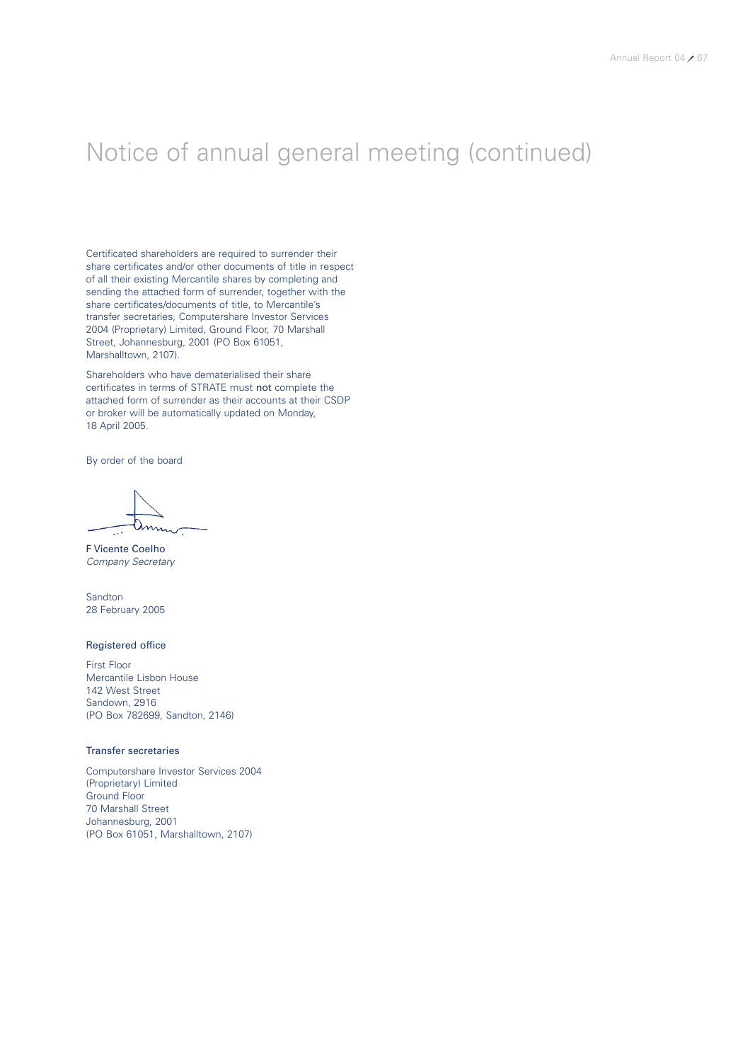# Notice of annual general meeting (continued)

Certificated shareholders are required to surrender their share certificates and/or other documents of title in respect of all their existing Mercantile shares by completing and sending the attached form of surrender, together with the share certificates/documents of title, to Mercantile's transfer secretaries, Computershare Investor Services 2004 (Proprietary) Limited, Ground Floor, 70 Marshall Street, Johannesburg, 2001 (PO Box 61051, Marshalltown, 2107).

Shareholders who have dematerialised their share certificates in terms of STRATE must not complete the attached form of surrender as their accounts at their CSDP or broker will be automatically updated on Monday, 18 April 2005.

By order of the board

F Vicente Coelho *Company Secretary*

Sandton 28 February 2005

### Registered office

First Floor Mercantile Lisbon House 142 West Street Sandown, 2916 (PO Box 782699, Sandton, 2146)

### Transfer secretaries

Computershare Investor Services 2004 (Proprietary) Limited Ground Floor 70 Marshall Street Johannesburg, 2001 (PO Box 61051, Marshalltown, 2107)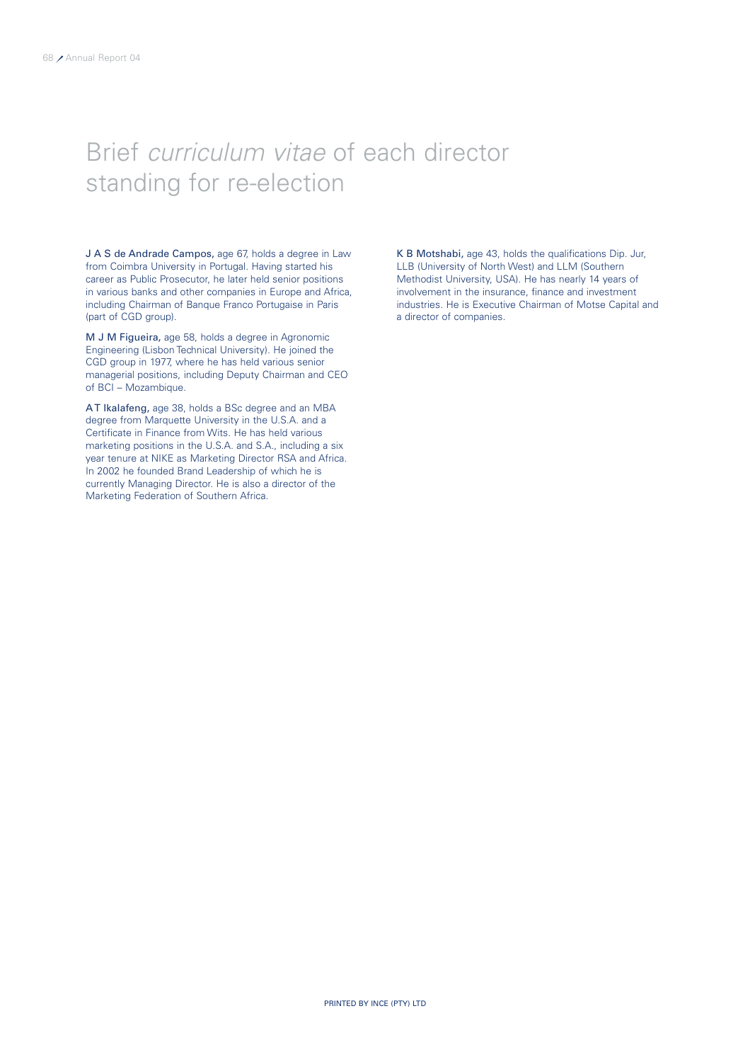# Brief *curriculum vitae* of each director standing for re-election

J A S de Andrade Campos, age 67, holds a degree in Law from Coimbra University in Portugal. Having started his career as Public Prosecutor, he later held senior positions in various banks and other companies in Europe and Africa, including Chairman of Banque Franco Portugaise in Paris (part of CGD group).

M J M Figueira, age 58, holds a degree in Agronomic Engineering (Lisbon Technical University). He joined the CGD group in 1977, where he has held various senior managerial positions, including Deputy Chairman and CEO of BCI – Mozambique.

AT Ikalafeng, age 38, holds a BSc degree and an MBA degree from Marquette University in the U.S.A. and a Certificate in Finance from Wits. He has held various marketing positions in the U.S.A. and S.A., including a six year tenure at NIKE as Marketing Director RSA and Africa. In 2002 he founded Brand Leadership of which he is currently Managing Director. He is also a director of the Marketing Federation of Southern Africa.

K B Motshabi, age 43, holds the qualifications Dip. Jur, LLB (University of North West) and LLM (Southern Methodist University, USA). He has nearly 14 years of involvement in the insurance, finance and investment industries. He is Executive Chairman of Motse Capital and a director of companies.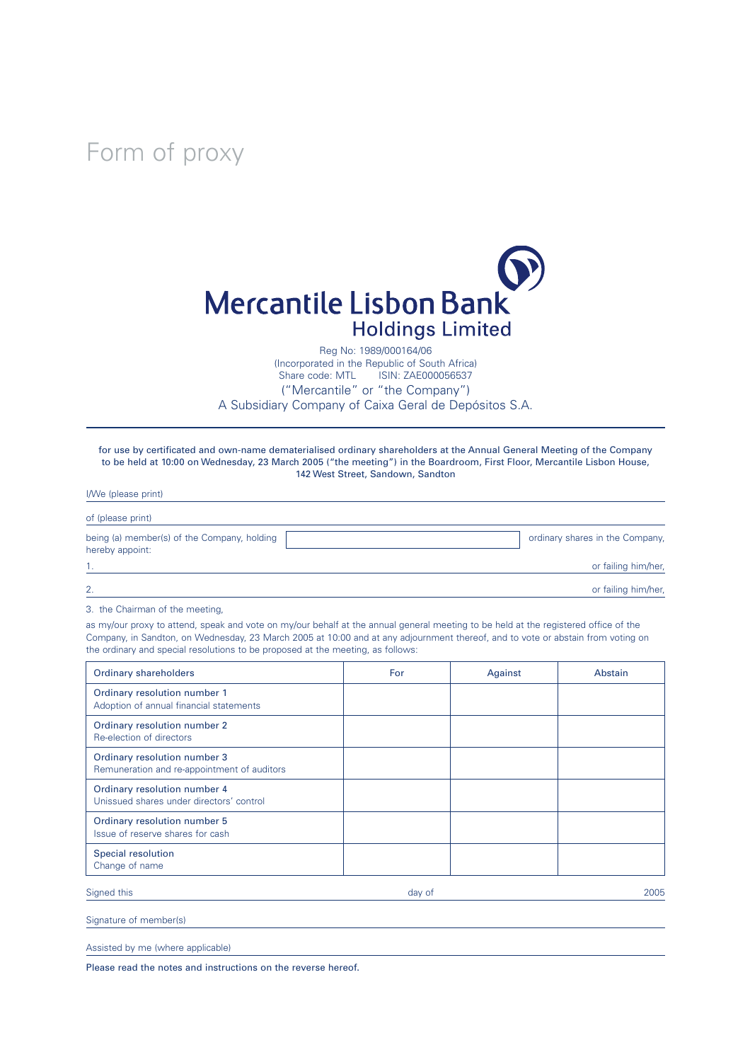Form of proxy



Reg No: 1989/000164/06

(Incorporated in the Republic of South Africa) ISIN: ZAE000056537 ("Mercantile" or "the Company") A Subsidiary Company of Caixa Geral de Depósitos S.A.

for use by certificated and own-name dematerialised ordinary shareholders at the Annual General Meeting of the Company to be held at 10:00 on Wednesday, 23 March 2005 ("the meeting") in the Boardroom, First Floor, Mercantile Lisbon House, 142 West Street, Sandown, Sandton

| I/We (please print)                                            |                                 |
|----------------------------------------------------------------|---------------------------------|
| of (please print)                                              |                                 |
| being (a) member(s) of the Company, holding<br>hereby appoint: | ordinary shares in the Company, |
|                                                                | or failing him/her,             |
| 2.                                                             | or failing him/her,             |

3. the Chairman of the meeting,

as my/our proxy to attend, speak and vote on my/our behalf at the annual general meeting to be held at the registered office of the Company, in Sandton, on Wednesday, 23 March 2005 at 10:00 and at any adjournment thereof, and to vote or abstain from voting on the ordinary and special resolutions to be proposed at the meeting, as follows:

| <b>Ordinary shareholders</b>                                                | For    | Against | Abstain |
|-----------------------------------------------------------------------------|--------|---------|---------|
| Ordinary resolution number 1<br>Adoption of annual financial statements     |        |         |         |
| Ordinary resolution number 2<br>Re-election of directors                    |        |         |         |
| Ordinary resolution number 3<br>Remuneration and re-appointment of auditors |        |         |         |
| Ordinary resolution number 4<br>Unissued shares under directors' control    |        |         |         |
| Ordinary resolution number 5<br>Issue of reserve shares for cash            |        |         |         |
| Special resolution<br>Change of name                                        |        |         |         |
| Signed this                                                                 | day of |         | 2005    |

Signature of member(s)

Assisted by me (where applicable)

Please read the notes and instructions on the reverse hereof.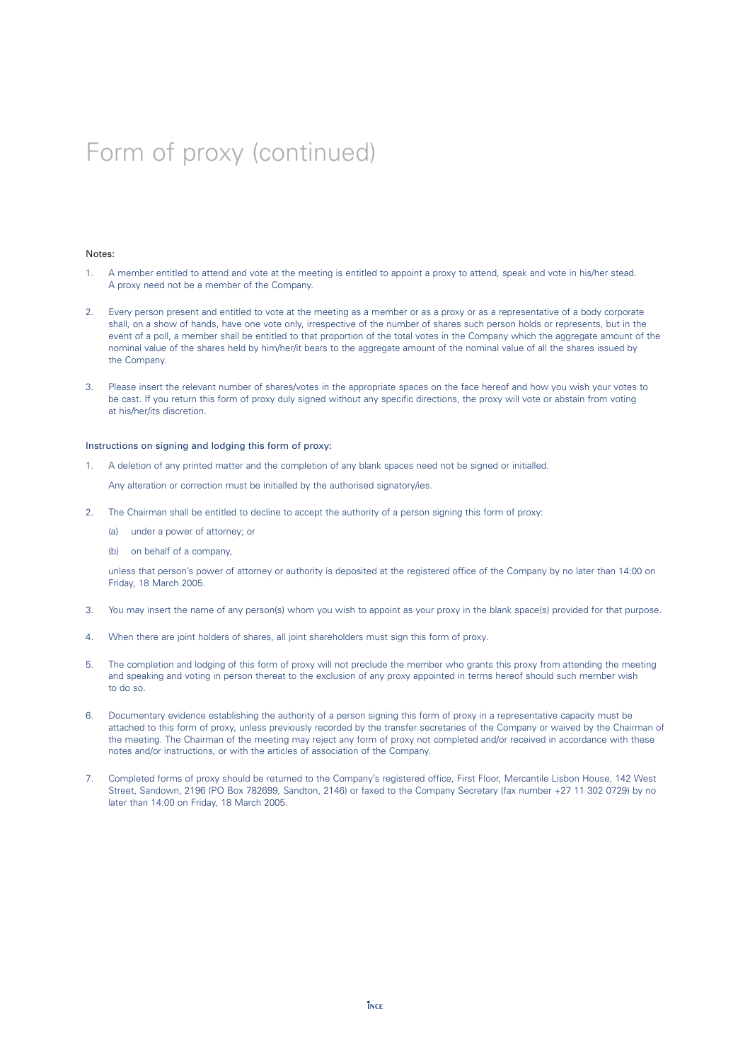# Form of proxy (continued)

#### Notes:

- 1. A member entitled to attend and vote at the meeting is entitled to appoint a proxy to attend, speak and vote in his/her stead. A proxy need not be a member of the Company.
- 2. Every person present and entitled to vote at the meeting as a member or as a proxy or as a representative of a body corporate shall, on a show of hands, have one vote only, irrespective of the number of shares such person holds or represents, but in the event of a poll, a member shall be entitled to that proportion of the total votes in the Company which the aggregate amount of the nominal value of the shares held by him/her/it bears to the aggregate amount of the nominal value of all the shares issued by the Company.
- 3. Please insert the relevant number of shares/votes in the appropriate spaces on the face hereof and how you wish your votes to be cast. If you return this form of proxy duly signed without any specific directions, the proxy will vote or abstain from voting at his/her/its discretion.

### Instructions on signing and lodging this form of proxy:

1. A deletion of any printed matter and the completion of any blank spaces need not be signed or initialled.

Any alteration or correction must be initialled by the authorised signatory/ies.

- 2. The Chairman shall be entitled to decline to accept the authority of a person signing this form of proxy:
	- (a) under a power of attorney; or
	- (b) on behalf of a company,

unless that person's power of attorney or authority is deposited at the registered office of the Company by no later than 14:00 on Friday, 18 March 2005.

- 3. You may insert the name of any person(s) whom you wish to appoint as your proxy in the blank space(s) provided for that purpose.
- 4. When there are joint holders of shares, all joint shareholders must sign this form of proxy.
- 5. The completion and lodging of this form of proxy will not preclude the member who grants this proxy from attending the meeting and speaking and voting in person thereat to the exclusion of any proxy appointed in terms hereof should such member wish to do so.
- 6. Documentary evidence establishing the authority of a person signing this form of proxy in a representative capacity must be attached to this form of proxy, unless previously recorded by the transfer secretaries of the Company or waived by the Chairman of the meeting. The Chairman of the meeting may reject any form of proxy not completed and/or received in accordance with these notes and/or instructions, or with the articles of association of the Company.
- 7. Completed forms of proxy should be returned to the Company's registered office, First Floor, Mercantile Lisbon House, 142 West Street, Sandown, 2196 (PO Box 782699, Sandton, 2146) or faxed to the Company Secretary (fax number +27 11 302 0729) by no later than 14:00 on Friday, 18 March 2005.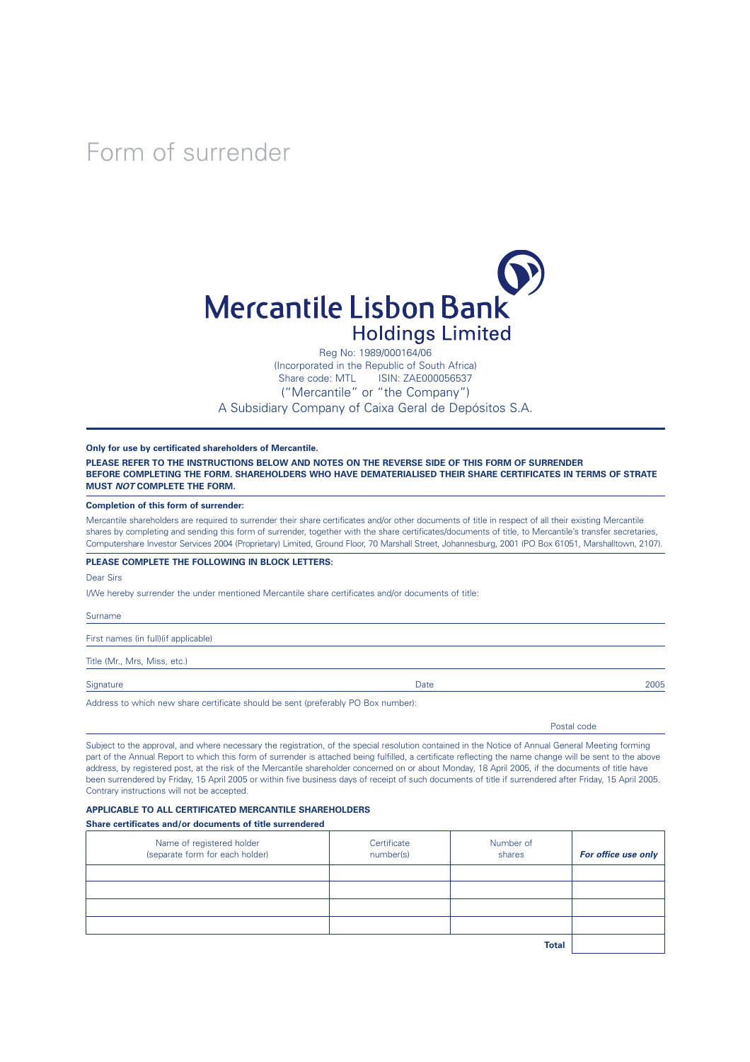Form of surrender



Reg No: 1989/000164/06 (Incorporated in the Republic of South Africa) Share code: MTL ISIN: ZAE000056537 ("Mercantile" or "the Company") A Subsidiary Company of Caixa Geral de Depósitos S.A.

**Only for use by certificated shareholders of Mercantile.**

**PLEASE REFER TO THE INSTRUCTIONS BELOW AND NOTES ON THE REVERSE SIDE OF THIS FORM OF SURRENDER BEFORE COMPLETING THE FORM. SHAREHOLDERS WHO HAVE DEMATERIALISED THEIR SHARE CERTIFICATES IN TERMS OF STRATE MUST** *NOT* **COMPLETE THE FORM.**

#### **Completion of this form of surrender:**

Mercantile shareholders are required to surrender their share certificates and/or other documents of title in respect of all their existing Mercantile shares by completing and sending this form of surrender, together with the share certificates/documents of title, to Mercantile's transfer secretaries, Computershare Investor Services 2004 (Proprietary) Limited, Ground Floor, 70 Marshall Street, Johannesburg, 2001 (PO Box 61051, Marshalltown, 2107).

### **PLEASE COMPLETE THE FOLLOWING IN BLOCK LETTERS:**

Dear Sirs

I/We hereby surrender the under mentioned Mercantile share certificates and/or documents of title:

Surname

First names (in full)(if applicable)

Title (Mr., Mrs, Miss, etc.)

Signature Date 2005

Address to which new share certificate should be sent (preferably PO Box number):

Postal code

Subject to the approval, and where necessary the registration, of the special resolution contained in the Notice of Annual General Meeting forming part of the Annual Report to which this form of surrender is attached being fulfilled, a certificate reflecting the name change will be sent to the above address, by registered post, at the risk of the Mercantile shareholder concerned on or about Monday, 18 April 2005, if the documents of title have been surrendered by Friday, 15 April 2005 or within five business days of receipt of such documents of title if surrendered after Friday, 15 April 2005. Contrary instructions will not be accepted.

### **APPLICABLE TO ALL CERTIFICATED MERCANTILE SHAREHOLDERS**

**Share certificates and/or documents of title surrendered**

| Name of registered holder<br>(separate form for each holder) | Certificate<br>number(s) | Number of<br>shares | For office use only |
|--------------------------------------------------------------|--------------------------|---------------------|---------------------|
|                                                              |                          |                     |                     |
|                                                              |                          |                     |                     |
|                                                              |                          |                     |                     |
|                                                              |                          |                     |                     |
|                                                              |                          | <b>Total</b>        |                     |